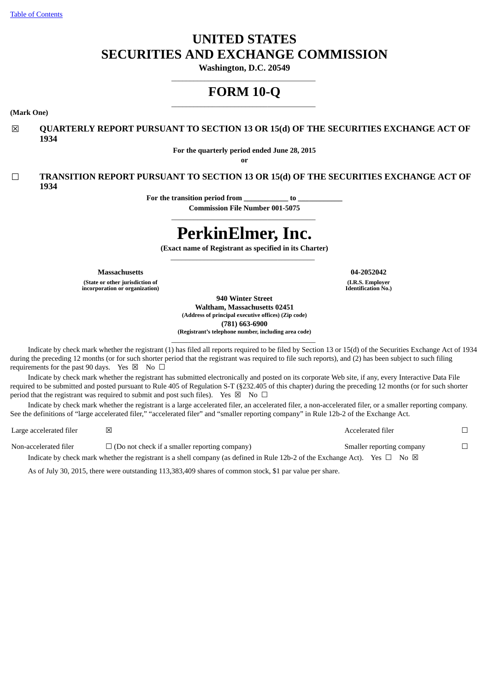# **UNITED STATES SECURITIES AND EXCHANGE COMMISSION**

**Washington, D.C. 20549** \_\_\_\_\_\_\_\_\_\_\_\_\_\_\_\_\_\_\_\_\_\_\_\_\_\_\_\_\_\_\_\_\_\_\_\_\_\_\_

# **FORM 10-Q** \_\_\_\_\_\_\_\_\_\_\_\_\_\_\_\_\_\_\_\_\_\_\_\_\_\_\_\_\_\_\_\_\_\_\_\_\_\_\_

**(Mark One)**

☒ **QUARTERLY REPORT PURSUANT TO SECTION 13 OR 15(d) OF THE SECURITIES EXCHANGE ACT OF 1934**

**For the quarterly period ended June 28, 2015**

**or**

☐ **TRANSITION REPORT PURSUANT TO SECTION 13 OR 15(d) OF THE SECURITIES EXCHANGE ACT OF 1934**

**For the transition period from \_\_\_\_\_\_\_\_\_\_\_\_ to \_\_\_\_\_\_\_\_\_\_\_\_**

**Commission File Number 001-5075** \_\_\_\_\_\_\_\_\_\_\_\_\_\_\_\_\_\_\_\_\_\_\_\_\_\_\_\_\_\_\_\_\_\_\_\_\_\_\_

# **PerkinElmer, Inc.**

**(Exact name of Registrant as specified in its Charter)** \_\_\_\_\_\_\_\_\_\_\_\_\_\_\_\_\_\_\_\_\_\_\_\_\_\_\_\_\_\_\_\_\_\_\_\_\_\_\_

**Massachusetts 04-2052042 (State or other jurisdiction of incorporation or organization)**

**(I.R.S. Employer Identification No.)**

**940 Winter Street Waltham, Massachusetts 02451 (Address of principal executive offices) (Zip code) (781) 663-6900 (Registrant's telephone number, including area code)**

Indicate by check mark whether the registrant (1) has filed all reports required to be filed by Section 13 or 15(d) of the Securities Exchange Act of 1934 during the preceding 12 months (or for such shorter period that the registrant was required to file such reports), and (2) has been subject to such filing requirements for the past 90 days. Yes  $\boxtimes$  No  $\Box$ 

\_\_\_\_\_\_\_\_\_\_\_\_\_\_\_\_\_\_\_\_\_\_\_\_\_\_\_\_\_\_\_\_\_\_\_\_\_\_\_

Indicate by check mark whether the registrant has submitted electronically and posted on its corporate Web site, if any, every Interactive Data File required to be submitted and posted pursuant to Rule 405 of Regulation S-T (§232.405 of this chapter) during the preceding 12 months (or for such shorter period that the registrant was required to submit and post such files). Yes  $\boxtimes$  No  $\Box$ 

Indicate by check mark whether the registrant is a large accelerated filer, an accelerated filer, a non-accelerated filer, or a smaller reporting company. See the definitions of "large accelerated filer," "accelerated filer" and "smaller reporting company" in Rule 12b-2 of the Exchange Act.

Large accelerated filer ☒ Accelerated filer ☐

Non-accelerated filer □ (Do not check if a smaller reporting company) Smaller reporting company □ Indicate by check mark whether the registrant is a shell company (as defined in Rule 12b-2 of the Exchange Act). Yes  $\Box$  No  $\boxtimes$ 

<span id="page-0-0"></span>As of July 30, 2015, there were outstanding 113,383,409 shares of common stock, \$1 par value per share.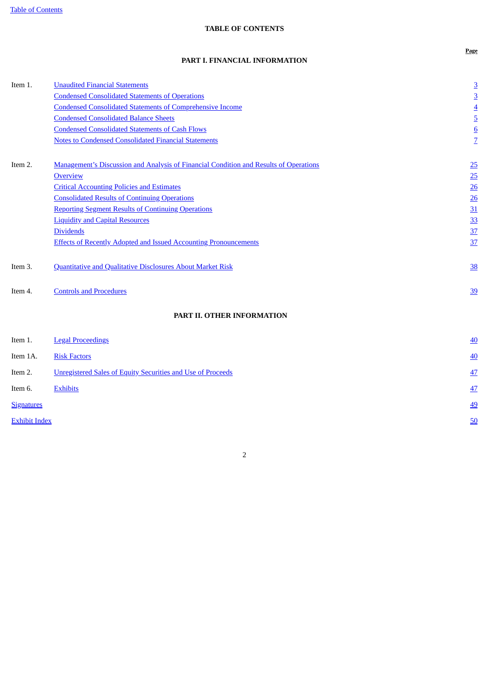# **TABLE OF CONTENTS**

# **PART I. FINANCIAL INFORMATION**

| Item 1.              | <b>Unaudited Financial Statements</b>                                                 | $\overline{3}$  |
|----------------------|---------------------------------------------------------------------------------------|-----------------|
|                      | <b>Condensed Consolidated Statements of Operations</b>                                | $\overline{3}$  |
|                      | <b>Condensed Consolidated Statements of Comprehensive Income</b>                      | $\overline{4}$  |
|                      | <b>Condensed Consolidated Balance Sheets</b>                                          | $\overline{5}$  |
|                      | <b>Condensed Consolidated Statements of Cash Flows</b>                                | $\underline{6}$ |
|                      | <b>Notes to Condensed Consolidated Financial Statements</b>                           | $\overline{Z}$  |
| Item 2.              | Management's Discussion and Analysis of Financial Condition and Results of Operations | 25              |
|                      | <b>Overview</b>                                                                       | 25              |
|                      | <b>Critical Accounting Policies and Estimates</b>                                     | $\frac{26}{5}$  |
|                      | <b>Consolidated Results of Continuing Operations</b>                                  | $\frac{26}{5}$  |
|                      | <b>Reporting Segment Results of Continuing Operations</b>                             | $\overline{31}$ |
|                      | <b>Liquidity and Capital Resources</b>                                                | $\overline{33}$ |
|                      | <b>Dividends</b>                                                                      | $\frac{37}{2}$  |
|                      | <b>Effects of Recently Adopted and Issued Accounting Pronouncements</b>               | 37              |
| Item 3.              | <b>Quantitative and Qualitative Disclosures About Market Risk</b>                     | 38              |
| Item 4.              | <b>Controls and Procedures</b>                                                        | 39              |
|                      | PART II. OTHER INFORMATION                                                            |                 |
| Item 1.              | <b>Legal Proceedings</b>                                                              | 40              |
| Item 1A.             | <b>Risk Factors</b>                                                                   | 40              |
| Item 2.              | <b>Unregistered Sales of Equity Securities and Use of Proceeds</b>                    | 47              |
| Item 6.              | <b>Exhibits</b>                                                                       | $\frac{47}{1}$  |
| <b>Signatures</b>    |                                                                                       | <u>49</u>       |
| <b>Exhibit Index</b> |                                                                                       | 50              |

2

**Page**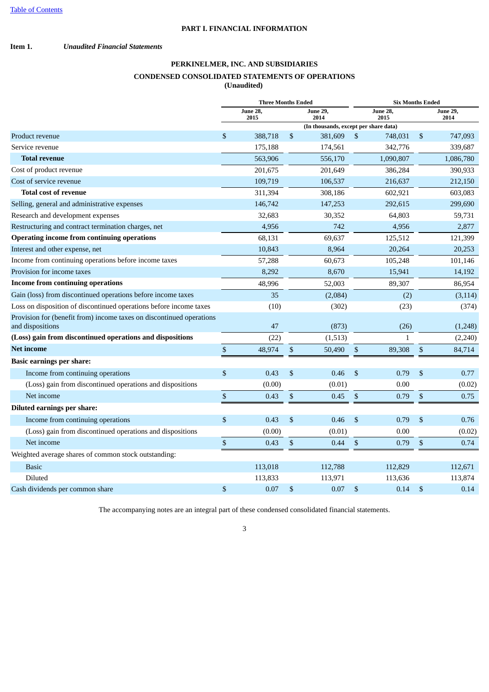# **PART I. FINANCIAL INFORMATION**

<span id="page-2-1"></span><span id="page-2-0"></span>**Item 1.** *Unaudited Financial Statements*

# **PERKINELMER, INC. AND SUBSIDIARIES**

# **CONDENSED CONSOLIDATED STATEMENTS OF OPERATIONS**

**(Unaudited)**

|                                                                                          | <b>Three Months Ended</b> |                         |      |                                       | <b>Six Months Ended</b> |                         |              |                         |
|------------------------------------------------------------------------------------------|---------------------------|-------------------------|------|---------------------------------------|-------------------------|-------------------------|--------------|-------------------------|
|                                                                                          |                           | <b>June 28,</b><br>2015 |      | <b>June 29,</b><br>2014               |                         | <b>June 28,</b><br>2015 |              | <b>June 29,</b><br>2014 |
|                                                                                          |                           |                         |      | (In thousands, except per share data) |                         |                         |              |                         |
| Product revenue                                                                          | \$                        | 388,718                 | \$   | 381,609                               | \$                      | 748,031                 | \$           | 747,093                 |
| Service revenue                                                                          |                           | 175,188                 |      | 174,561                               |                         | 342,776                 |              | 339,687                 |
| <b>Total revenue</b>                                                                     |                           | 563,906                 |      | 556,170                               |                         | 1,090,807               |              | 1,086,780               |
| Cost of product revenue                                                                  |                           | 201,675                 |      | 201,649                               |                         | 386,284                 |              | 390,933                 |
| Cost of service revenue                                                                  |                           | 109,719                 |      | 106,537                               |                         | 216,637                 |              | 212,150                 |
| <b>Total cost of revenue</b>                                                             |                           | 311,394                 |      | 308,186                               |                         | 602,921                 |              | 603,083                 |
| Selling, general and administrative expenses                                             |                           | 146,742                 |      | 147,253                               |                         | 292,615                 |              | 299,690                 |
| Research and development expenses                                                        |                           | 32,683                  |      | 30,352                                |                         | 64,803                  |              | 59,731                  |
| Restructuring and contract termination charges, net                                      |                           | 4,956                   |      | 742                                   |                         | 4,956                   |              | 2,877                   |
| <b>Operating income from continuing operations</b>                                       |                           | 68,131                  |      | 69,637                                |                         | 125,512                 |              | 121,399                 |
| Interest and other expense, net                                                          |                           | 10,843                  |      | 8,964                                 |                         | 20,264                  |              | 20,253                  |
| Income from continuing operations before income taxes                                    |                           | 57,288                  |      | 60,673                                |                         | 105,248                 |              | 101,146                 |
| Provision for income taxes                                                               |                           | 8,292                   |      | 8,670                                 |                         | 15,941                  |              | 14,192                  |
| <b>Income from continuing operations</b>                                                 |                           | 48,996                  |      | 52,003                                |                         | 89,307                  |              | 86,954                  |
| Gain (loss) from discontinued operations before income taxes                             |                           | 35                      |      | (2,084)                               |                         | (2)                     |              | (3, 114)                |
| Loss on disposition of discontinued operations before income taxes                       |                           | (10)                    |      | (302)                                 |                         | (23)                    |              | (374)                   |
| Provision for (benefit from) income taxes on discontinued operations<br>and dispositions |                           | 47                      |      | (873)                                 |                         | (26)                    |              | (1,248)                 |
| (Loss) gain from discontinued operations and dispositions                                |                           | (22)                    |      | (1,513)                               |                         | $\mathbf{1}$            |              | (2, 240)                |
| <b>Net income</b>                                                                        | \$                        | 48,974                  | $\,$ | 50,490                                | \$                      | 89,308                  | \$           | 84,714                  |
| <b>Basic earnings per share:</b>                                                         |                           |                         |      |                                       |                         |                         |              |                         |
| Income from continuing operations                                                        | \$                        | 0.43                    | \$   | 0.46                                  | \$                      | 0.79                    | \$           | 0.77                    |
| (Loss) gain from discontinued operations and dispositions                                |                           | (0.00)                  |      | (0.01)                                |                         | 0.00                    |              | (0.02)                  |
| Net income                                                                               | $\boldsymbol{\mathsf{S}}$ | 0.43                    | $\,$ | 0.45                                  | \$                      | 0.79                    | $\mathbb{S}$ | 0.75                    |
| <b>Diluted earnings per share:</b>                                                       |                           |                         |      |                                       |                         |                         |              |                         |
| Income from continuing operations                                                        | \$                        | 0.43                    | \$   | 0.46                                  | \$                      | 0.79                    | \$           | 0.76                    |
| (Loss) gain from discontinued operations and dispositions                                |                           | (0.00)                  |      | (0.01)                                |                         | 0.00                    |              | (0.02)                  |
| Net income                                                                               | $\mathbb{S}$              | 0.43                    | $\,$ | 0.44                                  | $\mathbb S$             | 0.79                    | $\mathbb{S}$ | 0.74                    |
| Weighted average shares of common stock outstanding:                                     |                           |                         |      |                                       |                         |                         |              |                         |
| <b>Basic</b>                                                                             |                           | 113,018                 |      | 112,788                               |                         | 112,829                 |              | 112,671                 |
| <b>Diluted</b>                                                                           |                           | 113,833                 |      | 113,971                               |                         | 113,636                 |              | 113,874                 |
| Cash dividends per common share                                                          | \$                        | 0.07                    | \$   | 0.07                                  | \$                      | 0.14                    | \$           | 0.14                    |

<span id="page-2-2"></span>The accompanying notes are an integral part of these condensed consolidated financial statements.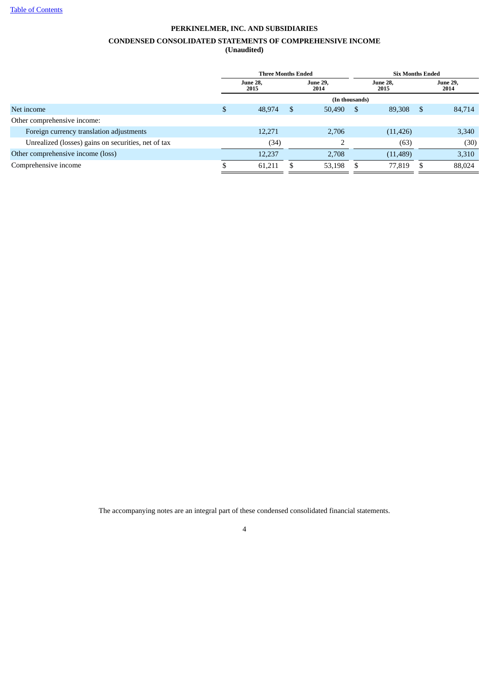# **PERKINELMER, INC. AND SUBSIDIARIES CONDENSED CONSOLIDATED STATEMENTS OF COMPREHENSIVE INCOME (Unaudited)**

|                                                     | <b>Three Months Ended</b> |        |    |                         | <b>Six Months Ended</b> |                         |     |                         |
|-----------------------------------------------------|---------------------------|--------|----|-------------------------|-------------------------|-------------------------|-----|-------------------------|
|                                                     | <b>June 28,</b><br>2015   |        |    | <b>June 29,</b><br>2014 |                         | <b>June 28,</b><br>2015 |     | <b>June 29,</b><br>2014 |
|                                                     | (In thousands)            |        |    |                         |                         |                         |     |                         |
| Net income                                          | J.                        | 48,974 | -S | 50,490                  | <sup>\$</sup>           | 89,308                  | -\$ | 84,714                  |
| Other comprehensive income:                         |                           |        |    |                         |                         |                         |     |                         |
| Foreign currency translation adjustments            |                           | 12,271 |    | 2,706                   |                         | (11, 426)               |     | 3,340                   |
| Unrealized (losses) gains on securities, net of tax |                           | (34)   |    |                         |                         | (63)                    |     | (30)                    |
| Other comprehensive income (loss)                   |                           | 12,237 |    | 2,708                   |                         | (11, 489)               |     | 3,310                   |
| Comprehensive income                                |                           | 61,211 |    | 53,198                  |                         | 77,819                  |     | 88,024                  |

<span id="page-3-0"></span>The accompanying notes are an integral part of these condensed consolidated financial statements.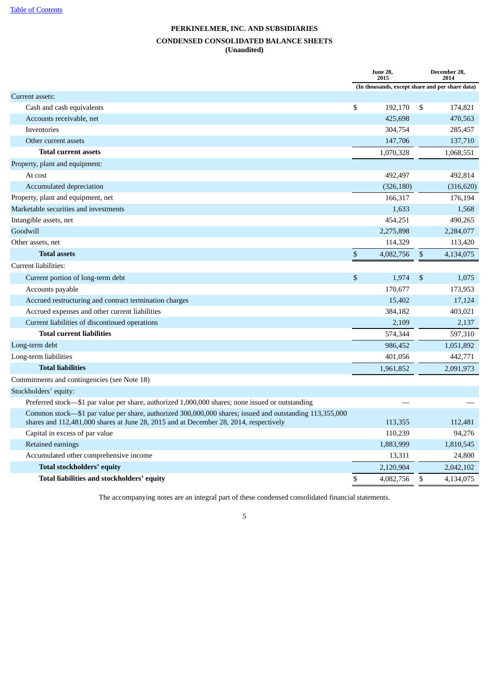# **PERKINELMER, INC. AND SUBSIDIARIES CONDENSED CONSOLIDATED BALANCE SHEETS (Unaudited)**

|                                                                                                                                                                                                  |      | <b>June 28,</b><br>2015                         |                | December 28,<br>2014 |
|--------------------------------------------------------------------------------------------------------------------------------------------------------------------------------------------------|------|-------------------------------------------------|----------------|----------------------|
|                                                                                                                                                                                                  |      | (In thousands, except share and per share data) |                |                      |
| Current assets:                                                                                                                                                                                  |      |                                                 |                |                      |
| Cash and cash equivalents                                                                                                                                                                        | \$   | 192,170                                         | \$             | 174,821              |
| Accounts receivable, net                                                                                                                                                                         |      | 425,698                                         |                | 470,563              |
| Inventories                                                                                                                                                                                      |      | 304,754                                         |                | 285,457              |
| Other current assets                                                                                                                                                                             |      | 147,706                                         |                | 137,710              |
| <b>Total current assets</b>                                                                                                                                                                      |      | 1,070,328                                       |                | 1,068,551            |
| Property, plant and equipment:                                                                                                                                                                   |      |                                                 |                |                      |
| At cost                                                                                                                                                                                          |      | 492,497                                         |                | 492,814              |
| Accumulated depreciation                                                                                                                                                                         |      | (326, 180)                                      |                | (316, 620)           |
| Property, plant and equipment, net                                                                                                                                                               |      | 166,317                                         |                | 176,194              |
| Marketable securities and investments                                                                                                                                                            |      | 1,633                                           |                | 1,568                |
| Intangible assets, net                                                                                                                                                                           |      | 454,251                                         |                | 490,265              |
| Goodwill                                                                                                                                                                                         |      | 2,275,898                                       |                | 2,284,077            |
| Other assets, net                                                                                                                                                                                |      | 114,329                                         |                | 113,420              |
| <b>Total assets</b>                                                                                                                                                                              | $\,$ | 4,082,756                                       | $\mathbb{S}$   | 4,134,075            |
| Current liabilities:                                                                                                                                                                             |      |                                                 |                |                      |
| Current portion of long-term debt                                                                                                                                                                | \$   | 1,974                                           | $\mathfrak{s}$ | 1,075                |
| Accounts payable                                                                                                                                                                                 |      | 170,677                                         |                | 173,953              |
| Accrued restructuring and contract termination charges                                                                                                                                           |      | 15,402                                          |                | 17,124               |
| Accrued expenses and other current liabilities                                                                                                                                                   |      | 384,182                                         |                | 403,021              |
| Current liabilities of discontinued operations                                                                                                                                                   |      | 2,109                                           |                | 2,137                |
| <b>Total current liabilities</b>                                                                                                                                                                 |      | 574,344                                         |                | 597,310              |
| Long-term debt                                                                                                                                                                                   |      | 986,452                                         |                | 1,051,892            |
| Long-term liabilities                                                                                                                                                                            |      | 401,056                                         |                | 442,771              |
| <b>Total liabilities</b>                                                                                                                                                                         |      | 1,961,852                                       |                | 2,091,973            |
| Commitments and contingencies (see Note 18)                                                                                                                                                      |      |                                                 |                |                      |
| Stockholders' equity:                                                                                                                                                                            |      |                                                 |                |                      |
| Preferred stock—\$1 par value per share, authorized 1,000,000 shares; none issued or outstanding                                                                                                 |      |                                                 |                |                      |
| Common stock—\$1 par value per share, authorized 300,000,000 shares; issued and outstanding 113,355,000<br>shares and 112,481,000 shares at June 28, 2015 and at December 28, 2014, respectively |      | 113,355                                         |                | 112,481              |
| Capital in excess of par value                                                                                                                                                                   |      | 110,239                                         |                | 94,276               |
| Retained earnings                                                                                                                                                                                |      | 1,883,999                                       |                | 1,810,545            |
| Accumulated other comprehensive income                                                                                                                                                           |      | 13,311                                          |                | 24,800               |
| <b>Total stockholders' equity</b>                                                                                                                                                                |      | 2,120,904                                       |                | 2,042,102            |
| Total liabilities and stockholders' equity                                                                                                                                                       | \$   | 4,082,756                                       | \$             | 4,134,075            |

<span id="page-4-0"></span>The accompanying notes are an integral part of these condensed consolidated financial statements.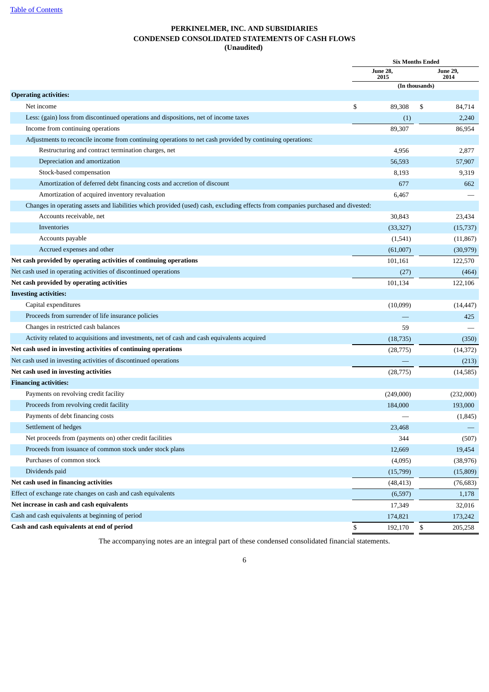# **PERKINELMER, INC. AND SUBSIDIARIES CONDENSED CONSOLIDATED STATEMENTS OF CASH FLOWS (Unaudited)**

|                                                                                                                                  | <b>Six Months Ended</b> |                         |  |  |
|----------------------------------------------------------------------------------------------------------------------------------|-------------------------|-------------------------|--|--|
|                                                                                                                                  | <b>June 28,</b><br>2015 | <b>June 29,</b><br>2014 |  |  |
|                                                                                                                                  |                         | (In thousands)          |  |  |
| <b>Operating activities:</b><br>Net income                                                                                       |                         |                         |  |  |
| Less: (gain) loss from discontinued operations and dispositions, net of income taxes                                             | \$<br>89,308            | 84,714<br>\$            |  |  |
| Income from continuing operations                                                                                                | (1)<br>89,307           | 2,240<br>86,954         |  |  |
| Adjustments to reconcile income from continuing operations to net cash provided by continuing operations:                        |                         |                         |  |  |
| Restructuring and contract termination charges, net                                                                              | 4,956                   | 2,877                   |  |  |
| Depreciation and amortization                                                                                                    | 56,593                  | 57,907                  |  |  |
| Stock-based compensation                                                                                                         | 8,193                   | 9,319                   |  |  |
| Amortization of deferred debt financing costs and accretion of discount                                                          | 677                     | 662                     |  |  |
| Amortization of acquired inventory revaluation                                                                                   | 6,467                   |                         |  |  |
| Changes in operating assets and liabilities which provided (used) cash, excluding effects from companies purchased and divested: |                         |                         |  |  |
| Accounts receivable, net                                                                                                         | 30,843                  | 23,434                  |  |  |
| Inventories                                                                                                                      | (33, 327)               | (15,737)                |  |  |
| Accounts payable                                                                                                                 | (1,541)                 | (11, 867)               |  |  |
| Accrued expenses and other                                                                                                       | (61,007)                | (30, 979)               |  |  |
| Net cash provided by operating activities of continuing operations                                                               | 101,161                 | 122,570                 |  |  |
| Net cash used in operating activities of discontinued operations                                                                 | (27)                    | (464)                   |  |  |
| Net cash provided by operating activities                                                                                        | 101,134                 | 122,106                 |  |  |
| <b>Investing activities:</b>                                                                                                     |                         |                         |  |  |
| Capital expenditures                                                                                                             | (10,099)                | (14, 447)               |  |  |
| Proceeds from surrender of life insurance policies                                                                               |                         | 425                     |  |  |
| Changes in restricted cash balances                                                                                              | 59                      |                         |  |  |
| Activity related to acquisitions and investments, net of cash and cash equivalents acquired                                      | (18, 735)               | (350)                   |  |  |
| Net cash used in investing activities of continuing operations                                                                   | (28, 775)               | (14, 372)               |  |  |
| Net cash used in investing activities of discontinued operations                                                                 |                         | (213)                   |  |  |
| Net cash used in investing activities                                                                                            | (28, 775)               | (14, 585)               |  |  |
| <b>Financing activities:</b>                                                                                                     |                         |                         |  |  |
| Payments on revolving credit facility                                                                                            | (249,000)               | (232,000)               |  |  |
| Proceeds from revolving credit facility                                                                                          | 184,000                 | 193,000                 |  |  |
| Payments of debt financing costs                                                                                                 |                         | (1,845)                 |  |  |
| Settlement of hedges                                                                                                             | 23,468                  |                         |  |  |
| Net proceeds from (payments on) other credit facilities                                                                          | 344                     | (507)                   |  |  |
| Proceeds from issuance of common stock under stock plans                                                                         | 12,669                  | 19,454                  |  |  |
| Purchases of common stock                                                                                                        | (4,095)                 | (38, 976)               |  |  |
| Dividends paid                                                                                                                   | (15,799)                | (15,809)                |  |  |
| Net cash used in financing activities                                                                                            | (48, 413)               | (76, 683)               |  |  |
| Effect of exchange rate changes on cash and cash equivalents                                                                     | (6,597)                 | 1,178                   |  |  |
| Net increase in cash and cash equivalents                                                                                        | 17,349                  | 32,016                  |  |  |
| Cash and cash equivalents at beginning of period                                                                                 | 174,821                 | 173,242                 |  |  |
| Cash and cash equivalents at end of period                                                                                       | \$<br>192,170           | \$<br>205,258           |  |  |

<span id="page-5-0"></span>The accompanying notes are an integral part of these condensed consolidated financial statements.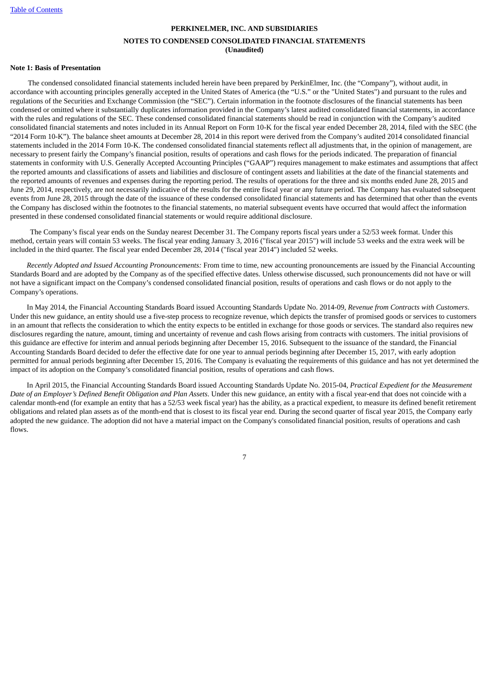# **PERKINELMER, INC. AND SUBSIDIARIES NOTES TO CONDENSED CONSOLIDATED FINANCIAL STATEMENTS (Unaudited)**

#### **Note 1: Basis of Presentation**

The condensed consolidated financial statements included herein have been prepared by PerkinElmer, Inc. (the "Company"), without audit, in accordance with accounting principles generally accepted in the United States of America (the "U.S." or the "United States") and pursuant to the rules and regulations of the Securities and Exchange Commission (the "SEC"). Certain information in the footnote disclosures of the financial statements has been condensed or omitted where it substantially duplicates information provided in the Company's latest audited consolidated financial statements, in accordance with the rules and regulations of the SEC. These condensed consolidated financial statements should be read in conjunction with the Company's audited consolidated financial statements and notes included in its Annual Report on Form 10-K for the fiscal year ended December 28, 2014, filed with the SEC (the "2014 Form 10-K"). The balance sheet amounts at December 28, 2014 in this report were derived from the Company's audited 2014 consolidated financial statements included in the 2014 Form 10-K. The condensed consolidated financial statements reflect all adjustments that, in the opinion of management, are necessary to present fairly the Company's financial position, results of operations and cash flows for the periods indicated. The preparation of financial statements in conformity with U.S. Generally Accepted Accounting Principles ("GAAP") requires management to make estimates and assumptions that affect the reported amounts and classifications of assets and liabilities and disclosure of contingent assets and liabilities at the date of the financial statements and the reported amounts of revenues and expenses during the reporting period. The results of operations for the three and six months ended June 28, 2015 and June 29, 2014, respectively, are not necessarily indicative of the results for the entire fiscal year or any future period. The Company has evaluated subsequent events from June 28, 2015 through the date of the issuance of these condensed consolidated financial statements and has determined that other than the events the Company has disclosed within the footnotes to the financial statements, no material subsequent events have occurred that would affect the information presented in these condensed consolidated financial statements or would require additional disclosure.

The Company's fiscal year ends on the Sunday nearest December 31. The Company reports fiscal years under a 52/53 week format. Under this method, certain years will contain 53 weeks. The fiscal year ending January 3, 2016 ("fiscal year 2015") will include 53 weeks and the extra week will be included in the third quarter. The fiscal year ended December 28, 2014 ("fiscal year 2014") included 52 weeks.

*Recently Adopted and Issued Accounting Pronouncements:* From time to time, new accounting pronouncements are issued by the Financial Accounting Standards Board and are adopted by the Company as of the specified effective dates. Unless otherwise discussed, such pronouncements did not have or will not have a significant impact on the Company's condensed consolidated financial position, results of operations and cash flows or do not apply to the Company's operations.

In May 2014, the Financial Accounting Standards Board issued Accounting Standards Update No. 2014-09, *Revenue from Contracts with Customers*. Under this new guidance, an entity should use a five-step process to recognize revenue, which depicts the transfer of promised goods or services to customers in an amount that reflects the consideration to which the entity expects to be entitled in exchange for those goods or services. The standard also requires new disclosures regarding the nature, amount, timing and uncertainty of revenue and cash flows arising from contracts with customers. The initial provisions of this guidance are effective for interim and annual periods beginning after December 15, 2016. Subsequent to the issuance of the standard, the Financial Accounting Standards Board decided to defer the effective date for one year to annual periods beginning after December 15, 2017, with early adoption permitted for annual periods beginning after December 15, 2016. The Company is evaluating the requirements of this guidance and has not yet determined the impact of its adoption on the Company's consolidated financial position, results of operations and cash flows.

In April 2015, the Financial Accounting Standards Board issued Accounting Standards Update No. 2015-04, *Practical Expedient for the Measurement Date of an Employer's Defined Benefit Obligation and Plan Assets*. Under this new guidance, an entity with a fiscal year-end that does not coincide with a calendar month-end (for example an entity that has a 52/53 week fiscal year) has the ability, as a practical expedient, to measure its defined benefit retirement obligations and related plan assets as of the month-end that is closest to its fiscal year end. During the second quarter of fiscal year 2015, the Company early adopted the new guidance. The adoption did not have a material impact on the Company's consolidated financial position, results of operations and cash flows.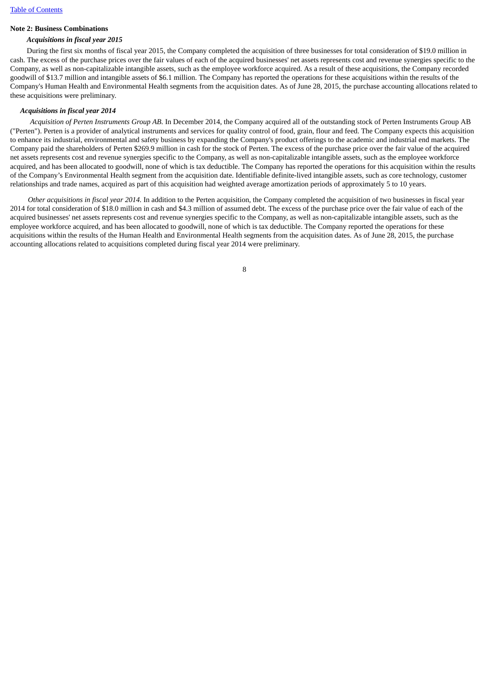# **Note 2: Business Combinations**

# *Acquisitions in fiscal year 2015*

During the first six months of fiscal year 2015, the Company completed the acquisition of three businesses for total consideration of \$19.0 million in cash. The excess of the purchase prices over the fair values of each of the acquired businesses' net assets represents cost and revenue synergies specific to the Company, as well as non-capitalizable intangible assets, such as the employee workforce acquired. As a result of these acquisitions, the Company recorded goodwill of \$13.7 million and intangible assets of \$6.1 million. The Company has reported the operations for these acquisitions within the results of the Company's Human Health and Environmental Health segments from the acquisition dates. As of June 28, 2015, the purchase accounting allocations related to these acquisitions were preliminary.

# *Acquisitions in fiscal year 2014*

*Acquisition of Perten Instruments Group AB.* In December 2014, the Company acquired all of the outstanding stock of Perten Instruments Group AB ("Perten"). Perten is a provider of analytical instruments and services for quality control of food, grain, flour and feed. The Company expects this acquisition to enhance its industrial, environmental and safety business by expanding the Company's product offerings to the academic and industrial end markets. The Company paid the shareholders of Perten \$269.9 million in cash for the stock of Perten. The excess of the purchase price over the fair value of the acquired net assets represents cost and revenue synergies specific to the Company, as well as non-capitalizable intangible assets, such as the employee workforce acquired, and has been allocated to goodwill, none of which is tax deductible. The Company has reported the operations for this acquisition within the results of the Company's Environmental Health segment from the acquisition date. Identifiable definite-lived intangible assets, such as core technology, customer relationships and trade names, acquired as part of this acquisition had weighted average amortization periods of approximately 5 to 10 years.

*Other acquisitions in fiscal year 2014.* In addition to the Perten acquisition, the Company completed the acquisition of two businesses in fiscal year 2014 for total consideration of \$18.0 million in cash and \$4.3 million of assumed debt. The excess of the purchase price over the fair value of each of the acquired businesses' net assets represents cost and revenue synergies specific to the Company, as well as non-capitalizable intangible assets, such as the employee workforce acquired, and has been allocated to goodwill, none of which is tax deductible. The Company reported the operations for these acquisitions within the results of the Human Health and Environmental Health segments from the acquisition dates. As of June 28, 2015, the purchase accounting allocations related to acquisitions completed during fiscal year 2014 were preliminary.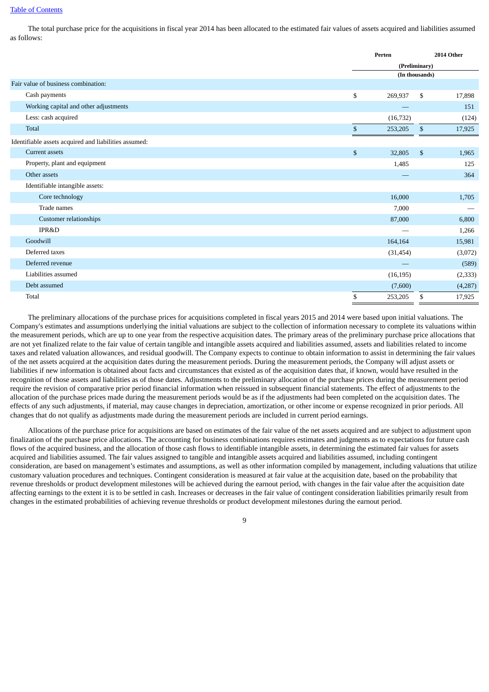#### Table of [Contents](#page-0-0)

The total purchase price for the acquisitions in fiscal year 2014 has been allocated to the estimated fair values of assets acquired and liabilities assumed as follows:

|                                                       | Perten         |                |                | 2014 Other |  |
|-------------------------------------------------------|----------------|----------------|----------------|------------|--|
|                                                       | (Preliminary)  |                |                |            |  |
|                                                       |                | (In thousands) |                |            |  |
| Fair value of business combination:                   |                |                |                |            |  |
| Cash payments                                         | \$             | 269,937        | \$             | 17,898     |  |
| Working capital and other adjustments                 |                |                |                | 151        |  |
| Less: cash acquired                                   |                | (16, 732)      |                | (124)      |  |
| <b>Total</b>                                          | $$\mathbb{S}$$ | 253,205        | \$             | 17,925     |  |
| Identifiable assets acquired and liabilities assumed: |                |                |                |            |  |
| <b>Current assets</b>                                 | $\mathfrak{S}$ | 32,805         | $\mathfrak{S}$ | 1,965      |  |
| Property, plant and equipment                         |                | 1,485          |                | 125        |  |
| Other assets                                          |                |                |                | 364        |  |
| Identifiable intangible assets:                       |                |                |                |            |  |
| Core technology                                       |                | 16,000         |                | 1,705      |  |
| Trade names                                           |                | 7,000          |                |            |  |
| Customer relationships                                |                | 87,000         |                | 6,800      |  |
| IPR&D                                                 |                |                |                | 1,266      |  |
| Goodwill                                              |                | 164,164        |                | 15,981     |  |
| Deferred taxes                                        |                | (31, 454)      |                | (3,072)    |  |
| Deferred revenue                                      |                |                |                | (589)      |  |
| Liabilities assumed                                   |                | (16, 195)      |                | (2, 333)   |  |
| Debt assumed                                          |                | (7,600)        |                | (4,287)    |  |
| Total                                                 | \$             | 253,205        | \$             | 17,925     |  |

The preliminary allocations of the purchase prices for acquisitions completed in fiscal years 2015 and 2014 were based upon initial valuations. The Company's estimates and assumptions underlying the initial valuations are subject to the collection of information necessary to complete its valuations within the measurement periods, which are up to one year from the respective acquisition dates. The primary areas of the preliminary purchase price allocations that are not yet finalized relate to the fair value of certain tangible and intangible assets acquired and liabilities assumed, assets and liabilities related to income taxes and related valuation allowances, and residual goodwill. The Company expects to continue to obtain information to assist in determining the fair values of the net assets acquired at the acquisition dates during the measurement periods. During the measurement periods, the Company will adjust assets or liabilities if new information is obtained about facts and circumstances that existed as of the acquisition dates that, if known, would have resulted in the recognition of those assets and liabilities as of those dates. Adjustments to the preliminary allocation of the purchase prices during the measurement period require the revision of comparative prior period financial information when reissued in subsequent financial statements. The effect of adjustments to the allocation of the purchase prices made during the measurement periods would be as if the adjustments had been completed on the acquisition dates. The effects of any such adjustments, if material, may cause changes in depreciation, amortization, or other income or expense recognized in prior periods. All changes that do not qualify as adjustments made during the measurement periods are included in current period earnings.

Allocations of the purchase price for acquisitions are based on estimates of the fair value of the net assets acquired and are subject to adjustment upon finalization of the purchase price allocations. The accounting for business combinations requires estimates and judgments as to expectations for future cash flows of the acquired business, and the allocation of those cash flows to identifiable intangible assets, in determining the estimated fair values for assets acquired and liabilities assumed. The fair values assigned to tangible and intangible assets acquired and liabilities assumed, including contingent consideration, are based on management's estimates and assumptions, as well as other information compiled by management, including valuations that utilize customary valuation procedures and techniques. Contingent consideration is measured at fair value at the acquisition date, based on the probability that revenue thresholds or product development milestones will be achieved during the earnout period, with changes in the fair value after the acquisition date affecting earnings to the extent it is to be settled in cash. Increases or decreases in the fair value of contingent consideration liabilities primarily result from changes in the estimated probabilities of achieving revenue thresholds or product development milestones during the earnout period.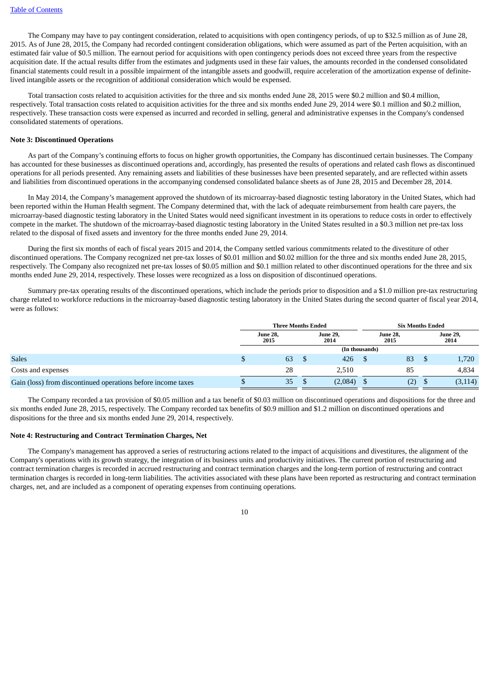The Company may have to pay contingent consideration, related to acquisitions with open contingency periods, of up to \$32.5 million as of June 28, 2015. As of June 28, 2015, the Company had recorded contingent consideration obligations, which were assumed as part of the Perten acquisition, with an estimated fair value of \$0.5 million. The earnout period for acquisitions with open contingency periods does not exceed three years from the respective acquisition date. If the actual results differ from the estimates and judgments used in these fair values, the amounts recorded in the condensed consolidated financial statements could result in a possible impairment of the intangible assets and goodwill, require acceleration of the amortization expense of definitelived intangible assets or the recognition of additional consideration which would be expensed.

Total transaction costs related to acquisition activities for the three and six months ended June 28, 2015 were \$0.2 million and \$0.4 million, respectively. Total transaction costs related to acquisition activities for the three and six months ended June 29, 2014 were \$0.1 million and \$0.2 million, respectively. These transaction costs were expensed as incurred and recorded in selling, general and administrative expenses in the Company's condensed consolidated statements of operations.

#### **Note 3: Discontinued Operations**

As part of the Company's continuing efforts to focus on higher growth opportunities, the Company has discontinued certain businesses. The Company has accounted for these businesses as discontinued operations and, accordingly, has presented the results of operations and related cash flows as discontinued operations for all periods presented. Any remaining assets and liabilities of these businesses have been presented separately, and are reflected within assets and liabilities from discontinued operations in the accompanying condensed consolidated balance sheets as of June 28, 2015 and December 28, 2014.

In May 2014, the Company's management approved the shutdown of its microarray-based diagnostic testing laboratory in the United States, which had been reported within the Human Health segment. The Company determined that, with the lack of adequate reimbursement from health care payers, the microarray-based diagnostic testing laboratory in the United States would need significant investment in its operations to reduce costs in order to effectively compete in the market. The shutdown of the microarray-based diagnostic testing laboratory in the United States resulted in a \$0.3 million net pre-tax loss related to the disposal of fixed assets and inventory for the three months ended June 29, 2014.

During the first six months of each of fiscal years 2015 and 2014, the Company settled various commitments related to the divestiture of other discontinued operations. The Company recognized net pre-tax losses of \$0.01 million and \$0.02 million for the three and six months ended June 28, 2015, respectively. The Company also recognized net pre-tax losses of \$0.05 million and \$0.1 million related to other discontinued operations for the three and six months ended June 29, 2014, respectively. These losses were recognized as a loss on disposition of discontinued operations.

Summary pre-tax operating results of the discontinued operations, which include the periods prior to disposition and a \$1.0 million pre-tax restructuring charge related to workforce reductions in the microarray-based diagnostic testing laboratory in the United States during the second quarter of fiscal year 2014, were as follows:

|                                                              | <b>Three Months Ended</b> |  |                         | <b>Six Months Ended</b> |                         |   |                         |
|--------------------------------------------------------------|---------------------------|--|-------------------------|-------------------------|-------------------------|---|-------------------------|
|                                                              | <b>June 28,</b><br>2015   |  | <b>June 29,</b><br>2014 |                         | <b>June 28,</b><br>2015 |   | <b>June 29,</b><br>2014 |
|                                                              |                           |  |                         | (In thousands)          |                         |   |                         |
| <b>Sales</b>                                                 | 63                        |  | 426                     |                         | 83                      |   | 1,720                   |
| Costs and expenses                                           | 28                        |  | 2.510                   |                         | 85                      |   | 4,834                   |
| Gain (loss) from discontinued operations before income taxes | 35                        |  | (2,084)                 |                         | (2)                     | Ъ | (3, 114)                |

The Company recorded a tax provision of \$0.05 million and a tax benefit of \$0.03 million on discontinued operations and dispositions for the three and six months ended June 28, 2015, respectively. The Company recorded tax benefits of \$0.9 million and \$1.2 million on discontinued operations and dispositions for the three and six months ended June 29, 2014, respectively.

#### **Note 4: Restructuring and Contract Termination Charges, Net**

The Company's management has approved a series of restructuring actions related to the impact of acquisitions and divestitures, the alignment of the Company's operations with its growth strategy, the integration of its business units and productivity initiatives. The current portion of restructuring and contract termination charges is recorded in accrued restructuring and contract termination charges and the long-term portion of restructuring and contract termination charges is recorded in long-term liabilities. The activities associated with these plans have been reported as restructuring and contract termination charges, net, and are included as a component of operating expenses from continuing operations.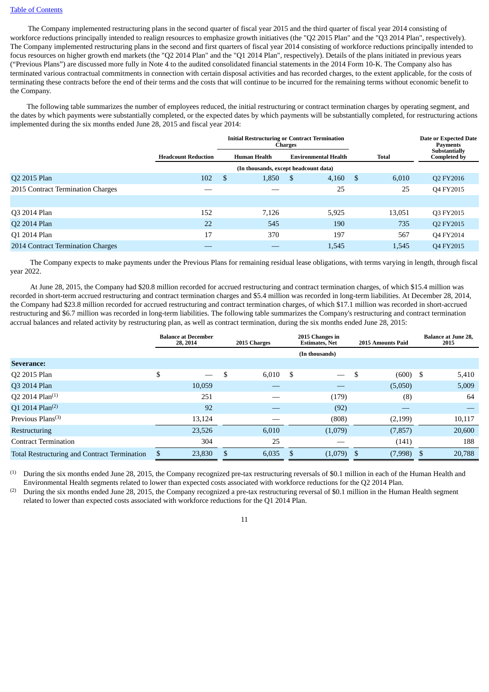#### Table of [Contents](#page-0-0)

The Company implemented restructuring plans in the second quarter of fiscal year 2015 and the third quarter of fiscal year 2014 consisting of workforce reductions principally intended to realign resources to emphasize growth initiatives (the "Q2 2015 Plan" and the "Q3 2014 Plan", respectively). The Company implemented restructuring plans in the second and first quarters of fiscal year 2014 consisting of workforce reductions principally intended to focus resources on higher growth end markets (the "Q2 2014 Plan" and the "Q1 2014 Plan", respectively). Details of the plans initiated in previous years ("Previous Plans") are discussed more fully in Note 4 to the audited consolidated financial statements in the 2014 Form 10-K. The Company also has terminated various contractual commitments in connection with certain disposal activities and has recorded charges, to the extent applicable, for the costs of terminating these contracts before the end of their terms and the costs that will continue to be incurred for the remaining terms without economic benefit to the Company.

The following table summarizes the number of employees reduced, the initial restructuring or contract termination charges by operating segment, and the dates by which payments were substantially completed, or the expected dates by which payments will be substantially completed, for restructuring actions implemented during the six months ended June 28, 2015 and fiscal year 2014:

|                                   |                            | <b>Initial Restructuring or Contract Termination</b><br>Charges |                                       |     |                             |              | <b>Date or Expected Date</b><br>Payments |
|-----------------------------------|----------------------------|-----------------------------------------------------------------|---------------------------------------|-----|-----------------------------|--------------|------------------------------------------|
|                                   | <b>Headcount Reduction</b> |                                                                 | <b>Human Health</b>                   |     | <b>Environmental Health</b> | <b>Total</b> | Substantially<br><b>Completed by</b>     |
|                                   |                            |                                                                 | (In thousands, except headcount data) |     |                             |              |                                          |
| Q2 2015 Plan                      | 102                        | \$                                                              | 1,850                                 | \$. | 4,160                       | \$<br>6,010  | Q2 FY2016                                |
| 2015 Contract Termination Charges |                            |                                                                 |                                       |     | 25                          | 25           | Q4 FY2015                                |
|                                   |                            |                                                                 |                                       |     |                             |              |                                          |
| Q3 2014 Plan                      | 152                        |                                                                 | 7.126                                 |     | 5,925                       | 13,051       | Q3 FY2015                                |
| Q2 2014 Plan                      | 22                         |                                                                 | 545                                   |     | 190                         | 735          | Q2 FY2015                                |
| Q1 2014 Plan                      | 17                         |                                                                 | 370                                   |     | 197                         | 567          | Q4 FY2014                                |
| 2014 Contract Termination Charges |                            |                                                                 |                                       |     | 1.545                       | 1,545        | O4 FY2015                                |

The Company expects to make payments under the Previous Plans for remaining residual lease obligations, with terms varying in length, through fiscal year 2022.

At June 28, 2015, the Company had \$20.8 million recorded for accrued restructuring and contract termination charges, of which \$15.4 million was recorded in short-term accrued restructuring and contract termination charges and \$5.4 million was recorded in long-term liabilities. At December 28, 2014, the Company had \$23.8 million recorded for accrued restructuring and contract termination charges, of which \$17.1 million was recorded in short-accrued restructuring and \$6.7 million was recorded in long-term liabilities. The following table summarizes the Company's restructuring and contract termination accrual balances and related activity by restructuring plan, as well as contract termination, during the six months ended June 28, 2015:

|                                                     | <b>Balance at December</b><br>28, 2014 |    | 2015 Charges |    | 2015 Changes in<br><b>Estimates, Net</b> | 2015 Amounts Paid  |  | <b>Balance at June 28,</b><br>2015 |
|-----------------------------------------------------|----------------------------------------|----|--------------|----|------------------------------------------|--------------------|--|------------------------------------|
|                                                     |                                        |    |              |    | (In thousands)                           |                    |  |                                    |
| <b>Severance:</b>                                   |                                        |    |              |    |                                          |                    |  |                                    |
| Q2 2015 Plan                                        | \$                                     | \$ | 6,010        | -S |                                          | \$<br>$(600)$ \$   |  | 5,410                              |
| Q3 2014 Plan                                        | 10,059                                 |    |              |    |                                          | (5,050)            |  | 5,009                              |
| Q2 2014 Plan $(1)$                                  | 251                                    |    |              |    | (179)                                    | (8)                |  | 64                                 |
| $Q1 2014$ Plan <sup>(2)</sup>                       | 92                                     |    |              |    | (92)                                     |                    |  |                                    |
| Previous $Plans(3)$                                 | 13,124                                 |    |              |    | (808)                                    | (2, 199)           |  | 10,117                             |
| <b>Restructuring</b>                                | 23,526                                 |    | 6,010        |    | (1,079)                                  | (7, 857)           |  | 20,600                             |
| <b>Contract Termination</b>                         | 304                                    |    | 25           |    |                                          | (141)              |  | 188                                |
| <b>Total Restructuring and Contract Termination</b> | 23,830                                 | \$ | 6,035        | S  | (1,079)                                  | $(7,998)$ \$<br>-S |  | 20,788                             |

(1) During the six months ended June 28, 2015, the Company recognized pre-tax restructuring reversals of \$0.1 million in each of the Human Health and Environmental Health segments related to lower than expected costs associated with workforce reductions for the Q2 2014 Plan.

(2) During the six months ended June 28, 2015, the Company recognized a pre-tax restructuring reversal of \$0.1 million in the Human Health segment related to lower than expected costs associated with workforce reductions for the Q1 2014 Plan.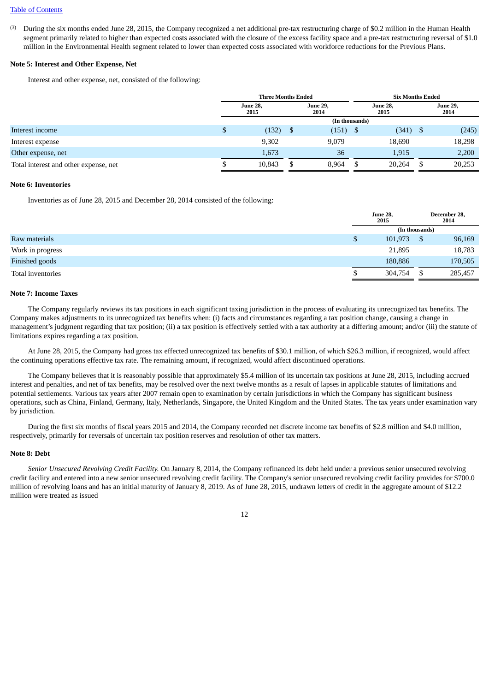#### Table of [Contents](#page-0-0)

<sup>(3)</sup> During the six months ended June 28, 2015, the Company recognized a net additional pre-tax restructuring charge of \$0.2 million in the Human Health segment primarily related to higher than expected costs associated with the closure of the excess facility space and a pre-tax restructuring reversal of \$1.0 million in the Environmental Health segment related to lower than expected costs associated with workforce reductions for the Previous Plans.

#### **Note 5: Interest and Other Expense, Net**

Interest and other expense, net, consisted of the following:

|                                       |                         | <b>Three Months Ended</b> |                         |                |                         | <b>Six Months Ended</b> |   |                         |  |
|---------------------------------------|-------------------------|---------------------------|-------------------------|----------------|-------------------------|-------------------------|---|-------------------------|--|
|                                       | <b>June 28,</b><br>2015 |                           | <b>June 29,</b><br>2014 |                | <b>June 28,</b><br>2015 |                         |   | <b>June 29,</b><br>2014 |  |
|                                       |                         |                           |                         | (In thousands) |                         |                         |   |                         |  |
| Interest income                       | \$                      | (132)                     |                         | (151)          | - \$                    | $(341)$ \$              |   | (245)                   |  |
| Interest expense                      |                         | 9,302                     |                         | 9,079          |                         | 18,690                  |   | 18,298                  |  |
| Other expense, net                    |                         | 1,673                     |                         | 36             |                         | 1,915                   |   | 2,200                   |  |
| Total interest and other expense, net |                         | 10,843                    |                         | 8,964          |                         | 20,264                  | S | 20,253                  |  |

#### **Note 6: Inventories**

Inventories as of June 28, 2015 and December 28, 2014 consisted of the following:

|                   | <b>June 28,</b><br>2015 |                | December 28,<br>2014 |
|-------------------|-------------------------|----------------|----------------------|
|                   |                         | (In thousands) |                      |
| Raw materials     | \$<br>101,973           | <b>S</b>       | 96,169               |
| Work in progress  | 21,895                  |                | 18,783               |
| Finished goods    | 180,886                 |                | 170,505              |
| Total inventories | 304,754                 | \$             | 285,457              |

#### **Note 7: Income Taxes**

The Company regularly reviews its tax positions in each significant taxing jurisdiction in the process of evaluating its unrecognized tax benefits. The Company makes adjustments to its unrecognized tax benefits when: (i) facts and circumstances regarding a tax position change, causing a change in management's judgment regarding that tax position; (ii) a tax position is effectively settled with a tax authority at a differing amount; and/or (iii) the statute of limitations expires regarding a tax position.

At June 28, 2015, the Company had gross tax effected unrecognized tax benefits of \$30.1 million, of which \$26.3 million, if recognized, would affect the continuing operations effective tax rate. The remaining amount, if recognized, would affect discontinued operations.

The Company believes that it is reasonably possible that approximately \$5.4 million of its uncertain tax positions at June 28, 2015, including accrued interest and penalties, and net of tax benefits, may be resolved over the next twelve months as a result of lapses in applicable statutes of limitations and potential settlements. Various tax years after 2007 remain open to examination by certain jurisdictions in which the Company has significant business operations, such as China, Finland, Germany, Italy, Netherlands, Singapore, the United Kingdom and the United States. The tax years under examination vary by jurisdiction.

During the first six months of fiscal years 2015 and 2014, the Company recorded net discrete income tax benefits of \$2.8 million and \$4.0 million, respectively, primarily for reversals of uncertain tax position reserves and resolution of other tax matters.

#### **Note 8: Debt**

*Senior Unsecured Revolving Credit Facility.* On January 8, 2014, the Company refinanced its debt held under a previous senior unsecured revolving credit facility and entered into a new senior unsecured revolving credit facility. The Company's senior unsecured revolving credit facility provides for \$700.0 million of revolving loans and has an initial maturity of January 8, 2019. As of June 28, 2015, undrawn letters of credit in the aggregate amount of \$12.2 million were treated as issued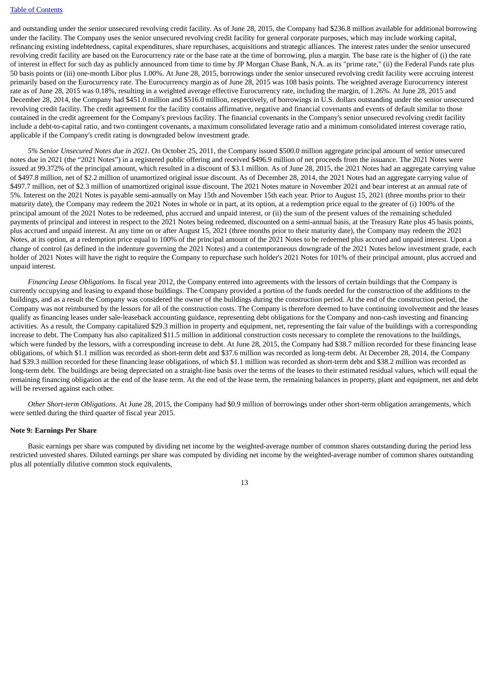and outstanding under the senior unsecured revolving credit facility. As of June 28, 2015, the Company had \$236.8 million available for additional borrowing under the facility. The Company uses the senior unsecured revolving credit facility for general corporate purposes, which may include working capital, refinancing existing indebtedness, capital expenditures, share repurchases, acquisitions and strategic alliances. The interest rates under the senior unsecured revolving credit facility are based on the Eurocurrency rate or the base rate at the time of borrowing, plus a margin. The base rate is the higher of (i) the rate of interest in effect for such day as publicly announced from time to time by JP Morgan Chase Bank, N.A. as its "prime rate," (ii) the Federal Funds rate plus 50 basis points or (iii) one-month Libor plus 1.00%. At June 28, 2015, borrowings under the senior unsecured revolving credit facility were accruing interest primarily based on the Eurocurrency rate. The Eurocurrency margin as of June 28, 2015 was 108 basis points. The weighted average Eurocurrency interest rate as of June 28, 2015 was 0.18%, resulting in a weighted average effective Eurocurrency rate, including the margin, of 1.26%. At June 28, 2015 and December 28, 2014, the Company had \$451.0 million and \$516.0 million, respectively, of borrowings in U.S. dollars outstanding under the senior unsecured revolving credit facility. The credit agreement for the facility contains affirmative, negative and financial covenants and events of default similar to those contained in the credit agreement for the Company's previous facility. The financial covenants in the Company's senior unsecured revolving credit facility include a debt-to-capital ratio, and two contingent covenants, a maximum consolidated leverage ratio and a minimum consolidated interest coverage ratio, applicable if the Company's credit rating is downgraded below investment grade.

*5% Senior Unsecured Notes due in 2021.* On October 25, 2011, the Company issued \$500.0 million aggregate principal amount of senior unsecured notes due in 2021 (the "2021 Notes") in a registered public offering and received \$496.9 million of net proceeds from the issuance. The 2021 Notes were issued at 99.372% of the principal amount, which resulted in a discount of \$3.1 million. As of June 28, 2015, the 2021 Notes had an aggregate carrying value of \$497.8 million, net of \$2.2 million of unamortized original issue discount. As of December 28, 2014, the 2021 Notes had an aggregate carrying value of \$497.7 million, net of \$2.3 million of unamortized original issue discount. The 2021 Notes mature in November 2021 and bear interest at an annual rate of 5%. Interest on the 2021 Notes is payable semi-annually on May 15th and November 15th each year. Prior to August 15, 2021 (three months prior to their maturity date), the Company may redeem the 2021 Notes in whole or in part, at its option, at a redemption price equal to the greater of (i) 100% of the principal amount of the 2021 Notes to be redeemed, plus accrued and unpaid interest, or (ii) the sum of the present values of the remaining scheduled payments of principal and interest in respect to the 2021 Notes being redeemed, discounted on a semi-annual basis, at the Treasury Rate plus 45 basis points, plus accrued and unpaid interest. At any time on or after August 15, 2021 (three months prior to their maturity date), the Company may redeem the 2021 Notes, at its option, at a redemption price equal to 100% of the principal amount of the 2021 Notes to be redeemed plus accrued and unpaid interest. Upon a change of control (as defined in the indenture governing the 2021 Notes) and a contemporaneous downgrade of the 2021 Notes below investment grade, each holder of 2021 Notes will have the right to require the Company to repurchase such holder's 2021 Notes for 101% of their principal amount, plus accrued and unpaid interest.

*Financing Lease Obligations.* In fiscal year 2012, the Company entered into agreements with the lessors of certain buildings that the Company is currently occupying and leasing to expand those buildings. The Company provided a portion of the funds needed for the construction of the additions to the buildings, and as a result the Company was considered the owner of the buildings during the construction period. At the end of the construction period, the Company was not reimbursed by the lessors for all of the construction costs. The Company is therefore deemed to have continuing involvement and the leases qualify as financing leases under sale-leaseback accounting guidance, representing debt obligations for the Company and non-cash investing and financing activities. As a result, the Company capitalized \$29.3 million in property and equipment, net, representing the fair value of the buildings with a corresponding increase to debt. The Company has also capitalized \$11.5 million in additional construction costs necessary to complete the renovations to the buildings, which were funded by the lessors, with a corresponding increase to debt. At June 28, 2015, the Company had \$38.7 million recorded for these financing lease obligations, of which \$1.1 million was recorded as short-term debt and \$37.6 million was recorded as long-term debt. At December 28, 2014, the Company had \$39.3 million recorded for these financing lease obligations, of which \$1.1 million was recorded as short-term debt and \$38.2 million was recorded as long-term debt. The buildings are being depreciated on a straight-line basis over the terms of the leases to their estimated residual values, which will equal the remaining financing obligation at the end of the lease term. At the end of the lease term, the remaining balances in property, plant and equipment, net and debt will be reversed against each other.

*Other Short-term Obligations*. At June 28, 2015, the Company had \$0.9 million of borrowings under other short-term obligation arrangements, which were settled during the third quarter of fiscal year 2015.

#### **Note 9: Earnings Per Share**

Basic earnings per share was computed by dividing net income by the weighted-average number of common shares outstanding during the period less restricted unvested shares. Diluted earnings per share was computed by dividing net income by the weighted-average number of common shares outstanding plus all potentially dilutive common stock equivalents,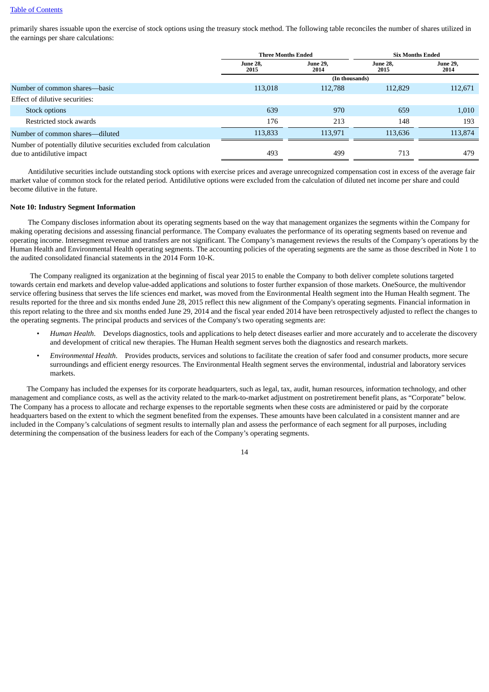#### Table of [Contents](#page-0-0)

primarily shares issuable upon the exercise of stock options using the treasury stock method. The following table reconciles the number of shares utilized in the earnings per share calculations:

|                                                                                                   | <b>Three Months Ended</b> |                         | <b>Six Months Ended</b> |                         |  |
|---------------------------------------------------------------------------------------------------|---------------------------|-------------------------|-------------------------|-------------------------|--|
|                                                                                                   | <b>June 28,</b><br>2015   | <b>June 29,</b><br>2014 |                         | <b>June 29,</b><br>2014 |  |
|                                                                                                   |                           | (In thousands)          |                         |                         |  |
| Number of common shares—basic                                                                     | 113,018                   | 112,788                 | 112,829                 | 112,671                 |  |
| Effect of dilutive securities:                                                                    |                           |                         |                         |                         |  |
| Stock options                                                                                     | 639                       | 970                     | 659                     | 1,010                   |  |
| Restricted stock awards                                                                           | 176                       | 213                     | 148                     | 193                     |  |
| Number of common shares—diluted                                                                   | 113,833                   | 113,971                 | 113,636                 | 113,874                 |  |
| Number of potentially dilutive securities excluded from calculation<br>due to antidilutive impact | 493                       | 499                     | 713                     | 479                     |  |

Antidilutive securities include outstanding stock options with exercise prices and average unrecognized compensation cost in excess of the average fair market value of common stock for the related period. Antidilutive options were excluded from the calculation of diluted net income per share and could become dilutive in the future.

#### **Note 10: Industry Segment Information**

The Company discloses information about its operating segments based on the way that management organizes the segments within the Company for making operating decisions and assessing financial performance. The Company evaluates the performance of its operating segments based on revenue and operating income. Intersegment revenue and transfers are not significant. The Company's management reviews the results of the Company's operations by the Human Health and Environmental Health operating segments. The accounting policies of the operating segments are the same as those described in Note 1 to the audited consolidated financial statements in the 2014 Form 10-K.

The Company realigned its organization at the beginning of fiscal year 2015 to enable the Company to both deliver complete solutions targeted towards certain end markets and develop value-added applications and solutions to foster further expansion of those markets. OneSource, the multivendor service offering business that serves the life sciences end market, was moved from the Environmental Health segment into the Human Health segment. The results reported for the three and six months ended June 28, 2015 reflect this new alignment of the Company's operating segments. Financial information in this report relating to the three and six months ended June 29, 2014 and the fiscal year ended 2014 have been retrospectively adjusted to reflect the changes to the operating segments. The principal products and services of the Company's two operating segments are:

- *Human Health*. Develops diagnostics, tools and applications to help detect diseases earlier and more accurately and to accelerate the discovery and development of critical new therapies. The Human Health segment serves both the diagnostics and research markets.
- *Environmental Health*. Provides products, services and solutions to facilitate the creation of safer food and consumer products, more secure surroundings and efficient energy resources. The Environmental Health segment serves the environmental, industrial and laboratory services markets.

The Company has included the expenses for its corporate headquarters, such as legal, tax, audit, human resources, information technology, and other management and compliance costs, as well as the activity related to the mark-to-market adjustment on postretirement benefit plans, as "Corporate" below. The Company has a process to allocate and recharge expenses to the reportable segments when these costs are administered or paid by the corporate headquarters based on the extent to which the segment benefited from the expenses. These amounts have been calculated in a consistent manner and are included in the Company's calculations of segment results to internally plan and assess the performance of each segment for all purposes, including determining the compensation of the business leaders for each of the Company's operating segments.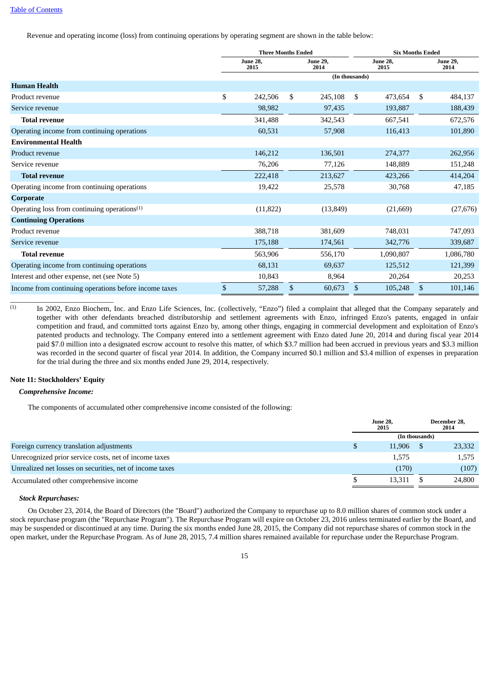Revenue and operating income (loss) from continuing operations by operating segment are shown in the table below:

|                                                          | <b>Three Months Ended</b> |                         |    |                         | <b>Six Months Ended</b> |                         |               |                         |
|----------------------------------------------------------|---------------------------|-------------------------|----|-------------------------|-------------------------|-------------------------|---------------|-------------------------|
|                                                          |                           | <b>June 28,</b><br>2015 |    | <b>June 29,</b><br>2014 |                         | <b>June 28,</b><br>2015 |               | <b>June 29,</b><br>2014 |
|                                                          |                           |                         |    | (In thousands)          |                         |                         |               |                         |
| <b>Human Health</b>                                      |                           |                         |    |                         |                         |                         |               |                         |
| Product revenue                                          | \$                        | 242,506                 | \$ | 245,108                 | \$                      | 473,654                 | -S            | 484,137                 |
| Service revenue                                          |                           | 98,982                  |    | 97,435                  |                         | 193,887                 |               | 188,439                 |
| <b>Total revenue</b>                                     |                           | 341,488                 |    | 342,543                 |                         | 667,541                 |               | 672,576                 |
| Operating income from continuing operations              |                           | 60,531                  |    | 57,908                  |                         | 116,413                 |               | 101,890                 |
| <b>Environmental Health</b>                              |                           |                         |    |                         |                         |                         |               |                         |
| Product revenue                                          |                           | 146,212                 |    | 136,501                 |                         | 274,377                 |               | 262,956                 |
| Service revenue                                          |                           | 76,206                  |    | 77,126                  |                         | 148,889                 |               | 151,248                 |
| <b>Total revenue</b>                                     |                           | 222,418                 |    | 213,627                 |                         | 423,266                 |               | 414,204                 |
| Operating income from continuing operations              |                           | 19,422                  |    | 25,578                  |                         | 30,768                  |               | 47,185                  |
| Corporate                                                |                           |                         |    |                         |                         |                         |               |                         |
| Operating loss from continuing operations <sup>(1)</sup> |                           | (11, 822)               |    | (13, 849)               |                         | (21,669)                |               | (27, 676)               |
| <b>Continuing Operations</b>                             |                           |                         |    |                         |                         |                         |               |                         |
| Product revenue                                          |                           | 388,718                 |    | 381,609                 |                         | 748,031                 |               | 747,093                 |
| Service revenue                                          |                           | 175,188                 |    | 174,561                 |                         | 342,776                 |               | 339,687                 |
| <b>Total revenue</b>                                     |                           | 563,906                 |    | 556,170                 |                         | 1,090,807               |               | 1,086,780               |
| Operating income from continuing operations              |                           | 68,131                  |    | 69,637                  |                         | 125,512                 |               | 121,399                 |
| Interest and other expense, net (see Note 5)             |                           | 10,843                  |    | 8,964                   |                         | 20,264                  |               | 20,253                  |
| Income from continuing operations before income taxes    | \$                        | 57,288                  | \$ | 60,673                  | \$                      | 105,248                 | <sup>\$</sup> | 101,146                 |

 $\overline{10}$  In 2002, Enzo Biochem, Inc. and Enzo Life Sciences, Inc. (collectively, "Enzo") filed a complaint that alleged that the Company separately and together with other defendants breached distributorship and settlement agreements with Enzo, infringed Enzo's patents, engaged in unfair competition and fraud, and committed torts against Enzo by, among other things, engaging in commercial development and exploitation of Enzo's patented products and technology. The Company entered into a settlement agreement with Enzo dated June 20, 2014 and during fiscal year 2014 paid \$7.0 million into a designated escrow account to resolve this matter, of which \$3.7 million had been accrued in previous years and \$3.3 million was recorded in the second quarter of fiscal year 2014. In addition, the Company incurred \$0.1 million and \$3.4 million of expenses in preparation for the trial during the three and six months ended June 29, 2014, respectively.

#### **Note 11: Stockholders' Equity**

\_\_\_\_\_\_\_\_\_\_\_\_\_\_\_\_\_\_\_\_\_\_\_\_\_\_\_\_

### *Comprehensive Income:*

The components of accumulated other comprehensive income consisted of the following:

|                                                          | <b>June 28,</b><br>2015 |  | December 28,<br>2014 |
|----------------------------------------------------------|-------------------------|--|----------------------|
|                                                          | (In thousands)          |  |                      |
| Foreign currency translation adjustments                 | 11.906                  |  | 23,332               |
| Unrecognized prior service costs, net of income taxes    | 1,575                   |  | 1,575                |
| Unrealized net losses on securities, net of income taxes | (170)                   |  | (107)                |
| Accumulated other comprehensive income                   | 13,311                  |  | 24,800               |

#### *Stock Repurchases:*

On October 23, 2014, the Board of Directors (the "Board") authorized the Company to repurchase up to 8.0 million shares of common stock under a stock repurchase program (the "Repurchase Program"). The Repurchase Program will expire on October 23, 2016 unless terminated earlier by the Board, and may be suspended or discontinued at any time. During the six months ended June 28, 2015, the Company did not repurchase shares of common stock in the open market, under the Repurchase Program. As of June 28, 2015, 7.4 million shares remained available for repurchase under the Repurchase Program.

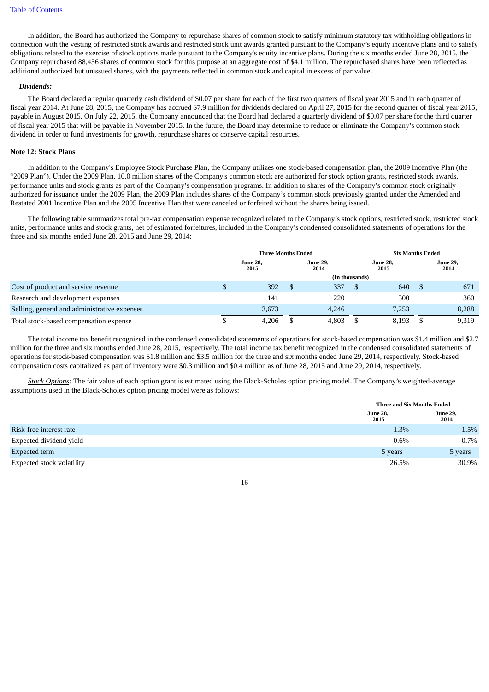In addition, the Board has authorized the Company to repurchase shares of common stock to satisfy minimum statutory tax withholding obligations in connection with the vesting of restricted stock awards and restricted stock unit awards granted pursuant to the Company's equity incentive plans and to satisfy obligations related to the exercise of stock options made pursuant to the Company's equity incentive plans. During the six months ended June 28, 2015, the Company repurchased 88,456 shares of common stock for this purpose at an aggregate cost of \$4.1 million. The repurchased shares have been reflected as additional authorized but unissued shares, with the payments reflected in common stock and capital in excess of par value.

#### *Dividends:*

The Board declared a regular quarterly cash dividend of \$0.07 per share for each of the first two quarters of fiscal year 2015 and in each quarter of fiscal year 2014. At June 28, 2015, the Company has accrued \$7.9 million for dividends declared on April 27, 2015 for the second quarter of fiscal year 2015, payable in August 2015. On July 22, 2015, the Company announced that the Board had declared a quarterly dividend of \$0.07 per share for the third quarter of fiscal year 2015 that will be payable in November 2015. In the future, the Board may determine to reduce or eliminate the Company's common stock dividend in order to fund investments for growth, repurchase shares or conserve capital resources.

#### **Note 12: Stock Plans**

In addition to the Company's Employee Stock Purchase Plan, the Company utilizes one stock-based compensation plan, the 2009 Incentive Plan (the "2009 Plan"). Under the 2009 Plan, 10.0 million shares of the Company's common stock are authorized for stock option grants, restricted stock awards, performance units and stock grants as part of the Company's compensation programs. In addition to shares of the Company's common stock originally authorized for issuance under the 2009 Plan, the 2009 Plan includes shares of the Company's common stock previously granted under the Amended and Restated 2001 Incentive Plan and the 2005 Incentive Plan that were canceled or forfeited without the shares being issued.

The following table summarizes total pre-tax compensation expense recognized related to the Company's stock options, restricted stock, restricted stock units, performance units and stock grants, net of estimated forfeitures, included in the Company's condensed consolidated statements of operations for the three and six months ended June 28, 2015 and June 29, 2014:

|                                              |                | <b>Three Months Ended</b> |  |                         |  | <b>Six Months Ended</b> |  |                         |  |  |
|----------------------------------------------|----------------|---------------------------|--|-------------------------|--|-------------------------|--|-------------------------|--|--|
|                                              |                | <b>June 28,</b><br>2015   |  | <b>June 29,</b><br>2014 |  | <b>June 28,</b><br>2015 |  | <b>June 29,</b><br>2014 |  |  |
|                                              | (In thousands) |                           |  |                         |  |                         |  |                         |  |  |
| Cost of product and service revenue          |                | 392                       |  | 337                     |  | 640                     |  | 671                     |  |  |
| Research and development expenses            |                | 141                       |  | 220                     |  | 300                     |  | 360                     |  |  |
| Selling, general and administrative expenses |                | 3,673                     |  | 4.246                   |  | 7.253                   |  | 8,288                   |  |  |
| Total stock-based compensation expense       |                | 4.206                     |  | 4,803                   |  | 8,193                   |  | 9,319                   |  |  |

The total income tax benefit recognized in the condensed consolidated statements of operations for stock-based compensation was \$1.4 million and \$2.7 million for the three and six months ended June 28, 2015, respectively. The total income tax benefit recognized in the condensed consolidated statements of operations for stock-based compensation was \$1.8 million and \$3.5 million for the three and six months ended June 29, 2014, respectively. Stock-based compensation costs capitalized as part of inventory were \$0.3 million and \$0.4 million as of June 28, 2015 and June 29, 2014, respectively.

*Stock Options:* The fair value of each option grant is estimated using the Black-Scholes option pricing model. The Company's weighted-average assumptions used in the Black-Scholes option pricing model were as follows:

|                           | <b>Three and Six Months Ended</b> |                         |
|---------------------------|-----------------------------------|-------------------------|
|                           | <b>June 28,</b><br>2015           | <b>June 29,</b><br>2014 |
| Risk-free interest rate   | 1.3%                              | 1.5%                    |
| Expected dividend yield   | $0.6\%$                           | $0.7\%$                 |
| <b>Expected term</b>      | 5 years                           | 5 years                 |
| Expected stock volatility | 26.5%                             | 30.9%                   |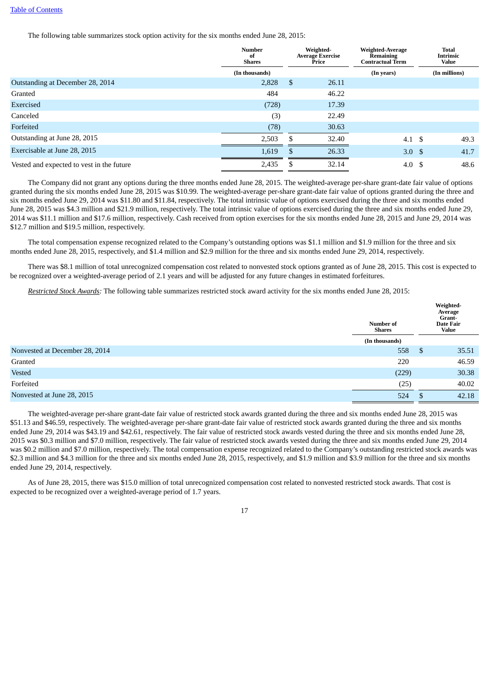The following table summarizes stock option activity for the six months ended June 28, 2015:

|                                           | <b>Number</b><br>оf<br><b>Shares</b> | Weighted-<br><b>Average Exercise</b><br>Price |       | <b>Weighted-Average</b><br>Remaining<br><b>Contractual Term</b> | <b>Total</b><br><b>Intrinsic</b><br>Value |
|-------------------------------------------|--------------------------------------|-----------------------------------------------|-------|-----------------------------------------------------------------|-------------------------------------------|
|                                           | (In thousands)                       |                                               |       | (In years)                                                      | (In millions)                             |
| Outstanding at December 28, 2014          | 2,828                                | -\$                                           | 26.11 |                                                                 |                                           |
| Granted                                   | 484                                  |                                               | 46.22 |                                                                 |                                           |
| Exercised                                 | (728)                                |                                               | 17.39 |                                                                 |                                           |
| Canceled                                  | (3)                                  |                                               | 22.49 |                                                                 |                                           |
| Forfeited                                 | (78)                                 |                                               | 30.63 |                                                                 |                                           |
| Outstanding at June 28, 2015              | 2,503                                | - \$                                          | 32.40 | $4.1 \quad$ \$                                                  | 49.3                                      |
| Exercisable at June 28, 2015              | 1,619                                | <sup>\$</sup>                                 | 26.33 | 3.0 <sup>5</sup>                                                | 41.7                                      |
| Vested and expected to vest in the future | 2,435                                | -S                                            | 32.14 | 4.0 \$                                                          | 48.6                                      |

The Company did not grant any options during the three months ended June 28, 2015. The weighted-average per-share grant-date fair value of options granted during the six months ended June 28, 2015 was \$10.99. The weighted-average per-share grant-date fair value of options granted during the three and six months ended June 29, 2014 was \$11.80 and \$11.84, respectively. The total intrinsic value of options exercised during the three and six months ended June 28, 2015 was \$4.3 million and \$21.9 million, respectively. The total intrinsic value of options exercised during the three and six months ended June 29, 2014 was \$11.1 million and \$17.6 million, respectively. Cash received from option exercises for the six months ended June 28, 2015 and June 29, 2014 was \$12.7 million and \$19.5 million, respectively.

The total compensation expense recognized related to the Company's outstanding options was \$1.1 million and \$1.9 million for the three and six months ended June 28, 2015, respectively, and \$1.4 million and \$2.9 million for the three and six months ended June 29, 2014, respectively.

There was \$8.1 million of total unrecognized compensation cost related to nonvested stock options granted as of June 28, 2015. This cost is expected to be recognized over a weighted-average period of 2.1 years and will be adjusted for any future changes in estimated forfeitures.

*Restricted Stock Awards:* The following table summarizes restricted stock award activity for the six months ended June 28, 2015:

|                                | Number of<br>Shares |     | Weighted-<br>Average<br>Grant-<br>Date Fair<br>Value |
|--------------------------------|---------------------|-----|------------------------------------------------------|
|                                | (In thousands)      |     |                                                      |
| Nonvested at December 28, 2014 | 558                 | -\$ | 35.51                                                |
| Granted                        | 220                 |     | 46.59                                                |
| Vested                         | (229)               |     | 30.38                                                |
| Forfeited                      | (25)                |     | 40.02                                                |
| Nonvested at June 28, 2015     | 524                 | S   | 42.18                                                |

The weighted-average per-share grant-date fair value of restricted stock awards granted during the three and six months ended June 28, 2015 was \$51.13 and \$46.59, respectively. The weighted-average per-share grant-date fair value of restricted stock awards granted during the three and six months ended June 29, 2014 was \$43.19 and \$42.61, respectively. The fair value of restricted stock awards vested during the three and six months ended June 28, 2015 was \$0.3 million and \$7.0 million, respectively. The fair value of restricted stock awards vested during the three and six months ended June 29, 2014 was \$0.2 million and \$7.0 million, respectively. The total compensation expense recognized related to the Company's outstanding restricted stock awards was \$2.3 million and \$4.3 million for the three and six months ended June 28, 2015, respectively, and \$1.9 million and \$3.9 million for the three and six months ended June 29, 2014, respectively.

As of June 28, 2015, there was \$15.0 million of total unrecognized compensation cost related to nonvested restricted stock awards. That cost is expected to be recognized over a weighted-average period of 1.7 years.

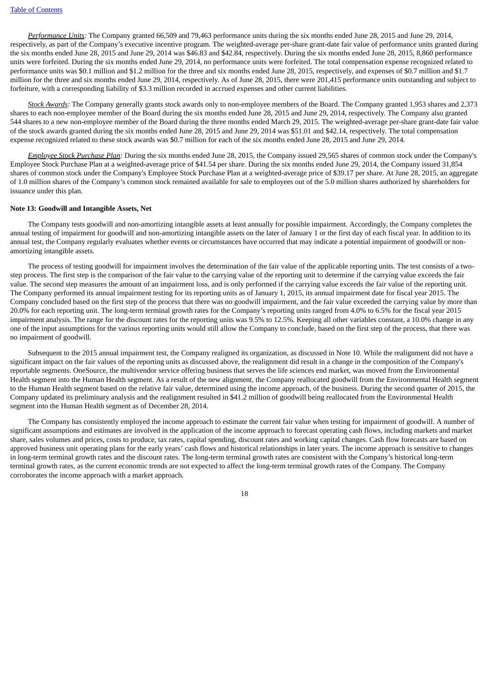*Performance Units:* The Company granted 66,509 and 79,463 performance units during the six months ended June 28, 2015 and June 29, 2014, respectively, as part of the Company's executive incentive program. The weighted-average per-share grant-date fair value of performance units granted during the six months ended June 28, 2015 and June 29, 2014 was \$46.83 and \$42.84, respectively. During the six months ended June 28, 2015, 8,860 performance units were forfeited. During the six months ended June 29, 2014, no performance units were forfeited. The total compensation expense recognized related to performance units was \$0.1 million and \$1.2 million for the three and six months ended June 28, 2015, respectively, and expenses of \$0.7 million and \$1.7 million for the three and six months ended June 29, 2014, respectively. As of June 28, 2015, there were 201,415 performance units outstanding and subject to forfeiture, with a corresponding liability of \$3.3 million recorded in accrued expenses and other current liabilities.

*Stock Awards:* The Company generally grants stock awards only to non-employee members of the Board. The Company granted 1,953 shares and 2,373 shares to each non-employee member of the Board during the six months ended June 28, 2015 and June 29, 2014, respectively. The Company also granted 544 shares to a new non-employee member of the Board during the three months ended March 29, 2015. The weighted-average per-share grant-date fair value of the stock awards granted during the six months ended June 28, 2015 and June 29, 2014 was \$51.01 and \$42.14, respectively. The total compensation expense recognized related to these stock awards was \$0.7 million for each of the six months ended June 28, 2015 and June 29, 2014.

*Employee Stock Purchase Plan:* During the six months ended June 28, 2015, the Company issued 29,565 shares of common stock under the Company's Employee Stock Purchase Plan at a weighted-average price of \$41.54 per share. During the six months ended June 29, 2014, the Company issued 31,854 shares of common stock under the Company's Employee Stock Purchase Plan at a weighted-average price of \$39.17 per share. At June 28, 2015, an aggregate of 1.0 million shares of the Company's common stock remained available for sale to employees out of the 5.0 million shares authorized by shareholders for issuance under this plan.

#### **Note 13: Goodwill and Intangible Assets, Net**

The Company tests goodwill and non-amortizing intangible assets at least annually for possible impairment. Accordingly, the Company completes the annual testing of impairment for goodwill and non-amortizing intangible assets on the later of January 1 or the first day of each fiscal year. In addition to its annual test, the Company regularly evaluates whether events or circumstances have occurred that may indicate a potential impairment of goodwill or nonamortizing intangible assets.

The process of testing goodwill for impairment involves the determination of the fair value of the applicable reporting units. The test consists of a twostep process. The first step is the comparison of the fair value to the carrying value of the reporting unit to determine if the carrying value exceeds the fair value. The second step measures the amount of an impairment loss, and is only performed if the carrying value exceeds the fair value of the reporting unit. The Company performed its annual impairment testing for its reporting units as of January 1, 2015, its annual impairment date for fiscal year 2015. The Company concluded based on the first step of the process that there was no goodwill impairment, and the fair value exceeded the carrying value by more than 20.0% for each reporting unit. The long-term terminal growth rates for the Company's reporting units ranged from 4.0% to 6.5% for the fiscal year 2015 impairment analysis. The range for the discount rates for the reporting units was 9.5% to 12.5%. Keeping all other variables constant, a 10.0% change in any one of the input assumptions for the various reporting units would still allow the Company to conclude, based on the first step of the process, that there was no impairment of goodwill.

Subsequent to the 2015 annual impairment test, the Company realigned its organization, as discussed in Note 10. While the realignment did not have a significant impact on the fair values of the reporting units as discussed above, the realignment did result in a change in the composition of the Company's reportable segments. OneSource, the multivendor service offering business that serves the life sciences end market, was moved from the Environmental Health segment into the Human Health segment. As a result of the new alignment, the Company reallocated goodwill from the Environmental Health segment to the Human Health segment based on the relative fair value, determined using the income approach, of the business. During the second quarter of 2015, the Company updated its preliminary analysis and the realignment resulted in \$41.2 million of goodwill being reallocated from the Environmental Health segment into the Human Health segment as of December 28, 2014.

The Company has consistently employed the income approach to estimate the current fair value when testing for impairment of goodwill. A number of significant assumptions and estimates are involved in the application of the income approach to forecast operating cash flows, including markets and market share, sales volumes and prices, costs to produce, tax rates, capital spending, discount rates and working capital changes. Cash flow forecasts are based on approved business unit operating plans for the early years' cash flows and historical relationships in later years. The income approach is sensitive to changes in long-term terminal growth rates and the discount rates. The long-term terminal growth rates are consistent with the Company's historical long-term terminal growth rates, as the current economic trends are not expected to affect the long-term terminal growth rates of the Company. The Company corroborates the income approach with a market approach.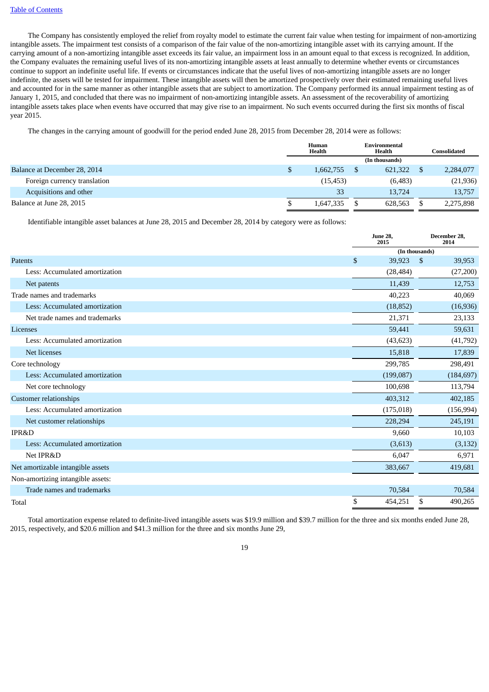The Company has consistently employed the relief from royalty model to estimate the current fair value when testing for impairment of non-amortizing intangible assets. The impairment test consists of a comparison of the fair value of the non-amortizing intangible asset with its carrying amount. If the carrying amount of a non-amortizing intangible asset exceeds its fair value, an impairment loss in an amount equal to that excess is recognized*.* In addition, the Company evaluates the remaining useful lives of its non-amortizing intangible assets at least annually to determine whether events or circumstances continue to support an indefinite useful life. If events or circumstances indicate that the useful lives of non-amortizing intangible assets are no longer indefinite, the assets will be tested for impairment. These intangible assets will then be amortized prospectively over their estimated remaining useful lives and accounted for in the same manner as other intangible assets that are subject to amortization. The Company performed its annual impairment testing as of January 1, 2015, and concluded that there was no impairment of non-amortizing intangible assets. An assessment of the recoverability of amortizing intangible assets takes place when events have occurred that may give rise to an impairment. No such events occurred during the first six months of fiscal year 2015.

The changes in the carrying amount of goodwill for the period ended June 28, 2015 from December 28, 2014 were as follows:

|                              | Human<br>Health |           |  | Environmental<br>Health | Consolidated |
|------------------------------|-----------------|-----------|--|-------------------------|--------------|
|                              |                 |           |  |                         |              |
| Balance at December 28, 2014 |                 | 1,662,755 |  | 621,322                 | 2,284,077    |
| Foreign currency translation |                 | (15, 453) |  | (6,483)                 | (21, 936)    |
| Acquisitions and other       |                 | 33        |  | 13.724                  | 13,757       |
| Balance at June 28, 2015     |                 | 1,647,335 |  | 628,563                 | 2,275,898    |

Identifiable intangible asset balances at June 28, 2015 and December 28, 2014 by category were as follows:

|                                   | <b>June 28,</b><br>2015 |               | December 28,<br>2014 |
|-----------------------------------|-------------------------|---------------|----------------------|
|                                   | (In thousands)          |               |                      |
| Patents                           | \$<br>39,923            | <sup>\$</sup> | 39,953               |
| Less: Accumulated amortization    | (28, 484)               |               | (27,200)             |
| Net patents                       | 11,439                  |               | 12,753               |
| Trade names and trademarks        | 40,223                  |               | 40,069               |
| Less: Accumulated amortization    | (18, 852)               |               | (16, 936)            |
| Net trade names and trademarks    | 21,371                  |               | 23,133               |
| Licenses                          | 59,441                  |               | 59,631               |
| Less: Accumulated amortization    | (43, 623)               |               | (41,792)             |
| Net licenses                      | 15,818                  |               | 17,839               |
| Core technology                   | 299,785                 |               | 298,491              |
| Less: Accumulated amortization    | (199,087)               |               | (184, 697)           |
| Net core technology               | 100,698                 |               | 113,794              |
| <b>Customer relationships</b>     | 403,312                 |               | 402,185              |
| Less: Accumulated amortization    | (175, 018)              |               | (156, 994)           |
| Net customer relationships        | 228,294                 |               | 245,191              |
| <b>IPR&amp;D</b>                  | 9,660                   |               | 10,103               |
| Less: Accumulated amortization    | (3,613)                 |               | (3, 132)             |
| Net IPR&D                         | 6,047                   |               | 6,971                |
| Net amortizable intangible assets | 383,667                 |               | 419,681              |
| Non-amortizing intangible assets: |                         |               |                      |
| Trade names and trademarks        | 70,584                  |               | 70,584               |
| Total                             | \$<br>454,251           | \$            | 490,265              |

Total amortization expense related to definite-lived intangible assets was \$19.9 million and \$39.7 million for the three and six months ended June 28, 2015, respectively, and \$20.6 million and \$41.3 million for the three and six months June 29,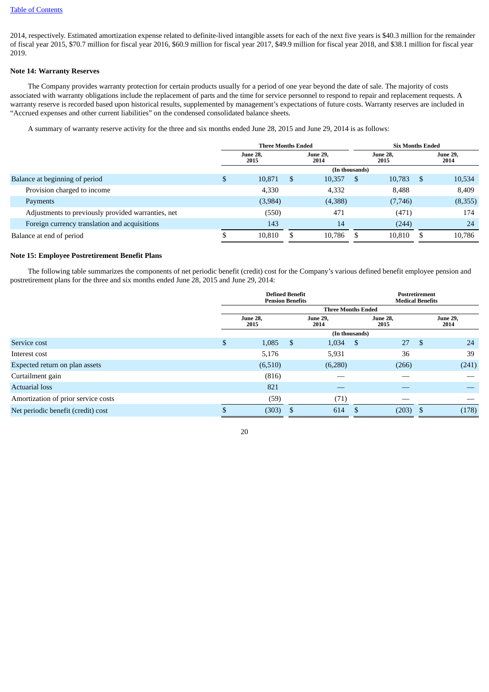2014, respectively. Estimated amortization expense related to definite-lived intangible assets for each of the next five years is \$40.3 million for the remainder of fiscal year 2015, \$70.7 million for fiscal year 2016, \$60.9 million for fiscal year 2017, \$49.9 million for fiscal year 2018, and \$38.1 million for fiscal year 2019.

#### **Note 14: Warranty Reserves**

The Company provides warranty protection for certain products usually for a period of one year beyond the date of sale. The majority of costs associated with warranty obligations include the replacement of parts and the time for service personnel to respond to repair and replacement requests. A warranty reserve is recorded based upon historical results, supplemented by management's expectations of future costs. Warranty reserves are included in "Accrued expenses and other current liabilities" on the condensed consolidated balance sheets.

A summary of warranty reserve activity for the three and six months ended June 28, 2015 and June 29, 2014 is as follows:

|                                                    | <b>Three Months Ended</b> |         |                         |                | <b>Six Months Ended</b> |         |    |                         |
|----------------------------------------------------|---------------------------|---------|-------------------------|----------------|-------------------------|---------|----|-------------------------|
|                                                    | <b>June 28,</b><br>2015   |         | <b>June 29,</b><br>2014 |                | <b>June 28,</b><br>2015 |         |    | <b>June 29,</b><br>2014 |
|                                                    |                           |         |                         | (In thousands) |                         |         |    |                         |
| Balance at beginning of period                     | \$                        | 10,871  | - \$                    | 10,357         | <sup>\$</sup>           | 10,783  | -S | 10,534                  |
| Provision charged to income                        |                           | 4,330   |                         | 4,332          |                         | 8.488   |    | 8,409                   |
| <b>Payments</b>                                    |                           | (3,984) |                         | (4,388)        |                         | (7,746) |    | (8,355)                 |
| Adjustments to previously provided warranties, net |                           | (550)   |                         | 471            |                         | (471)   |    | 174                     |
| Foreign currency translation and acquisitions      |                           | 143     |                         | 14             |                         | (244)   |    | 24                      |
| Balance at end of period                           |                           | 10,810  |                         | 10,786         |                         | 10,810  |    | 10,786                  |

### **Note 15: Employee Postretirement Benefit Plans**

The following table summarizes the components of net periodic benefit (credit) cost for the Company's various defined benefit employee pension and postretirement plans for the three and six months ended June 28, 2015 and June 29, 2014:

|                                     | <b>Defined Benefit</b><br><b>Pension Benefits</b> |                         |    |                           |     | Postretirement<br><b>Medical Benefits</b> |      |                         |  |
|-------------------------------------|---------------------------------------------------|-------------------------|----|---------------------------|-----|-------------------------------------------|------|-------------------------|--|
|                                     |                                                   |                         |    | <b>Three Months Ended</b> |     |                                           |      |                         |  |
|                                     |                                                   | <b>June 28,</b><br>2015 |    | <b>June 29,</b><br>2014   |     | <b>June 28,</b><br>2015                   |      | <b>June 29,</b><br>2014 |  |
|                                     |                                                   |                         |    | (In thousands)            |     |                                           |      |                         |  |
| Service cost                        | \$                                                | 1,085                   | \$ | 1,034                     | -\$ | 27                                        | - \$ | 24                      |  |
| Interest cost                       |                                                   | 5,176                   |    | 5,931                     |     | 36                                        |      | 39                      |  |
| Expected return on plan assets      |                                                   | (6,510)                 |    | (6,280)                   |     | (266)                                     |      | (241)                   |  |
| Curtailment gain                    |                                                   | (816)                   |    |                           |     |                                           |      |                         |  |
| <b>Actuarial loss</b>               |                                                   | 821                     |    |                           |     |                                           |      |                         |  |
| Amortization of prior service costs |                                                   | (59)                    |    | (71)                      |     |                                           |      |                         |  |
| Net periodic benefit (credit) cost  |                                                   | (303)                   | S  | 614                       |     | (203)                                     | - S  | (178)                   |  |

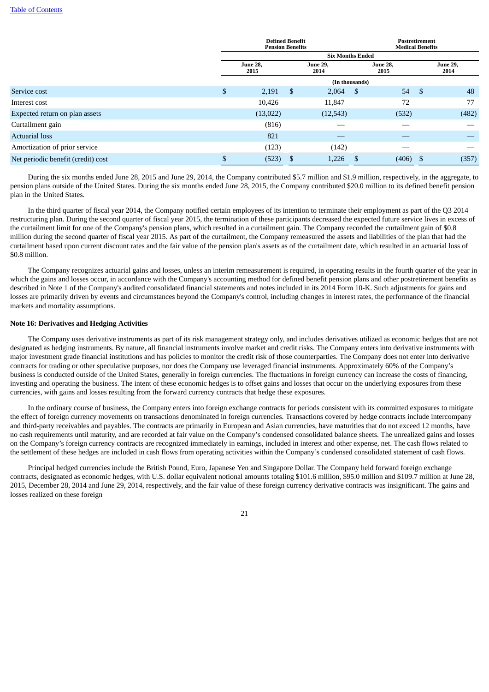|                                    | <b>Defined Benefit</b><br><b>Pension Benefits</b> |                         |    |                         |    | Postretirement<br><b>Medical Benefits</b> |      |                         |  |
|------------------------------------|---------------------------------------------------|-------------------------|----|-------------------------|----|-------------------------------------------|------|-------------------------|--|
|                                    |                                                   |                         |    | <b>Six Months Ended</b> |    |                                           |      |                         |  |
|                                    |                                                   | <b>June 28,</b><br>2015 |    | <b>June 29,</b><br>2014 |    | <b>June 28,</b><br>2015                   |      | <b>June 29,</b><br>2014 |  |
|                                    |                                                   |                         |    | (In thousands)          |    |                                           |      |                         |  |
| Service cost                       | \$                                                | 2,191                   | \$ | 2,064                   | \$ | 54                                        | - \$ | 48                      |  |
| Interest cost                      |                                                   | 10,426                  |    | 11,847                  |    | 72                                        |      | 77                      |  |
| Expected return on plan assets     |                                                   | (13,022)                |    | (12, 543)               |    | (532)                                     |      | (482)                   |  |
| Curtailment gain                   |                                                   | (816)                   |    |                         |    |                                           |      |                         |  |
| <b>Actuarial loss</b>              |                                                   | 821                     |    |                         |    |                                           |      |                         |  |
| Amortization of prior service      |                                                   | (123)                   |    | (142)                   |    |                                           |      |                         |  |
| Net periodic benefit (credit) cost | ¢                                                 | (523)                   | \$ | 1,226                   | S  | (406)                                     | - \$ | (357)                   |  |

During the six months ended June 28, 2015 and June 29, 2014, the Company contributed \$5.7 million and \$1.9 million, respectively, in the aggregate, to pension plans outside of the United States. During the six months ended June 28, 2015, the Company contributed \$20.0 million to its defined benefit pension plan in the United States.

In the third quarter of fiscal year 2014, the Company notified certain employees of its intention to terminate their employment as part of the Q3 2014 restructuring plan. During the second quarter of fiscal year 2015, the termination of these participants decreased the expected future service lives in excess of the curtailment limit for one of the Company's pension plans, which resulted in a curtailment gain. The Company recorded the curtailment gain of \$0.8 million during the second quarter of fiscal year 2015. As part of the curtailment, the Company remeasured the assets and liabilities of the plan that had the curtailment based upon current discount rates and the fair value of the pension plan's assets as of the curtailment date, which resulted in an actuarial loss of \$0.8 million.

The Company recognizes actuarial gains and losses, unless an interim remeasurement is required, in operating results in the fourth quarter of the year in which the gains and losses occur, in accordance with the Company's accounting method for defined benefit pension plans and other postretirement benefits as described in Note 1 of the Company's audited consolidated financial statements and notes included in its 2014 Form 10-K. Such adjustments for gains and losses are primarily driven by events and circumstances beyond the Company's control, including changes in interest rates, the performance of the financial markets and mortality assumptions.

#### **Note 16: Derivatives and Hedging Activities**

The Company uses derivative instruments as part of its risk management strategy only, and includes derivatives utilized as economic hedges that are not designated as hedging instruments. By nature, all financial instruments involve market and credit risks. The Company enters into derivative instruments with major investment grade financial institutions and has policies to monitor the credit risk of those counterparties. The Company does not enter into derivative contracts for trading or other speculative purposes, nor does the Company use leveraged financial instruments. Approximately 60% of the Company's business is conducted outside of the United States, generally in foreign currencies. The fluctuations in foreign currency can increase the costs of financing, investing and operating the business. The intent of these economic hedges is to offset gains and losses that occur on the underlying exposures from these currencies, with gains and losses resulting from the forward currency contracts that hedge these exposures.

In the ordinary course of business, the Company enters into foreign exchange contracts for periods consistent with its committed exposures to mitigate the effect of foreign currency movements on transactions denominated in foreign currencies. Transactions covered by hedge contracts include intercompany and third-party receivables and payables. The contracts are primarily in European and Asian currencies, have maturities that do not exceed 12 months, have no cash requirements until maturity, and are recorded at fair value on the Company's condensed consolidated balance sheets. The unrealized gains and losses on the Company's foreign currency contracts are recognized immediately in earnings, included in interest and other expense, net. The cash flows related to the settlement of these hedges are included in cash flows from operating activities within the Company's condensed consolidated statement of cash flows.

Principal hedged currencies include the British Pound, Euro, Japanese Yen and Singapore Dollar. The Company held forward foreign exchange contracts, designated as economic hedges, with U.S. dollar equivalent notional amounts totaling \$101.6 million, \$95.0 million and \$109.7 million at June 28, 2015, December 28, 2014 and June 29, 2014, respectively, and the fair value of these foreign currency derivative contracts was insignificant. The gains and losses realized on these foreign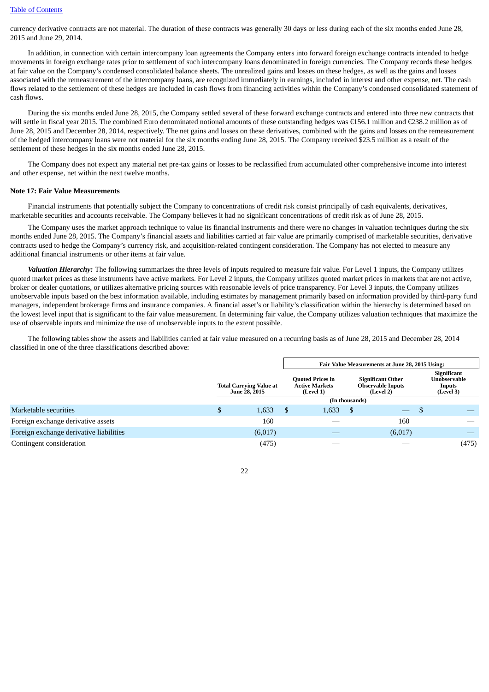currency derivative contracts are not material. The duration of these contracts was generally 30 days or less during each of the six months ended June 28, 2015 and June 29, 2014.

In addition, in connection with certain intercompany loan agreements the Company enters into forward foreign exchange contracts intended to hedge movements in foreign exchange rates prior to settlement of such intercompany loans denominated in foreign currencies. The Company records these hedges at fair value on the Company's condensed consolidated balance sheets. The unrealized gains and losses on these hedges, as well as the gains and losses associated with the remeasurement of the intercompany loans, are recognized immediately in earnings, included in interest and other expense, net. The cash flows related to the settlement of these hedges are included in cash flows from financing activities within the Company's condensed consolidated statement of cash flows.

During the six months ended June 28, 2015, the Company settled several of these forward exchange contracts and entered into three new contracts that will settle in fiscal year 2015. The combined Euro denominated notional amounts of these outstanding hedges was €156.1 million and €238.2 million as of June 28, 2015 and December 28, 2014, respectively. The net gains and losses on these derivatives, combined with the gains and losses on the remeasurement of the hedged intercompany loans were not material for the six months ending June 28, 2015. The Company received \$23.5 million as a result of the settlement of these hedges in the six months ended June 28, 2015.

The Company does not expect any material net pre-tax gains or losses to be reclassified from accumulated other comprehensive income into interest and other expense, net within the next twelve months.

#### **Note 17: Fair Value Measurements**

Financial instruments that potentially subject the Company to concentrations of credit risk consist principally of cash equivalents, derivatives, marketable securities and accounts receivable. The Company believes it had no significant concentrations of credit risk as of June 28, 2015.

The Company uses the market approach technique to value its financial instruments and there were no changes in valuation techniques during the six months ended June 28, 2015. The Company's financial assets and liabilities carried at fair value are primarily comprised of marketable securities, derivative contracts used to hedge the Company's currency risk, and acquisition-related contingent consideration. The Company has not elected to measure any additional financial instruments or other items at fair value.

*Valuation Hierarchy:* The following summarizes the three levels of inputs required to measure fair value. For Level 1 inputs, the Company utilizes quoted market prices as these instruments have active markets. For Level 2 inputs, the Company utilizes quoted market prices in markets that are not active, broker or dealer quotations, or utilizes alternative pricing sources with reasonable levels of price transparency. For Level 3 inputs, the Company utilizes unobservable inputs based on the best information available, including estimates by management primarily based on information provided by third-party fund managers, independent brokerage firms and insurance companies. A financial asset's or liability's classification within the hierarchy is determined based on the lowest level input that is significant to the fair value measurement. In determining fair value, the Company utilizes valuation techniques that maximize the use of observable inputs and minimize the use of unobservable inputs to the extent possible.

The following tables show the assets and liabilities carried at fair value measured on a recurring basis as of June 28, 2015 and December 28, 2014 classified in one of the three classifications described above:

|                                         |                                                        |         |   | Fair Value Measurements at June 28, 2015 Using:               |                                                                   |                          |    |                                                    |
|-----------------------------------------|--------------------------------------------------------|---------|---|---------------------------------------------------------------|-------------------------------------------------------------------|--------------------------|----|----------------------------------------------------|
|                                         | <b>Total Carrying Value at</b><br><b>June 28, 2015</b> |         |   | <b>Quoted Prices in</b><br><b>Active Markets</b><br>(Level 1) | <b>Significant Other</b><br><b>Observable Inputs</b><br>(Level 2) |                          |    | Significant<br>Unobservable<br>Inputs<br>(Level 3) |
|                                         |                                                        |         |   | (In thousands)                                                |                                                                   |                          |    |                                                    |
| Marketable securities                   | \$                                                     | 1,633   | S | 1,633                                                         | -\$                                                               | $\overline{\phantom{m}}$ | -S |                                                    |
| Foreign exchange derivative assets      |                                                        | 160     |   |                                                               |                                                                   | 160                      |    |                                                    |
| Foreign exchange derivative liabilities |                                                        | (6,017) |   |                                                               |                                                                   | (6,017)                  |    |                                                    |
| Contingent consideration                |                                                        | (475)   |   |                                                               |                                                                   |                          |    | (475)                                              |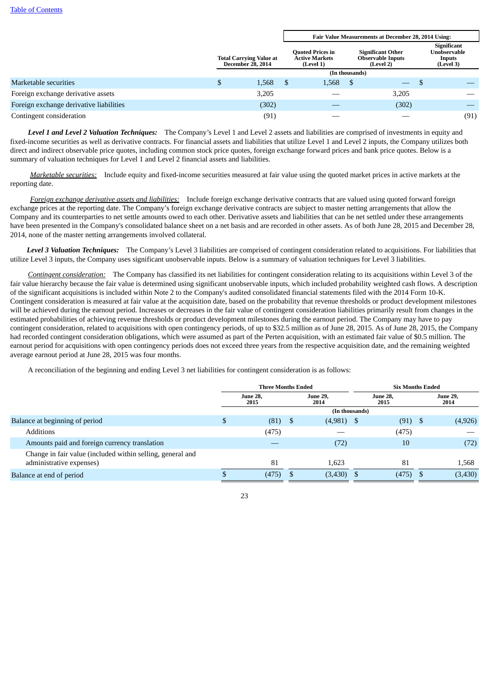|                                         |                                                            |       | Fair Value Measurements at December 28, 2014 Using: |                                                               |                                                                   |                          |      |                                                    |  |  |
|-----------------------------------------|------------------------------------------------------------|-------|-----------------------------------------------------|---------------------------------------------------------------|-------------------------------------------------------------------|--------------------------|------|----------------------------------------------------|--|--|
|                                         | <b>Total Carrying Value at</b><br><b>December 28, 2014</b> |       |                                                     | <b>Quoted Prices in</b><br><b>Active Markets</b><br>(Level 1) | <b>Significant Other</b><br><b>Observable Inputs</b><br>(Level 2) |                          |      | Significant<br>Unobservable<br>Inputs<br>(Level 3) |  |  |
|                                         |                                                            |       |                                                     |                                                               | (In thousands)                                                    |                          |      |                                                    |  |  |
| Marketable securities                   | \$                                                         | 1,568 | -S                                                  | 1,568                                                         | - S                                                               | $\overline{\phantom{0}}$ | - \$ |                                                    |  |  |
| Foreign exchange derivative assets      |                                                            | 3,205 |                                                     |                                                               |                                                                   | 3,205                    |      |                                                    |  |  |
| Foreign exchange derivative liabilities |                                                            | (302) |                                                     |                                                               |                                                                   | (302)                    |      |                                                    |  |  |
| Contingent consideration                |                                                            | (91)  |                                                     |                                                               |                                                                   |                          |      | (91)                                               |  |  |

*Level 1 and Level 2 Valuation Techniques:* The Company's Level 1 and Level 2 assets and liabilities are comprised of investments in equity and fixed-income securities as well as derivative contracts. For financial assets and liabilities that utilize Level 1 and Level 2 inputs, the Company utilizes both direct and indirect observable price quotes, including common stock price quotes, foreign exchange forward prices and bank price quotes. Below is a summary of valuation techniques for Level 1 and Level 2 financial assets and liabilities.

*Marketable securities:* Include equity and fixed-income securities measured at fair value using the quoted market prices in active markets at the reporting date.

*Foreign exchange derivative assets and liabilities:* Include foreign exchange derivative contracts that are valued using quoted forward foreign exchange prices at the reporting date. The Company's foreign exchange derivative contracts are subject to master netting arrangements that allow the Company and its counterparties to net settle amounts owed to each other. Derivative assets and liabilities that can be net settled under these arrangements have been presented in the Company's consolidated balance sheet on a net basis and are recorded in other assets. As of both June 28, 2015 and December 28, 2014, none of the master netting arrangements involved collateral.

*Level 3 Valuation Techniques:* The Company's Level 3 liabilities are comprised of contingent consideration related to acquisitions. For liabilities that utilize Level 3 inputs, the Company uses significant unobservable inputs. Below is a summary of valuation techniques for Level 3 liabilities.

*Contingent consideration:* The Company has classified its net liabilities for contingent consideration relating to its acquisitions within Level 3 of the fair value hierarchy because the fair value is determined using significant unobservable inputs, which included probability weighted cash flows. A description of the significant acquisitions is included within Note 2 to the Company's audited consolidated financial statements filed with the 2014 Form 10-K. Contingent consideration is measured at fair value at the acquisition date, based on the probability that revenue thresholds or product development milestones will be achieved during the earnout period. Increases or decreases in the fair value of contingent consideration liabilities primarily result from changes in the estimated probabilities of achieving revenue thresholds or product development milestones during the earnout period. The Company may have to pay contingent consideration, related to acquisitions with open contingency periods, of up to \$32.5 million as of June 28, 2015. As of June 28, 2015, the Company had recorded contingent consideration obligations, which were assumed as part of the Perten acquisition, with an estimated fair value of \$0.5 million. The earnout period for acquisitions with open contingency periods does not exceed three years from the respective acquisition date, and the remaining weighted average earnout period at June 28, 2015 was four months.

A reconciliation of the beginning and ending Level 3 net liabilities for contingent consideration is as follows:

|                                                                                        | <b>Three Months Ended</b> |                         |  |                         | <b>Six Months Ended</b> |                         |  |                         |
|----------------------------------------------------------------------------------------|---------------------------|-------------------------|--|-------------------------|-------------------------|-------------------------|--|-------------------------|
|                                                                                        |                           | <b>June 28.</b><br>2015 |  | <b>June 29.</b><br>2014 |                         | <b>June 28.</b><br>2015 |  | <b>June 29.</b><br>2014 |
|                                                                                        |                           |                         |  | (In thousands)          |                         |                         |  |                         |
| Balance at beginning of period                                                         | \$                        | $(81)$ \$               |  | (4,981)                 | - \$                    | $(91)$ \$               |  | (4,926)                 |
| <b>Additions</b>                                                                       |                           | (475)                   |  |                         |                         | (475)                   |  |                         |
| Amounts paid and foreign currency translation                                          |                           |                         |  | (72)                    |                         | 10                      |  | (72)                    |
| Change in fair value (included within selling, general and<br>administrative expenses) |                           | 81                      |  | 1.623                   |                         | 81                      |  | 1,568                   |
| Balance at end of period                                                               |                           | (475)                   |  | (3,430)                 | - \$                    | $(475)$ \$              |  | (3,430)                 |
|                                                                                        |                           |                         |  |                         |                         |                         |  |                         |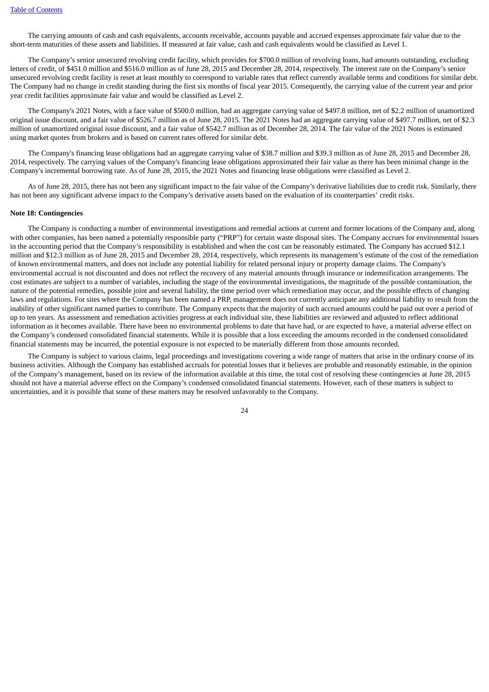The carrying amounts of cash and cash equivalents, accounts receivable, accounts payable and accrued expenses approximate fair value due to the short-term maturities of these assets and liabilities. If measured at fair value, cash and cash equivalents would be classified as Level 1.

The Company's senior unsecured revolving credit facility, which provides for \$700.0 million of revolving loans, had amounts outstanding, excluding letters of credit, of \$451.0 million and \$516.0 million as of June 28, 2015 and December 28, 2014, respectively. The interest rate on the Company's senior unsecured revolving credit facility is reset at least monthly to correspond to variable rates that reflect currently available terms and conditions for similar debt. The Company had no change in credit standing during the first six months of fiscal year 2015. Consequently, the carrying value of the current year and prior year credit facilities approximate fair value and would be classified as Level 2.

The Company's 2021 Notes, with a face value of \$500.0 million, had an aggregate carrying value of \$497.8 million, net of \$2.2 million of unamortized original issue discount, and a fair value of \$526.7 million as of June 28, 2015. The 2021 Notes had an aggregate carrying value of \$497.7 million, net of \$2.3 million of unamortized original issue discount, and a fair value of \$542.7 million as of December 28, 2014. The fair value of the 2021 Notes is estimated using market quotes from brokers and is based on current rates offered for similar debt.

The Company's financing lease obligations had an aggregate carrying value of \$38.7 million and \$39.3 million as of June 28, 2015 and December 28, 2014, respectively. The carrying values of the Company's financing lease obligations approximated their fair value as there has been minimal change in the Company's incremental borrowing rate. As of June 28, 2015, the 2021 Notes and financing lease obligations were classified as Level 2.

As of June 28, 2015, there has not been any significant impact to the fair value of the Company's derivative liabilities due to credit risk. Similarly, there has not been any significant adverse impact to the Company's derivative assets based on the evaluation of its counterparties' credit risks.

#### **Note 18: Contingencies**

The Company is conducting a number of environmental investigations and remedial actions at current and former locations of the Company and, along with other companies, has been named a potentially responsible party ("PRP") for certain waste disposal sites. The Company accrues for environmental issues in the accounting period that the Company's responsibility is established and when the cost can be reasonably estimated. The Company has accrued \$12.1 million and \$12.3 million as of June 28, 2015 and December 28, 2014, respectively, which represents its management's estimate of the cost of the remediation of known environmental matters, and does not include any potential liability for related personal injury or property damage claims. The Company's environmental accrual is not discounted and does not reflect the recovery of any material amounts through insurance or indemnification arrangements. The cost estimates are subject to a number of variables, including the stage of the environmental investigations, the magnitude of the possible contamination, the nature of the potential remedies, possible joint and several liability, the time period over which remediation may occur, and the possible effects of changing laws and regulations. For sites where the Company has been named a PRP, management does not currently anticipate any additional liability to result from the inability of other significant named parties to contribute. The Company expects that the majority of such accrued amounts could be paid out over a period of up to ten years. As assessment and remediation activities progress at each individual site, these liabilities are reviewed and adjusted to reflect additional information as it becomes available. There have been no environmental problems to date that have had, or are expected to have, a material adverse effect on the Company's condensed consolidated financial statements. While it is possible that a loss exceeding the amounts recorded in the condensed consolidated financial statements may be incurred, the potential exposure is not expected to be materially different from those amounts recorded.

<span id="page-23-0"></span>The Company is subject to various claims, legal proceedings and investigations covering a wide range of matters that arise in the ordinary course of its business activities. Although the Company has established accruals for potential losses that it believes are probable and reasonably estimable, in the opinion of the Company's management, based on its review of the information available at this time, the total cost of resolving these contingencies at June 28, 2015 should not have a material adverse effect on the Company's condensed consolidated financial statements. However, each of these matters is subject to uncertainties, and it is possible that some of these matters may be resolved unfavorably to the Company.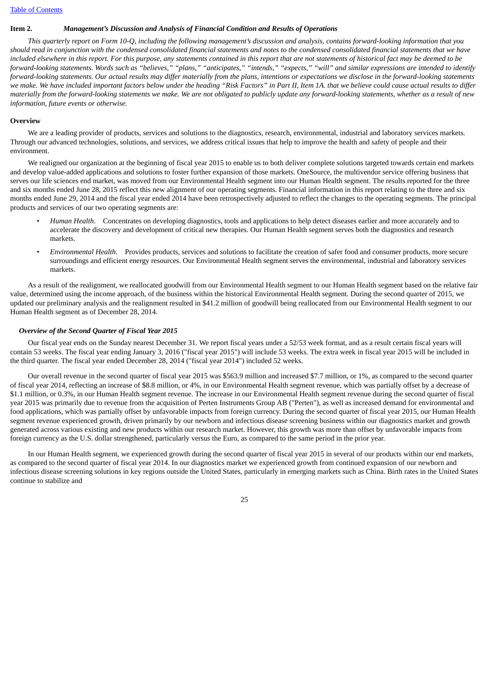# **Item 2.** *Management's Discussion and Analysis of Financial Condition and Results of Operations*

This quarterly report on Form 10-Q, including the following management's discussion and analysis, contains forward-looking information that you should read in conjunction with the condensed consolidated financial statements and notes to the condensed consolidated financial statements that we have included elsewhere in this report. For this purpose, any statements contained in this report that are not statements of historical fact may be deemed to be forward-looking statements. Words such as "believes," "plans," "anticipates," "intends," "expects," "will" and similar expressions are intended to identify forward-looking statements. Our actual results may differ materially from the plans, intentions or expectations we disclose in the forward-looking statements we make. We have included important factors below under the heading "Risk Factors" in Part II, Item 1A. that we believe could cause actual results to differ materially from the forward-looking statements we make. We are not obligated to publicly update any forward-looking statements, whether as a result of new *information, future events or otherwise.*

#### <span id="page-24-0"></span>**Overview**

We are a leading provider of products, services and solutions to the diagnostics, research, environmental, industrial and laboratory services markets. Through our advanced technologies, solutions, and services, we address critical issues that help to improve the health and safety of people and their environment.

We realigned our organization at the beginning of fiscal year 2015 to enable us to both deliver complete solutions targeted towards certain end markets and develop value-added applications and solutions to foster further expansion of those markets. OneSource, the multivendor service offering business that serves our life sciences end market, was moved from our Environmental Health segment into our Human Health segment. The results reported for the three and six months ended June 28, 2015 reflect this new alignment of our operating segments. Financial information in this report relating to the three and six months ended June 29, 2014 and the fiscal year ended 2014 have been retrospectively adjusted to reflect the changes to the operating segments. The principal products and services of our two operating segments are:

- *Human Health*. Concentrates on developing diagnostics, tools and applications to help detect diseases earlier and more accurately and to accelerate the discovery and development of critical new therapies. Our Human Health segment serves both the diagnostics and research markets.
- *Environmental Health*. Provides products, services and solutions to facilitate the creation of safer food and consumer products, more secure surroundings and efficient energy resources. Our Environmental Health segment serves the environmental, industrial and laboratory services markets.

As a result of the realignment, we reallocated goodwill from our Environmental Health segment to our Human Health segment based on the relative fair value, determined using the income approach, of the business within the historical Environmental Health segment. During the second quarter of 2015, we updated our preliminary analysis and the realignment resulted in \$41.2 million of goodwill being reallocated from our Environmental Health segment to our Human Health segment as of December 28, 2014.

### *Overview of the Second Quarter of Fiscal Year 2015*

Our fiscal year ends on the Sunday nearest December 31. We report fiscal years under a 52/53 week format, and as a result certain fiscal years will contain 53 weeks. The fiscal year ending January 3, 2016 ("fiscal year 2015") will include 53 weeks. The extra week in fiscal year 2015 will be included in the third quarter. The fiscal year ended December 28, 2014 ("fiscal year 2014") included 52 weeks.

Our overall revenue in the second quarter of fiscal year 2015 was \$563.9 million and increased \$7.7 million, or 1%, as compared to the second quarter of fiscal year 2014, reflecting an increase of \$8.8 million, or 4%, in our Environmental Health segment revenue, which was partially offset by a decrease of \$1.1 million, or 0.3%, in our Human Health segment revenue. The increase in our Environmental Health segment revenue during the second quarter of fiscal year 2015 was primarily due to revenue from the acquisition of Perten Instruments Group AB ("Perten"), as well as increased demand for environmental and food applications, which was partially offset by unfavorable impacts from foreign currency. During the second quarter of fiscal year 2015, our Human Health segment revenue experienced growth, driven primarily by our newborn and infectious disease screening business within our diagnostics market and growth generated across various existing and new products within our research market. However, this growth was more than offset by unfavorable impacts from foreign currency as the U.S. dollar strengthened, particularly versus the Euro, as compared to the same period in the prior year.

In our Human Health segment, we experienced growth during the second quarter of fiscal year 2015 in several of our products within our end markets, as compared to the second quarter of fiscal year 2014. In our diagnostics market we experienced growth from continued expansion of our newborn and infectious disease screening solutions in key regions outside the United States, particularly in emerging markets such as China. Birth rates in the United States continue to stabilize and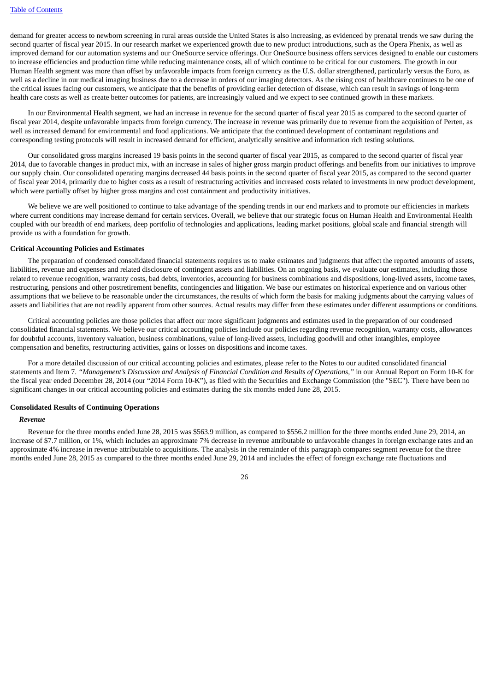demand for greater access to newborn screening in rural areas outside the United States is also increasing, as evidenced by prenatal trends we saw during the second quarter of fiscal year 2015. In our research market we experienced growth due to new product introductions, such as the Opera Phenix, as well as improved demand for our automation systems and our OneSource service offerings. Our OneSource business offers services designed to enable our customers to increase efficiencies and production time while reducing maintenance costs, all of which continue to be critical for our customers. The growth in our Human Health segment was more than offset by unfavorable impacts from foreign currency as the U.S. dollar strengthened, particularly versus the Euro, as well as a decline in our medical imaging business due to a decrease in orders of our imaging detectors. As the rising cost of healthcare continues to be one of the critical issues facing our customers, we anticipate that the benefits of providing earlier detection of disease, which can result in savings of long-term health care costs as well as create better outcomes for patients, are increasingly valued and we expect to see continued growth in these markets.

In our Environmental Health segment, we had an increase in revenue for the second quarter of fiscal year 2015 as compared to the second quarter of fiscal year 2014, despite unfavorable impacts from foreign currency. The increase in revenue was primarily due to revenue from the acquisition of Perten, as well as increased demand for environmental and food applications. We anticipate that the continued development of contaminant regulations and corresponding testing protocols will result in increased demand for efficient, analytically sensitive and information rich testing solutions.

Our consolidated gross margins increased 19 basis points in the second quarter of fiscal year 2015, as compared to the second quarter of fiscal year 2014, due to favorable changes in product mix, with an increase in sales of higher gross margin product offerings and benefits from our initiatives to improve our supply chain. Our consolidated operating margins decreased 44 basis points in the second quarter of fiscal year 2015, as compared to the second quarter of fiscal year 2014, primarily due to higher costs as a result of restructuring activities and increased costs related to investments in new product development, which were partially offset by higher gross margins and cost containment and productivity initiatives.

We believe we are well positioned to continue to take advantage of the spending trends in our end markets and to promote our efficiencies in markets where current conditions may increase demand for certain services. Overall, we believe that our strategic focus on Human Health and Environmental Health coupled with our breadth of end markets, deep portfolio of technologies and applications, leading market positions, global scale and financial strength will provide us with a foundation for growth.

#### <span id="page-25-0"></span>**Critical Accounting Policies and Estimates**

The preparation of condensed consolidated financial statements requires us to make estimates and judgments that affect the reported amounts of assets, liabilities, revenue and expenses and related disclosure of contingent assets and liabilities. On an ongoing basis, we evaluate our estimates, including those related to revenue recognition, warranty costs, bad debts, inventories, accounting for business combinations and dispositions, long-lived assets, income taxes, restructuring, pensions and other postretirement benefits, contingencies and litigation. We base our estimates on historical experience and on various other assumptions that we believe to be reasonable under the circumstances, the results of which form the basis for making judgments about the carrying values of assets and liabilities that are not readily apparent from other sources. Actual results may differ from these estimates under different assumptions or conditions.

Critical accounting policies are those policies that affect our more significant judgments and estimates used in the preparation of our condensed consolidated financial statements. We believe our critical accounting policies include our policies regarding revenue recognition, warranty costs, allowances for doubtful accounts, inventory valuation, business combinations, value of long-lived assets, including goodwill and other intangibles, employee compensation and benefits, restructuring activities, gains or losses on dispositions and income taxes.

For a more detailed discussion of our critical accounting policies and estimates, please refer to the Notes to our audited consolidated financial statements and Item 7. "Management's Discussion and Analysis of Financial Condition and Results of Operations," in our Annual Report on Form 10-K for the fiscal year ended December 28, 2014 (our "2014 Form 10-K"), as filed with the Securities and Exchange Commission (the "SEC"). There have been no significant changes in our critical accounting policies and estimates during the six months ended June 28, 2015.

#### <span id="page-25-1"></span>**Consolidated Results of Continuing Operations**

#### *Revenue*

Revenue for the three months ended June 28, 2015 was \$563.9 million, as compared to \$556.2 million for the three months ended June 29, 2014, an increase of \$7.7 million, or 1%, which includes an approximate 7% decrease in revenue attributable to unfavorable changes in foreign exchange rates and an approximate 4% increase in revenue attributable to acquisitions. The analysis in the remainder of this paragraph compares segment revenue for the three months ended June 28, 2015 as compared to the three months ended June 29, 2014 and includes the effect of foreign exchange rate fluctuations and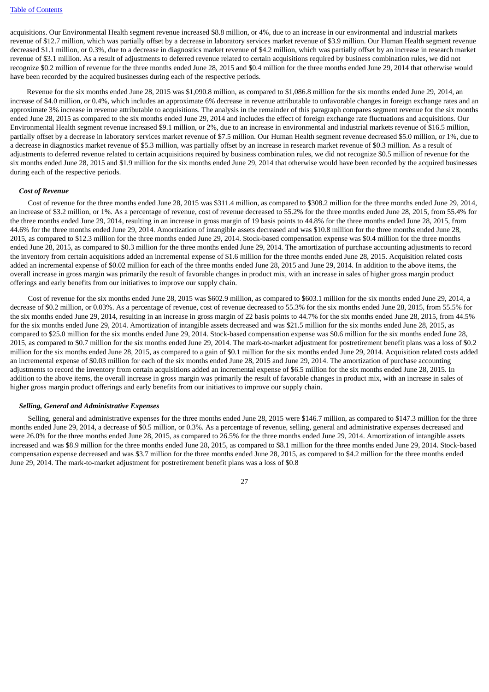acquisitions. Our Environmental Health segment revenue increased \$8.8 million, or 4%, due to an increase in our environmental and industrial markets revenue of \$12.7 million, which was partially offset by a decrease in laboratory services market revenue of \$3.9 million. Our Human Health segment revenue decreased \$1.1 million, or 0.3%, due to a decrease in diagnostics market revenue of \$4.2 million, which was partially offset by an increase in research market revenue of \$3.1 million. As a result of adjustments to deferred revenue related to certain acquisitions required by business combination rules, we did not recognize \$0.2 million of revenue for the three months ended June 28, 2015 and \$0.4 million for the three months ended June 29, 2014 that otherwise would have been recorded by the acquired businesses during each of the respective periods.

Revenue for the six months ended June 28, 2015 was \$1,090.8 million, as compared to \$1,086.8 million for the six months ended June 29, 2014, an increase of \$4.0 million, or 0.4%, which includes an approximate 6% decrease in revenue attributable to unfavorable changes in foreign exchange rates and an approximate 3% increase in revenue attributable to acquisitions. The analysis in the remainder of this paragraph compares segment revenue for the six months ended June 28, 2015 as compared to the six months ended June 29, 2014 and includes the effect of foreign exchange rate fluctuations and acquisitions. Our Environmental Health segment revenue increased \$9.1 million, or 2%, due to an increase in environmental and industrial markets revenue of \$16.5 million, partially offset by a decrease in laboratory services market revenue of \$7.5 million. Our Human Health segment revenue decreased \$5.0 million, or 1%, due to a decrease in diagnostics market revenue of \$5.3 million, was partially offset by an increase in research market revenue of \$0.3 million. As a result of adjustments to deferred revenue related to certain acquisitions required by business combination rules, we did not recognize \$0.5 million of revenue for the six months ended June 28, 2015 and \$1.9 million for the six months ended June 29, 2014 that otherwise would have been recorded by the acquired businesses during each of the respective periods.

#### *Cost of Revenue*

Cost of revenue for the three months ended June 28, 2015 was \$311.4 million, as compared to \$308.2 million for the three months ended June 29, 2014, an increase of \$3.2 million, or 1%. As a percentage of revenue, cost of revenue decreased to 55.2% for the three months ended June 28, 2015, from 55.4% for the three months ended June 29, 2014, resulting in an increase in gross margin of 19 basis points to 44.8% for the three months ended June 28, 2015, from 44.6% for the three months ended June 29, 2014. Amortization of intangible assets decreased and was \$10.8 million for the three months ended June 28, 2015, as compared to \$12.3 million for the three months ended June 29, 2014. Stock-based compensation expense was \$0.4 million for the three months ended June 28, 2015, as compared to \$0.3 million for the three months ended June 29, 2014. The amortization of purchase accounting adjustments to record the inventory from certain acquisitions added an incremental expense of \$1.6 million for the three months ended June 28, 2015. Acquisition related costs added an incremental expense of \$0.02 million for each of the three months ended June 28, 2015 and June 29, 2014. In addition to the above items, the overall increase in gross margin was primarily the result of favorable changes in product mix, with an increase in sales of higher gross margin product offerings and early benefits from our initiatives to improve our supply chain.

Cost of revenue for the six months ended June 28, 2015 was \$602.9 million, as compared to \$603.1 million for the six months ended June 29, 2014, a decrease of \$0.2 million, or 0.03%. As a percentage of revenue, cost of revenue decreased to 55.3% for the six months ended June 28, 2015, from 55.5% for the six months ended June 29, 2014, resulting in an increase in gross margin of 22 basis points to 44.7% for the six months ended June 28, 2015, from 44.5% for the six months ended June 29, 2014. Amortization of intangible assets decreased and was \$21.5 million for the six months ended June 28, 2015, as compared to \$25.0 million for the six months ended June 29, 2014. Stock-based compensation expense was \$0.6 million for the six months ended June 28, 2015, as compared to \$0.7 million for the six months ended June 29, 2014. The mark-to-market adjustment for postretirement benefit plans was a loss of \$0.2 million for the six months ended June 28, 2015, as compared to a gain of \$0.1 million for the six months ended June 29, 2014. Acquisition related costs added an incremental expense of \$0.03 million for each of the six months ended June 28, 2015 and June 29, 2014. The amortization of purchase accounting adjustments to record the inventory from certain acquisitions added an incremental expense of \$6.5 million for the six months ended June 28, 2015. In addition to the above items, the overall increase in gross margin was primarily the result of favorable changes in product mix, with an increase in sales of higher gross margin product offerings and early benefits from our initiatives to improve our supply chain.

#### *Selling, General and Administrative Expenses*

Selling, general and administrative expenses for the three months ended June 28, 2015 were \$146.7 million, as compared to \$147.3 million for the three months ended June 29, 2014, a decrease of \$0.5 million, or 0.3%. As a percentage of revenue, selling, general and administrative expenses decreased and were 26.0% for the three months ended June 28, 2015, as compared to 26.5% for the three months ended June 29, 2014. Amortization of intangible assets increased and was \$8.9 million for the three months ended June 28, 2015, as compared to \$8.1 million for the three months ended June 29, 2014. Stock-based compensation expense decreased and was \$3.7 million for the three months ended June 28, 2015, as compared to \$4.2 million for the three months ended June 29, 2014. The mark-to-market adjustment for postretirement benefit plans was a loss of \$0.8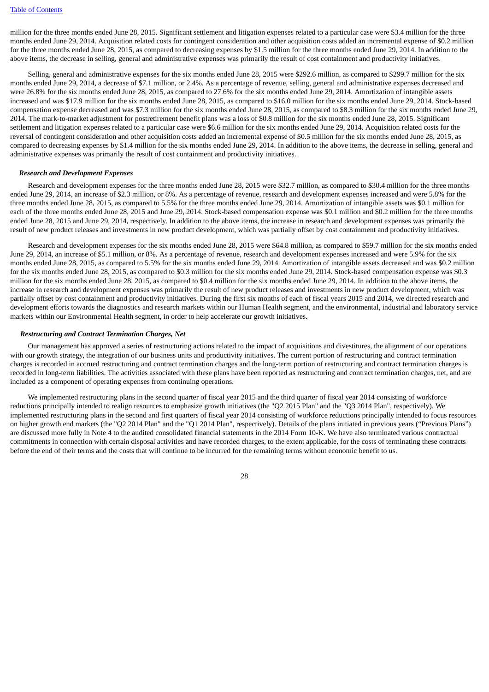million for the three months ended June 28, 2015. Significant settlement and litigation expenses related to a particular case were \$3.4 million for the three months ended June 29, 2014. Acquisition related costs for contingent consideration and other acquisition costs added an incremental expense of \$0.2 million for the three months ended June 28, 2015, as compared to decreasing expenses by \$1.5 million for the three months ended June 29, 2014. In addition to the above items, the decrease in selling, general and administrative expenses was primarily the result of cost containment and productivity initiatives.

Selling, general and administrative expenses for the six months ended June 28, 2015 were \$292.6 million, as compared to \$299.7 million for the six months ended June 29, 2014, a decrease of \$7.1 million, or 2.4%. As a percentage of revenue, selling, general and administrative expenses decreased and were 26.8% for the six months ended June 28, 2015, as compared to 27.6% for the six months ended June 29, 2014. Amortization of intangible assets increased and was \$17.9 million for the six months ended June 28, 2015, as compared to \$16.0 million for the six months ended June 29, 2014. Stock-based compensation expense decreased and was \$7.3 million for the six months ended June 28, 2015, as compared to \$8.3 million for the six months ended June 29, 2014. The mark-to-market adjustment for postretirement benefit plans was a loss of \$0.8 million for the six months ended June 28, 2015. Significant settlement and litigation expenses related to a particular case were \$6.6 million for the six months ended June 29, 2014. Acquisition related costs for the reversal of contingent consideration and other acquisition costs added an incremental expense of \$0.5 million for the six months ended June 28, 2015, as compared to decreasing expenses by \$1.4 million for the six months ended June 29, 2014. In addition to the above items, the decrease in selling, general and administrative expenses was primarily the result of cost containment and productivity initiatives.

#### *Research and Development Expenses*

Research and development expenses for the three months ended June 28, 2015 were \$32.7 million, as compared to \$30.4 million for the three months ended June 29, 2014, an increase of \$2.3 million, or 8%. As a percentage of revenue, research and development expenses increased and were 5.8% for the three months ended June 28, 2015, as compared to 5.5% for the three months ended June 29, 2014. Amortization of intangible assets was \$0.1 million for each of the three months ended June 28, 2015 and June 29, 2014. Stock-based compensation expense was \$0.1 million and \$0.2 million for the three months ended June 28, 2015 and June 29, 2014, respectively. In addition to the above items, the increase in research and development expenses was primarily the result of new product releases and investments in new product development, which was partially offset by cost containment and productivity initiatives.

Research and development expenses for the six months ended June 28, 2015 were \$64.8 million, as compared to \$59.7 million for the six months ended June 29, 2014, an increase of \$5.1 million, or 8%. As a percentage of revenue, research and development expenses increased and were 5.9% for the six months ended June 28, 2015, as compared to 5.5% for the six months ended June 29, 2014. Amortization of intangible assets decreased and was \$0.2 million for the six months ended June 28, 2015, as compared to \$0.3 million for the six months ended June 29, 2014. Stock-based compensation expense was \$0.3 million for the six months ended June 28, 2015, as compared to \$0.4 million for the six months ended June 29, 2014. In addition to the above items, the increase in research and development expenses was primarily the result of new product releases and investments in new product development, which was partially offset by cost containment and productivity initiatives. During the first six months of each of fiscal years 2015 and 2014, we directed research and development efforts towards the diagnostics and research markets within our Human Health segment, and the environmental, industrial and laboratory service markets within our Environmental Health segment, in order to help accelerate our growth initiatives.

#### *Restructuring and Contract Termination Charges, Net*

Our management has approved a series of restructuring actions related to the impact of acquisitions and divestitures, the alignment of our operations with our growth strategy, the integration of our business units and productivity initiatives. The current portion of restructuring and contract termination charges is recorded in accrued restructuring and contract termination charges and the long-term portion of restructuring and contract termination charges is recorded in long-term liabilities. The activities associated with these plans have been reported as restructuring and contract termination charges, net, and are included as a component of operating expenses from continuing operations.

We implemented restructuring plans in the second quarter of fiscal year 2015 and the third quarter of fiscal year 2014 consisting of workforce reductions principally intended to realign resources to emphasize growth initiatives (the "Q2 2015 Plan" and the "Q3 2014 Plan", respectively). We implemented restructuring plans in the second and first quarters of fiscal year 2014 consisting of workforce reductions principally intended to focus resources on higher growth end markets (the "Q2 2014 Plan" and the "Q1 2014 Plan", respectively). Details of the plans initiated in previous years ("Previous Plans") are discussed more fully in Note 4 to the audited consolidated financial statements in the 2014 Form 10-K. We have also terminated various contractual commitments in connection with certain disposal activities and have recorded charges, to the extent applicable, for the costs of terminating these contracts before the end of their terms and the costs that will continue to be incurred for the remaining terms without economic benefit to us.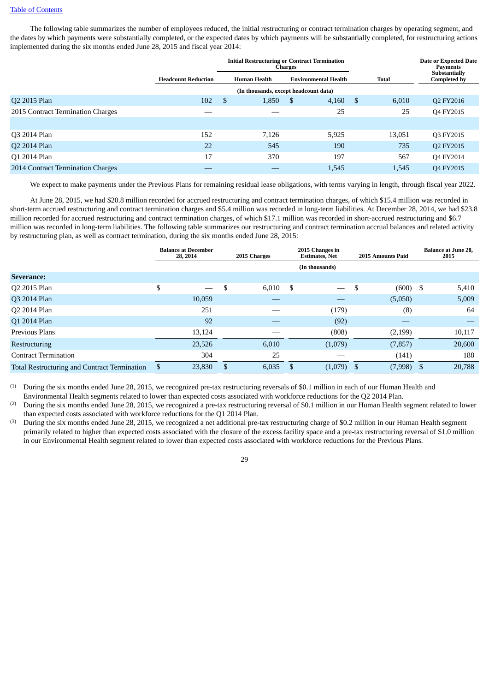The following table summarizes the number of employees reduced, the initial restructuring or contract termination charges by operating segment, and the dates by which payments were substantially completed, or the expected dates by which payments will be substantially completed, for restructuring actions implemented during the six months ended June 28, 2015 and fiscal year 2014:

|                                   |                            | <b>Initial Restructuring or Contract Termination</b><br>Charges |                     |      |                             |      |              | <b>Date or Expected Date</b><br><b>Payments</b> |
|-----------------------------------|----------------------------|-----------------------------------------------------------------|---------------------|------|-----------------------------|------|--------------|-------------------------------------------------|
|                                   | <b>Headcount Reduction</b> |                                                                 | <b>Human Health</b> |      | <b>Environmental Health</b> |      | <b>Total</b> | Substantially<br><b>Completed by</b>            |
|                                   |                            |                                                                 |                     |      |                             |      |              |                                                 |
| Q2 2015 Plan                      | 102                        | \$                                                              | 1,850               | - \$ | 4,160                       | - \$ | 6,010        | Q2 FY2016                                       |
| 2015 Contract Termination Charges |                            |                                                                 |                     |      | 25                          |      | 25           | Q4 FY2015                                       |
|                                   |                            |                                                                 |                     |      |                             |      |              |                                                 |
| Q3 2014 Plan                      | 152                        |                                                                 | 7.126               |      | 5,925                       |      | 13,051       | Q3 FY2015                                       |
| Q2 2014 Plan                      | 22                         |                                                                 | 545                 |      | 190                         |      | 735          | Q2 FY2015                                       |
| Q1 2014 Plan                      | 17                         |                                                                 | 370                 |      | 197                         |      | 567          | Q4 FY2014                                       |
| 2014 Contract Termination Charges |                            |                                                                 |                     |      | 1,545                       |      | 1,545        | Q4 FY2015                                       |

We expect to make payments under the Previous Plans for remaining residual lease obligations, with terms varying in length, through fiscal year 2022.

At June 28, 2015, we had \$20.8 million recorded for accrued restructuring and contract termination charges, of which \$15.4 million was recorded in short-term accrued restructuring and contract termination charges and \$5.4 million was recorded in long-term liabilities. At December 28, 2014, we had \$23.8 million recorded for accrued restructuring and contract termination charges, of which \$17.1 million was recorded in short-accrued restructuring and \$6.7 million was recorded in long-term liabilities. The following table summarizes our restructuring and contract termination accrual balances and related activity by restructuring plan, as well as contract termination, during the six months ended June 28, 2015:

|                                                     | <b>Balance at December</b><br>28, 2014 |        | 2015 Charges |       |   | 2015 Changes in<br><b>Estimates, Net</b> |    | <b>2015 Amounts Paid</b> |      | <b>Balance at June 28,</b><br>2015 |  |
|-----------------------------------------------------|----------------------------------------|--------|--------------|-------|---|------------------------------------------|----|--------------------------|------|------------------------------------|--|
|                                                     |                                        |        |              |       |   | (In thousands)                           |    |                          |      |                                    |  |
| <b>Severance:</b>                                   |                                        |        |              |       |   |                                          |    |                          |      |                                    |  |
| Q2 2015 Plan                                        | \$                                     |        | \$           | 6,010 | S |                                          | \$ | $(600)$ \$               |      | 5,410                              |  |
| Q3 2014 Plan                                        |                                        | 10,059 |              |       |   |                                          |    | (5,050)                  |      | 5,009                              |  |
| Q2 2014 Plan                                        |                                        | 251    |              |       |   | (179)                                    |    | (8)                      |      | 64                                 |  |
| Q1 2014 Plan                                        |                                        | 92     |              |       |   | (92)                                     |    |                          |      |                                    |  |
| Previous Plans                                      |                                        | 13,124 |              |       |   | (808)                                    |    | (2, 199)                 |      | 10,117                             |  |
| <b>Restructuring</b>                                |                                        | 23,526 |              | 6,010 |   | (1,079)                                  |    | (7, 857)                 |      | 20,600                             |  |
| <b>Contract Termination</b>                         |                                        | 304    |              | 25    |   |                                          |    | (141)                    |      | 188                                |  |
| <b>Total Restructuring and Contract Termination</b> |                                        | 23,830 | \$           | 6,035 |   | (1,079)                                  | \$ | (7,998)                  | - \$ | 20,788                             |  |

(1) During the six months ended June 28, 2015, we recognized pre-tax restructuring reversals of \$0.1 million in each of our Human Health and Environmental Health segments related to lower than expected costs associated with workforce reductions for the Q2 2014 Plan.

<sup>(2)</sup> During the six months ended June 28, 2015, we recognized a pre-tax restructuring reversal of \$0.1 million in our Human Health segment related to lower than expected costs associated with workforce reductions for the Q1 2014 Plan.

 $^{(3)}$  During the six months ended June 28, 2015, we recognized a net additional pre-tax restructuring charge of \$0.2 million in our Human Health segment primarily related to higher than expected costs associated with the closure of the excess facility space and a pre-tax restructuring reversal of \$1.0 million in our Environmental Health segment related to lower than expected costs associated with workforce reductions for the Previous Plans.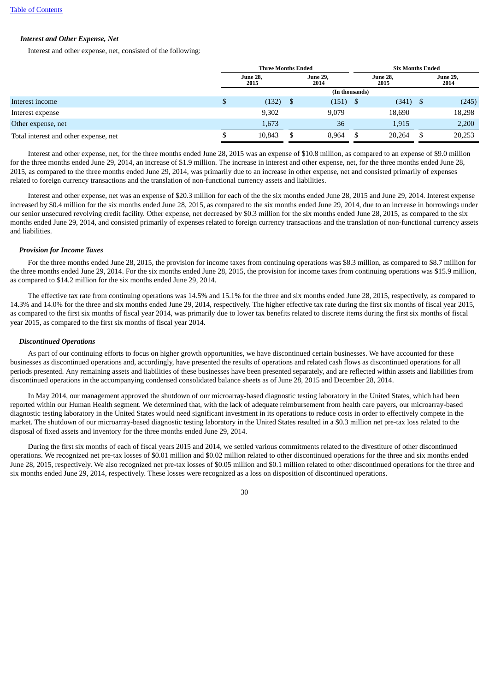# *Interest and Other Expense, Net*

Interest and other expense, net, consisted of the following:

|                                       |                         | <b>Three Months Ended</b> |                         |       | <b>Six Months Ended</b> |            |    |                         |  |
|---------------------------------------|-------------------------|---------------------------|-------------------------|-------|-------------------------|------------|----|-------------------------|--|
|                                       | <b>June 28,</b><br>2015 |                           | <b>June 29,</b><br>2014 |       | <b>June 28,</b><br>2015 |            |    | <b>June 29,</b><br>2014 |  |
|                                       |                         | (In thousands)            |                         |       |                         |            |    |                         |  |
| Interest income                       | \$                      | (132)                     |                         | (151) | - \$                    | $(341)$ \$ |    | (245)                   |  |
| Interest expense                      |                         | 9,302                     |                         | 9,079 |                         | 18,690     |    | 18,298                  |  |
| Other expense, net                    |                         | 1,673                     |                         | 36    |                         | 1,915      |    | 2,200                   |  |
| Total interest and other expense, net |                         | 10,843                    |                         | 8,964 | S                       | 20,264     | \$ | 20,253                  |  |

Interest and other expense, net, for the three months ended June 28, 2015 was an expense of \$10.8 million, as compared to an expense of \$9.0 million for the three months ended June 29, 2014, an increase of \$1.9 million. The increase in interest and other expense, net, for the three months ended June 28, 2015, as compared to the three months ended June 29, 2014, was primarily due to an increase in other expense, net and consisted primarily of expenses related to foreign currency transactions and the translation of non-functional currency assets and liabilities.

Interest and other expense, net was an expense of \$20.3 million for each of the the six months ended June 28, 2015 and June 29, 2014. Interest expense increased by \$0.4 million for the six months ended June 28, 2015, as compared to the six months ended June 29, 2014, due to an increase in borrowings under our senior unsecured revolving credit facility. Other expense, net decreased by \$0.3 million for the six months ended June 28, 2015, as compared to the six months ended June 29, 2014, and consisted primarily of expenses related to foreign currency transactions and the translation of non-functional currency assets and liabilities.

# *Provision for Income Taxes*

For the three months ended June 28, 2015, the provision for income taxes from continuing operations was \$8.3 million, as compared to \$8.7 million for the three months ended June 29, 2014. For the six months ended June 28, 2015, the provision for income taxes from continuing operations was \$15.9 million, as compared to \$14.2 million for the six months ended June 29, 2014.

The effective tax rate from continuing operations was 14.5% and 15.1% for the three and six months ended June 28, 2015, respectively, as compared to 14.3% and 14.0% for the three and six months ended June 29, 2014, respectively. The higher effective tax rate during the first six months of fiscal year 2015, as compared to the first six months of fiscal year 2014, was primarily due to lower tax benefits related to discrete items during the first six months of fiscal year 2015, as compared to the first six months of fiscal year 2014.

#### *Discontinued Operations*

As part of our continuing efforts to focus on higher growth opportunities, we have discontinued certain businesses. We have accounted for these businesses as discontinued operations and, accordingly, have presented the results of operations and related cash flows as discontinued operations for all periods presented. Any remaining assets and liabilities of these businesses have been presented separately, and are reflected within assets and liabilities from discontinued operations in the accompanying condensed consolidated balance sheets as of June 28, 2015 and December 28, 2014.

In May 2014, our management approved the shutdown of our microarray-based diagnostic testing laboratory in the United States, which had been reported within our Human Health segment. We determined that, with the lack of adequate reimbursement from health care payers, our microarray-based diagnostic testing laboratory in the United States would need significant investment in its operations to reduce costs in order to effectively compete in the market. The shutdown of our microarray-based diagnostic testing laboratory in the United States resulted in a \$0.3 million net pre-tax loss related to the disposal of fixed assets and inventory for the three months ended June 29, 2014.

During the first six months of each of fiscal years 2015 and 2014, we settled various commitments related to the divestiture of other discontinued operations. We recognized net pre-tax losses of \$0.01 million and \$0.02 million related to other discontinued operations for the three and six months ended June 28, 2015, respectively. We also recognized net pre-tax losses of \$0.05 million and \$0.1 million related to other discontinued operations for the three and six months ended June 29, 2014, respectively. These losses were recognized as a loss on disposition of discontinued operations.

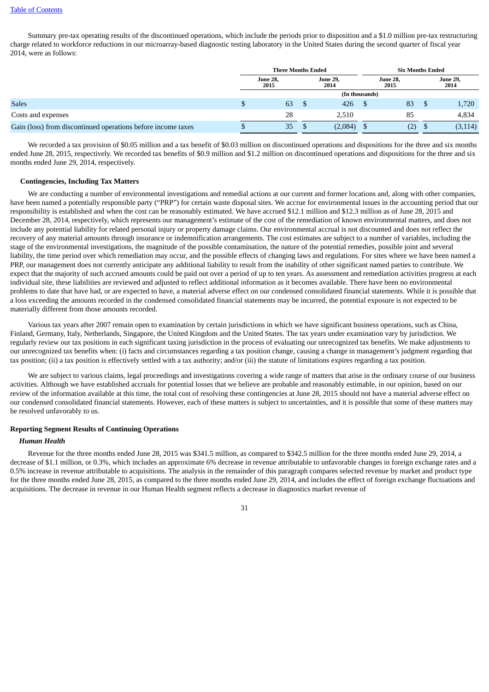Summary pre-tax operating results of the discontinued operations, which include the periods prior to disposition and a \$1.0 million pre-tax restructuring charge related to workforce reductions in our microarray-based diagnostic testing laboratory in the United States during the second quarter of fiscal year 2014, were as follows:

|                                                              | <b>Three Months Ended</b> |  |                         | <b>Six Months Ended</b> |                         |  |                         |
|--------------------------------------------------------------|---------------------------|--|-------------------------|-------------------------|-------------------------|--|-------------------------|
|                                                              | <b>June 28,</b><br>2015   |  | <b>June 29,</b><br>2014 |                         | <b>June 28,</b><br>2015 |  | <b>June 29,</b><br>2014 |
|                                                              |                           |  |                         | (In thousands)          |                         |  |                         |
| <b>Sales</b>                                                 | 63                        |  | 426                     |                         | 83                      |  | 1,720                   |
| Costs and expenses                                           | 28                        |  | 2.510                   |                         | 85                      |  | 4,834                   |
| Gain (loss) from discontinued operations before income taxes | 35                        |  | (2,084)                 |                         | (2)                     |  | (3, 114)                |

We recorded a tax provision of \$0.05 million and a tax benefit of \$0.03 million on discontinued operations and dispositions for the three and six months ended June 28, 2015, respectively. We recorded tax benefits of \$0.9 million and \$1.2 million on discontinued operations and dispositions for the three and six months ended June 29, 2014, respectively.

#### **Contingencies, Including Tax Matters**

We are conducting a number of environmental investigations and remedial actions at our current and former locations and, along with other companies, have been named a potentially responsible party ("PRP") for certain waste disposal sites. We accrue for environmental issues in the accounting period that our responsibility is established and when the cost can be reasonably estimated. We have accrued \$12.1 million and \$12.3 million as of June 28, 2015 and December 28, 2014, respectively, which represents our management's estimate of the cost of the remediation of known environmental matters, and does not include any potential liability for related personal injury or property damage claims. Our environmental accrual is not discounted and does not reflect the recovery of any material amounts through insurance or indemnification arrangements. The cost estimates are subject to a number of variables, including the stage of the environmental investigations, the magnitude of the possible contamination, the nature of the potential remedies, possible joint and several liability, the time period over which remediation may occur, and the possible effects of changing laws and regulations. For sites where we have been named a PRP, our management does not currently anticipate any additional liability to result from the inability of other significant named parties to contribute. We expect that the majority of such accrued amounts could be paid out over a period of up to ten years. As assessment and remediation activities progress at each individual site, these liabilities are reviewed and adjusted to reflect additional information as it becomes available. There have been no environmental problems to date that have had, or are expected to have, a material adverse effect on our condensed consolidated financial statements. While it is possible that a loss exceeding the amounts recorded in the condensed consolidated financial statements may be incurred, the potential exposure is not expected to be materially different from those amounts recorded.

Various tax years after 2007 remain open to examination by certain jurisdictions in which we have significant business operations, such as China, Finland, Germany, Italy, Netherlands, Singapore, the United Kingdom and the United States. The tax years under examination vary by jurisdiction. We regularly review our tax positions in each significant taxing jurisdiction in the process of evaluating our unrecognized tax benefits. We make adjustments to our unrecognized tax benefits when: (i) facts and circumstances regarding a tax position change, causing a change in management's judgment regarding that tax position; (ii) a tax position is effectively settled with a tax authority; and/or (iii) the statute of limitations expires regarding a tax position.

We are subject to various claims, legal proceedings and investigations covering a wide range of matters that arise in the ordinary course of our business activities. Although we have established accruals for potential losses that we believe are probable and reasonably estimable, in our opinion, based on our review of the information available at this time, the total cost of resolving these contingencies at June 28, 2015 should not have a material adverse effect on our condensed consolidated financial statements. However, each of these matters is subject to uncertainties, and it is possible that some of these matters may be resolved unfavorably to us.

#### <span id="page-30-0"></span>**Reporting Segment Results of Continuing Operations**

#### *Human Health*

Revenue for the three months ended June 28, 2015 was \$341.5 million, as compared to \$342.5 million for the three months ended June 29, 2014, a decrease of \$1.1 million, or 0.3%, which includes an approximate 6% decrease in revenue attributable to unfavorable changes in foreign exchange rates and a 0.5% increase in revenue attributable to acquisitions. The analysis in the remainder of this paragraph compares selected revenue by market and product type for the three months ended June 28, 2015, as compared to the three months ended June 29, 2014, and includes the effect of foreign exchange fluctuations and acquisitions. The decrease in revenue in our Human Health segment reflects a decrease in diagnostics market revenue of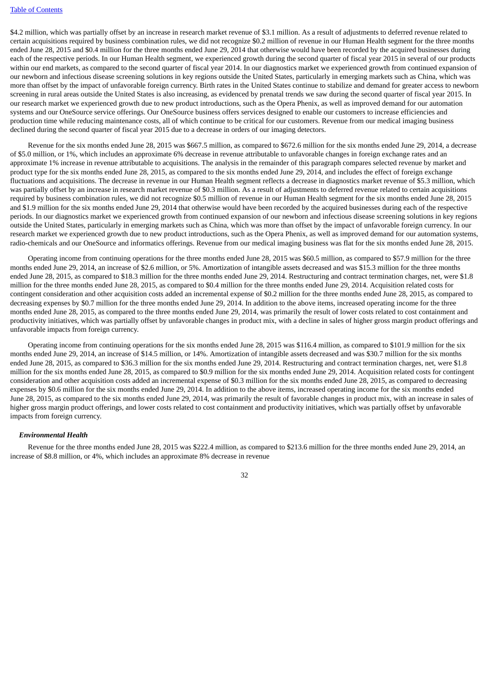\$4.2 million, which was partially offset by an increase in research market revenue of \$3.1 million. As a result of adjustments to deferred revenue related to certain acquisitions required by business combination rules, we did not recognize \$0.2 million of revenue in our Human Health segment for the three months ended June 28, 2015 and \$0.4 million for the three months ended June 29, 2014 that otherwise would have been recorded by the acquired businesses during each of the respective periods. In our Human Health segment, we experienced growth during the second quarter of fiscal year 2015 in several of our products within our end markets, as compared to the second quarter of fiscal year 2014. In our diagnostics market we experienced growth from continued expansion of our newborn and infectious disease screening solutions in key regions outside the United States, particularly in emerging markets such as China, which was more than offset by the impact of unfavorable foreign currency. Birth rates in the United States continue to stabilize and demand for greater access to newborn screening in rural areas outside the United States is also increasing, as evidenced by prenatal trends we saw during the second quarter of fiscal year 2015. In our research market we experienced growth due to new product introductions, such as the Opera Phenix, as well as improved demand for our automation systems and our OneSource service offerings. Our OneSource business offers services designed to enable our customers to increase efficiencies and production time while reducing maintenance costs, all of which continue to be critical for our customers. Revenue from our medical imaging business declined during the second quarter of fiscal year 2015 due to a decrease in orders of our imaging detectors.

Revenue for the six months ended June 28, 2015 was \$667.5 million, as compared to \$672.6 million for the six months ended June 29, 2014, a decrease of \$5.0 million, or 1%, which includes an approximate 6% decrease in revenue attributable to unfavorable changes in foreign exchange rates and an approximate 1% increase in revenue attributable to acquisitions. The analysis in the remainder of this paragraph compares selected revenue by market and product type for the six months ended June 28, 2015, as compared to the six months ended June 29, 2014, and includes the effect of foreign exchange fluctuations and acquisitions. The decrease in revenue in our Human Health segment reflects a decrease in diagnostics market revenue of \$5.3 million, which was partially offset by an increase in research market revenue of \$0.3 million. As a result of adjustments to deferred revenue related to certain acquisitions required by business combination rules, we did not recognize \$0.5 million of revenue in our Human Health segment for the six months ended June 28, 2015 and \$1.9 million for the six months ended June 29, 2014 that otherwise would have been recorded by the acquired businesses during each of the respective periods. In our diagnostics market we experienced growth from continued expansion of our newborn and infectious disease screening solutions in key regions outside the United States, particularly in emerging markets such as China, which was more than offset by the impact of unfavorable foreign currency. In our research market we experienced growth due to new product introductions, such as the Opera Phenix, as well as improved demand for our automation systems, radio-chemicals and our OneSource and informatics offerings. Revenue from our medical imaging business was flat for the six months ended June 28, 2015.

Operating income from continuing operations for the three months ended June 28, 2015 was \$60.5 million, as compared to \$57.9 million for the three months ended June 29, 2014, an increase of \$2.6 million, or 5%. Amortization of intangible assets decreased and was \$15.3 million for the three months ended June 28, 2015, as compared to \$18.3 million for the three months ended June 29, 2014. Restructuring and contract termination charges, net, were \$1.8 million for the three months ended June 28, 2015, as compared to \$0.4 million for the three months ended June 29, 2014. Acquisition related costs for contingent consideration and other acquisition costs added an incremental expense of \$0.2 million for the three months ended June 28, 2015, as compared to decreasing expenses by \$0.7 million for the three months ended June 29, 2014. In addition to the above items, increased operating income for the three months ended June 28, 2015, as compared to the three months ended June 29, 2014, was primarily the result of lower costs related to cost containment and productivity initiatives, which was partially offset by unfavorable changes in product mix, with a decline in sales of higher gross margin product offerings and unfavorable impacts from foreign currency.

Operating income from continuing operations for the six months ended June 28, 2015 was \$116.4 million, as compared to \$101.9 million for the six months ended June 29, 2014, an increase of \$14.5 million, or 14%. Amortization of intangible assets decreased and was \$30.7 million for the six months ended June 28, 2015, as compared to \$36.3 million for the six months ended June 29, 2014. Restructuring and contract termination charges, net, were \$1.8 million for the six months ended June 28, 2015, as compared to \$0.9 million for the six months ended June 29, 2014. Acquisition related costs for contingent consideration and other acquisition costs added an incremental expense of \$0.3 million for the six months ended June 28, 2015, as compared to decreasing expenses by \$0.6 million for the six months ended June 29, 2014. In addition to the above items, increased operating income for the six months ended June 28, 2015, as compared to the six months ended June 29, 2014, was primarily the result of favorable changes in product mix, with an increase in sales of higher gross margin product offerings, and lower costs related to cost containment and productivity initiatives, which was partially offset by unfavorable impacts from foreign currency.

#### *Environmental Health*

Revenue for the three months ended June 28, 2015 was \$222.4 million, as compared to \$213.6 million for the three months ended June 29, 2014, an increase of \$8.8 million, or 4%, which includes an approximate 8% decrease in revenue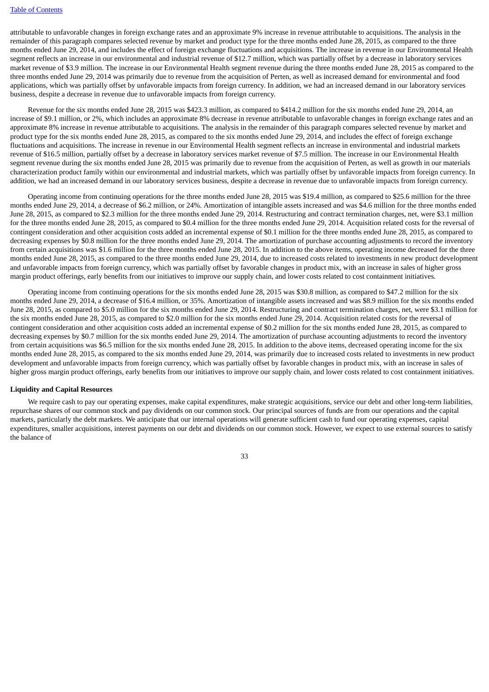attributable to unfavorable changes in foreign exchange rates and an approximate 9% increase in revenue attributable to acquisitions. The analysis in the remainder of this paragraph compares selected revenue by market and product type for the three months ended June 28, 2015, as compared to the three months ended June 29, 2014, and includes the effect of foreign exchange fluctuations and acquisitions. The increase in revenue in our Environmental Health segment reflects an increase in our environmental and industrial revenue of \$12.7 million, which was partially offset by a decrease in laboratory services market revenue of \$3.9 million. The increase in our Environmental Health segment revenue during the three months ended June 28, 2015 as compared to the three months ended June 29, 2014 was primarily due to revenue from the acquisition of Perten, as well as increased demand for environmental and food applications, which was partially offset by unfavorable impacts from foreign currency. In addition, we had an increased demand in our laboratory services business, despite a decrease in revenue due to unfavorable impacts from foreign currency.

Revenue for the six months ended June 28, 2015 was \$423.3 million, as compared to \$414.2 million for the six months ended June 29, 2014, an increase of \$9.1 million, or 2%, which includes an approximate 8% decrease in revenue attributable to unfavorable changes in foreign exchange rates and an approximate 8% increase in revenue attributable to acquisitions. The analysis in the remainder of this paragraph compares selected revenue by market and product type for the six months ended June 28, 2015, as compared to the six months ended June 29, 2014, and includes the effect of foreign exchange fluctuations and acquisitions. The increase in revenue in our Environmental Health segment reflects an increase in environmental and industrial markets revenue of \$16.5 million, partially offset by a decrease in laboratory services market revenue of \$7.5 million. The increase in our Environmental Health segment revenue during the six months ended June 28, 2015 was primarily due to revenue from the acquisition of Perten, as well as growth in our materials characterization product family within our environmental and industrial markets, which was partially offset by unfavorable impacts from foreign currency. In addition, we had an increased demand in our laboratory services business, despite a decrease in revenue due to unfavorable impacts from foreign currency.

Operating income from continuing operations for the three months ended June 28, 2015 was \$19.4 million, as compared to \$25.6 million for the three months ended June 29, 2014, a decrease of \$6.2 million, or 24%. Amortization of intangible assets increased and was \$4.6 million for the three months ended June 28, 2015, as compared to \$2.3 million for the three months ended June 29, 2014. Restructuring and contract termination charges, net, were \$3.1 million for the three months ended June 28, 2015, as compared to \$0.4 million for the three months ended June 29, 2014. Acquisition related costs for the reversal of contingent consideration and other acquisition costs added an incremental expense of \$0.1 million for the three months ended June 28, 2015, as compared to decreasing expenses by \$0.8 million for the three months ended June 29, 2014. The amortization of purchase accounting adjustments to record the inventory from certain acquisitions was \$1.6 million for the three months ended June 28, 2015. In addition to the above items, operating income decreased for the three months ended June 28, 2015, as compared to the three months ended June 29, 2014, due to increased costs related to investments in new product development and unfavorable impacts from foreign currency, which was partially offset by favorable changes in product mix, with an increase in sales of higher gross margin product offerings, early benefits from our initiatives to improve our supply chain, and lower costs related to cost containment initiatives.

Operating income from continuing operations for the six months ended June 28, 2015 was \$30.8 million, as compared to \$47.2 million for the six months ended June 29, 2014, a decrease of \$16.4 million, or 35%. Amortization of intangible assets increased and was \$8.9 million for the six months ended June 28, 2015, as compared to \$5.0 million for the six months ended June 29, 2014. Restructuring and contract termination charges, net, were \$3.1 million for the six months ended June 28, 2015, as compared to \$2.0 million for the six months ended June 29, 2014. Acquisition related costs for the reversal of contingent consideration and other acquisition costs added an incremental expense of \$0.2 million for the six months ended June 28, 2015, as compared to decreasing expenses by \$0.7 million for the six months ended June 29, 2014. The amortization of purchase accounting adjustments to record the inventory from certain acquisitions was \$6.5 million for the six months ended June 28, 2015. In addition to the above items, decreased operating income for the six months ended June 28, 2015, as compared to the six months ended June 29, 2014, was primarily due to increased costs related to investments in new product development and unfavorable impacts from foreign currency, which was partially offset by favorable changes in product mix, with an increase in sales of higher gross margin product offerings, early benefits from our initiatives to improve our supply chain, and lower costs related to cost containment initiatives.

#### <span id="page-32-0"></span>**Liquidity and Capital Resources**

We require cash to pay our operating expenses, make capital expenditures, make strategic acquisitions, service our debt and other long-term liabilities, repurchase shares of our common stock and pay dividends on our common stock. Our principal sources of funds are from our operations and the capital markets, particularly the debt markets. We anticipate that our internal operations will generate sufficient cash to fund our operating expenses, capital expenditures, smaller acquisitions, interest payments on our debt and dividends on our common stock. However, we expect to use external sources to satisfy the balance of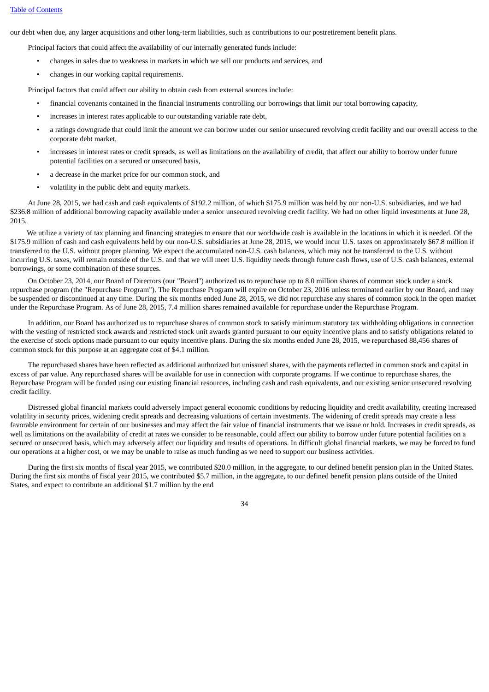our debt when due, any larger acquisitions and other long-term liabilities, such as contributions to our postretirement benefit plans.

Principal factors that could affect the availability of our internally generated funds include:

- changes in sales due to weakness in markets in which we sell our products and services, and
- changes in our working capital requirements.

Principal factors that could affect our ability to obtain cash from external sources include:

- financial covenants contained in the financial instruments controlling our borrowings that limit our total borrowing capacity,
- increases in interest rates applicable to our outstanding variable rate debt,
- a ratings downgrade that could limit the amount we can borrow under our senior unsecured revolving credit facility and our overall access to the corporate debt market,
- increases in interest rates or credit spreads, as well as limitations on the availability of credit, that affect our ability to borrow under future potential facilities on a secured or unsecured basis,
- a decrease in the market price for our common stock, and
- volatility in the public debt and equity markets.

At June 28, 2015, we had cash and cash equivalents of \$192.2 million, of which \$175.9 million was held by our non-U.S. subsidiaries, and we had \$236.8 million of additional borrowing capacity available under a senior unsecured revolving credit facility. We had no other liquid investments at June 28, 2015.

We utilize a variety of tax planning and financing strategies to ensure that our worldwide cash is available in the locations in which it is needed. Of the \$175.9 million of cash and cash equivalents held by our non-U.S. subsidiaries at June 28, 2015, we would incur U.S. taxes on approximately \$67.8 million if transferred to the U.S. without proper planning. We expect the accumulated non-U.S. cash balances, which may not be transferred to the U.S. without incurring U.S. taxes, will remain outside of the U.S. and that we will meet U.S. liquidity needs through future cash flows, use of U.S. cash balances, external borrowings, or some combination of these sources.

On October 23, 2014, our Board of Directors (our "Board") authorized us to repurchase up to 8.0 million shares of common stock under a stock repurchase program (the "Repurchase Program"). The Repurchase Program will expire on October 23, 2016 unless terminated earlier by our Board, and may be suspended or discontinued at any time. During the six months ended June 28, 2015, we did not repurchase any shares of common stock in the open market under the Repurchase Program. As of June 28, 2015, 7.4 million shares remained available for repurchase under the Repurchase Program.

In addition, our Board has authorized us to repurchase shares of common stock to satisfy minimum statutory tax withholding obligations in connection with the vesting of restricted stock awards and restricted stock unit awards granted pursuant to our equity incentive plans and to satisfy obligations related to the exercise of stock options made pursuant to our equity incentive plans. During the six months ended June 28, 2015, we repurchased 88,456 shares of common stock for this purpose at an aggregate cost of \$4.1 million.

The repurchased shares have been reflected as additional authorized but unissued shares, with the payments reflected in common stock and capital in excess of par value. Any repurchased shares will be available for use in connection with corporate programs. If we continue to repurchase shares, the Repurchase Program will be funded using our existing financial resources, including cash and cash equivalents, and our existing senior unsecured revolving credit facility.

Distressed global financial markets could adversely impact general economic conditions by reducing liquidity and credit availability, creating increased volatility in security prices, widening credit spreads and decreasing valuations of certain investments. The widening of credit spreads may create a less favorable environment for certain of our businesses and may affect the fair value of financial instruments that we issue or hold. Increases in credit spreads, as well as limitations on the availability of credit at rates we consider to be reasonable, could affect our ability to borrow under future potential facilities on a secured or unsecured basis, which may adversely affect our liquidity and results of operations. In difficult global financial markets, we may be forced to fund our operations at a higher cost, or we may be unable to raise as much funding as we need to support our business activities.

During the first six months of fiscal year 2015, we contributed \$20.0 million, in the aggregate, to our defined benefit pension plan in the United States. During the first six months of fiscal year 2015, we contributed \$5.7 million, in the aggregate, to our defined benefit pension plans outside of the United States, and expect to contribute an additional \$1.7 million by the end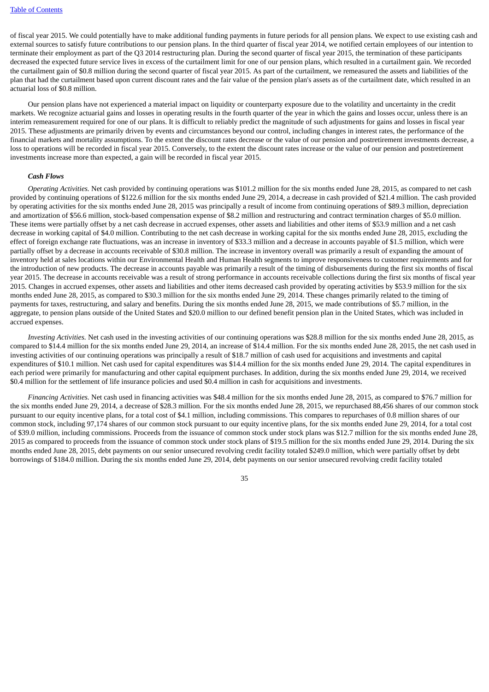of fiscal year 2015. We could potentially have to make additional funding payments in future periods for all pension plans. We expect to use existing cash and external sources to satisfy future contributions to our pension plans. In the third quarter of fiscal year 2014, we notified certain employees of our intention to terminate their employment as part of the Q3 2014 restructuring plan. During the second quarter of fiscal year 2015, the termination of these participants decreased the expected future service lives in excess of the curtailment limit for one of our pension plans, which resulted in a curtailment gain. We recorded the curtailment gain of \$0.8 million during the second quarter of fiscal year 2015. As part of the curtailment, we remeasured the assets and liabilities of the plan that had the curtailment based upon current discount rates and the fair value of the pension plan's assets as of the curtailment date, which resulted in an actuarial loss of \$0.8 million.

Our pension plans have not experienced a material impact on liquidity or counterparty exposure due to the volatility and uncertainty in the credit markets. We recognize actuarial gains and losses in operating results in the fourth quarter of the year in which the gains and losses occur, unless there is an interim remeasurement required for one of our plans. It is difficult to reliably predict the magnitude of such adjustments for gains and losses in fiscal year 2015. These adjustments are primarily driven by events and circumstances beyond our control, including changes in interest rates, the performance of the financial markets and mortality assumptions. To the extent the discount rates decrease or the value of our pension and postretirement investments decrease, a loss to operations will be recorded in fiscal year 2015. Conversely, to the extent the discount rates increase or the value of our pension and postretirement investments increase more than expected, a gain will be recorded in fiscal year 2015.

#### *Cash Flows*

*Operating Activities.* Net cash provided by continuing operations was \$101.2 million for the six months ended June 28, 2015, as compared to net cash provided by continuing operations of \$122.6 million for the six months ended June 29, 2014, a decrease in cash provided of \$21.4 million. The cash provided by operating activities for the six months ended June 28, 2015 was principally a result of income from continuing operations of \$89.3 million, depreciation and amortization of \$56.6 million, stock-based compensation expense of \$8.2 million and restructuring and contract termination charges of \$5.0 million. These items were partially offset by a net cash decrease in accrued expenses, other assets and liabilities and other items of \$53.9 million and a net cash decrease in working capital of \$4.0 million. Contributing to the net cash decrease in working capital for the six months ended June 28, 2015, excluding the effect of foreign exchange rate fluctuations, was an increase in inventory of \$33.3 million and a decrease in accounts payable of \$1.5 million, which were partially offset by a decrease in accounts receivable of \$30.8 million. The increase in inventory overall was primarily a result of expanding the amount of inventory held at sales locations within our Environmental Health and Human Health segments to improve responsiveness to customer requirements and for the introduction of new products. The decrease in accounts payable was primarily a result of the timing of disbursements during the first six months of fiscal year 2015. The decrease in accounts receivable was a result of strong performance in accounts receivable collections during the first six months of fiscal year 2015. Changes in accrued expenses, other assets and liabilities and other items decreased cash provided by operating activities by \$53.9 million for the six months ended June 28, 2015, as compared to \$30.3 million for the six months ended June 29, 2014. These changes primarily related to the timing of payments for taxes, restructuring, and salary and benefits. During the six months ended June 28, 2015, we made contributions of \$5.7 million, in the aggregate, to pension plans outside of the United States and \$20.0 million to our defined benefit pension plan in the United States, which was included in accrued expenses.

*Investing Activities.* Net cash used in the investing activities of our continuing operations was \$28.8 million for the six months ended June 28, 2015, as compared to \$14.4 million for the six months ended June 29, 2014, an increase of \$14.4 million. For the six months ended June 28, 2015, the net cash used in investing activities of our continuing operations was principally a result of \$18.7 million of cash used for acquisitions and investments and capital expenditures of \$10.1 million. Net cash used for capital expenditures was \$14.4 million for the six months ended June 29, 2014. The capital expenditures in each period were primarily for manufacturing and other capital equipment purchases. In addition, during the six months ended June 29, 2014, we received \$0.4 million for the settlement of life insurance policies and used \$0.4 million in cash for acquisitions and investments.

*Financing Activities.* Net cash used in financing activities was \$48.4 million for the six months ended June 28, 2015, as compared to \$76.7 million for the six months ended June 29, 2014, a decrease of \$28.3 million. For the six months ended June 28, 2015, we repurchased 88,456 shares of our common stock pursuant to our equity incentive plans, for a total cost of \$4.1 million, including commissions. This compares to repurchases of 0.8 million shares of our common stock, including 97,174 shares of our common stock pursuant to our equity incentive plans, for the six months ended June 29, 2014, for a total cost of \$39.0 million, including commissions. Proceeds from the issuance of common stock under stock plans was \$12.7 million for the six months ended June 28, 2015 as compared to proceeds from the issuance of common stock under stock plans of \$19.5 million for the six months ended June 29, 2014. During the six months ended June 28, 2015, debt payments on our senior unsecured revolving credit facility totaled \$249.0 million, which were partially offset by debt borrowings of \$184.0 million. During the six months ended June 29, 2014, debt payments on our senior unsecured revolving credit facility totaled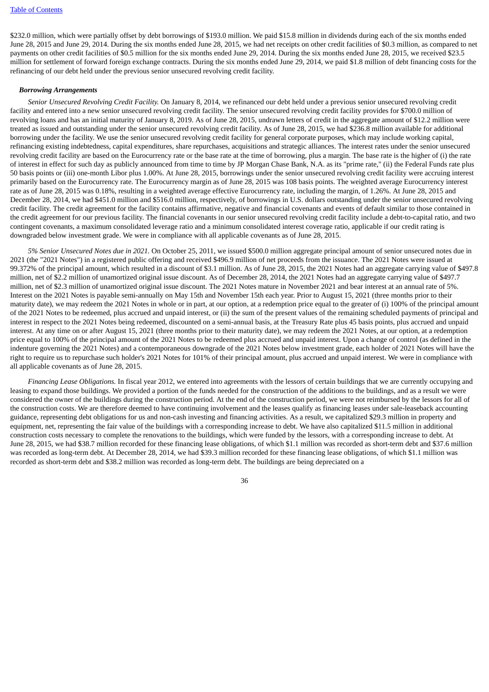\$232.0 million, which were partially offset by debt borrowings of \$193.0 million. We paid \$15.8 million in dividends during each of the six months ended June 28, 2015 and June 29, 2014. During the six months ended June 28, 2015, we had net receipts on other credit facilities of \$0.3 million, as compared to net payments on other credit facilities of \$0.5 million for the six months ended June 29, 2014. During the six months ended June 28, 2015, we received \$23.5 million for settlement of forward foreign exchange contracts. During the six months ended June 29, 2014, we paid \$1.8 million of debt financing costs for the refinancing of our debt held under the previous senior unsecured revolving credit facility.

#### *Borrowing Arrangements*

*Senior Unsecured Revolving Credit Facility.* On January 8, 2014, we refinanced our debt held under a previous senior unsecured revolving credit facility and entered into a new senior unsecured revolving credit facility. The senior unsecured revolving credit facility provides for \$700.0 million of revolving loans and has an initial maturity of January 8, 2019. As of June 28, 2015, undrawn letters of credit in the aggregate amount of \$12.2 million were treated as issued and outstanding under the senior unsecured revolving credit facility. As of June 28, 2015, we had \$236.8 million available for additional borrowing under the facility. We use the senior unsecured revolving credit facility for general corporate purposes, which may include working capital, refinancing existing indebtedness, capital expenditures, share repurchases, acquisitions and strategic alliances. The interest rates under the senior unsecured revolving credit facility are based on the Eurocurrency rate or the base rate at the time of borrowing, plus a margin. The base rate is the higher of (i) the rate of interest in effect for such day as publicly announced from time to time by JP Morgan Chase Bank, N.A. as its "prime rate," (ii) the Federal Funds rate plus 50 basis points or (iii) one-month Libor plus 1.00%. At June 28, 2015, borrowings under the senior unsecured revolving credit facility were accruing interest primarily based on the Eurocurrency rate. The Eurocurrency margin as of June 28, 2015 was 108 basis points. The weighted average Eurocurrency interest rate as of June 28, 2015 was 0.18%, resulting in a weighted average effective Eurocurrency rate, including the margin, of 1.26%. At June 28, 2015 and December 28, 2014, we had \$451.0 million and \$516.0 million, respectively, of borrowings in U.S. dollars outstanding under the senior unsecured revolving credit facility. The credit agreement for the facility contains affirmative, negative and financial covenants and events of default similar to those contained in the credit agreement for our previous facility. The financial covenants in our senior unsecured revolving credit facility include a debt-to-capital ratio, and two contingent covenants, a maximum consolidated leverage ratio and a minimum consolidated interest coverage ratio, applicable if our credit rating is downgraded below investment grade. We were in compliance with all applicable covenants as of June 28, 2015.

*5% Senior Unsecured Notes due in 2021.* On October 25, 2011, we issued \$500.0 million aggregate principal amount of senior unsecured notes due in 2021 (the "2021 Notes") in a registered public offering and received \$496.9 million of net proceeds from the issuance. The 2021 Notes were issued at 99.372% of the principal amount, which resulted in a discount of \$3.1 million. As of June 28, 2015, the 2021 Notes had an aggregate carrying value of \$497.8 million, net of \$2.2 million of unamortized original issue discount. As of December 28, 2014, the 2021 Notes had an aggregate carrying value of \$497.7 million, net of \$2.3 million of unamortized original issue discount. The 2021 Notes mature in November 2021 and bear interest at an annual rate of 5%. Interest on the 2021 Notes is payable semi-annually on May 15th and November 15th each year. Prior to August 15, 2021 (three months prior to their maturity date), we may redeem the 2021 Notes in whole or in part, at our option, at a redemption price equal to the greater of (i) 100% of the principal amount of the 2021 Notes to be redeemed, plus accrued and unpaid interest, or (ii) the sum of the present values of the remaining scheduled payments of principal and interest in respect to the 2021 Notes being redeemed, discounted on a semi-annual basis, at the Treasury Rate plus 45 basis points, plus accrued and unpaid interest. At any time on or after August 15, 2021 (three months prior to their maturity date), we may redeem the 2021 Notes, at our option, at a redemption price equal to 100% of the principal amount of the 2021 Notes to be redeemed plus accrued and unpaid interest. Upon a change of control (as defined in the indenture governing the 2021 Notes) and a contemporaneous downgrade of the 2021 Notes below investment grade, each holder of 2021 Notes will have the right to require us to repurchase such holder's 2021 Notes for 101% of their principal amount, plus accrued and unpaid interest. We were in compliance with all applicable covenants as of June 28, 2015.

*Financing Lease Obligations.* In fiscal year 2012, we entered into agreements with the lessors of certain buildings that we are currently occupying and leasing to expand those buildings. We provided a portion of the funds needed for the construction of the additions to the buildings, and as a result we were considered the owner of the buildings during the construction period. At the end of the construction period, we were not reimbursed by the lessors for all of the construction costs. We are therefore deemed to have continuing involvement and the leases qualify as financing leases under sale-leaseback accounting guidance, representing debt obligations for us and non-cash investing and financing activities. As a result, we capitalized \$29.3 million in property and equipment, net, representing the fair value of the buildings with a corresponding increase to debt. We have also capitalized \$11.5 million in additional construction costs necessary to complete the renovations to the buildings, which were funded by the lessors, with a corresponding increase to debt. At June 28, 2015, we had \$38.7 million recorded for these financing lease obligations, of which \$1.1 million was recorded as short-term debt and \$37.6 million was recorded as long-term debt. At December 28, 2014, we had \$39.3 million recorded for these financing lease obligations, of which \$1.1 million was recorded as short-term debt and \$38.2 million was recorded as long-term debt. The buildings are being depreciated on a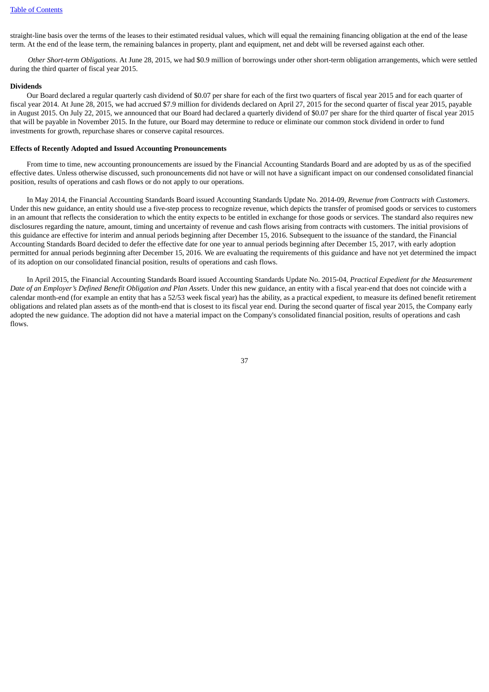straight-line basis over the terms of the leases to their estimated residual values, which will equal the remaining financing obligation at the end of the lease term. At the end of the lease term, the remaining balances in property, plant and equipment, net and debt will be reversed against each other.

*Other Short-term Obligations*. At June 28, 2015, we had \$0.9 million of borrowings under other short-term obligation arrangements, which were settled during the third quarter of fiscal year 2015.

#### <span id="page-36-0"></span>**Dividends**

Our Board declared a regular quarterly cash dividend of \$0.07 per share for each of the first two quarters of fiscal year 2015 and for each quarter of fiscal year 2014. At June 28, 2015, we had accrued \$7.9 million for dividends declared on April 27, 2015 for the second quarter of fiscal year 2015, payable in August 2015. On July 22, 2015, we announced that our Board had declared a quarterly dividend of \$0.07 per share for the third quarter of fiscal year 2015 that will be payable in November 2015. In the future, our Board may determine to reduce or eliminate our common stock dividend in order to fund investments for growth, repurchase shares or conserve capital resources.

#### <span id="page-36-1"></span>**Effects of Recently Adopted and Issued Accounting Pronouncements**

From time to time, new accounting pronouncements are issued by the Financial Accounting Standards Board and are adopted by us as of the specified effective dates. Unless otherwise discussed, such pronouncements did not have or will not have a significant impact on our condensed consolidated financial position, results of operations and cash flows or do not apply to our operations.

In May 2014, the Financial Accounting Standards Board issued Accounting Standards Update No. 2014-09, *Revenue from Contracts with Customers*. Under this new guidance, an entity should use a five-step process to recognize revenue, which depicts the transfer of promised goods or services to customers in an amount that reflects the consideration to which the entity expects to be entitled in exchange for those goods or services. The standard also requires new disclosures regarding the nature, amount, timing and uncertainty of revenue and cash flows arising from contracts with customers. The initial provisions of this guidance are effective for interim and annual periods beginning after December 15, 2016. Subsequent to the issuance of the standard, the Financial Accounting Standards Board decided to defer the effective date for one year to annual periods beginning after December 15, 2017, with early adoption permitted for annual periods beginning after December 15, 2016. We are evaluating the requirements of this guidance and have not yet determined the impact of its adoption on our consolidated financial position, results of operations and cash flows.

<span id="page-36-2"></span>In April 2015, the Financial Accounting Standards Board issued Accounting Standards Update No. 2015-04, *Practical Expedient for the Measurement Date of an Employer's Defined Benefit Obligation and Plan Assets*. Under this new guidance, an entity with a fiscal year-end that does not coincide with a calendar month-end (for example an entity that has a 52/53 week fiscal year) has the ability, as a practical expedient, to measure its defined benefit retirement obligations and related plan assets as of the month-end that is closest to its fiscal year end. During the second quarter of fiscal year 2015, the Company early adopted the new guidance. The adoption did not have a material impact on the Company's consolidated financial position, results of operations and cash flows.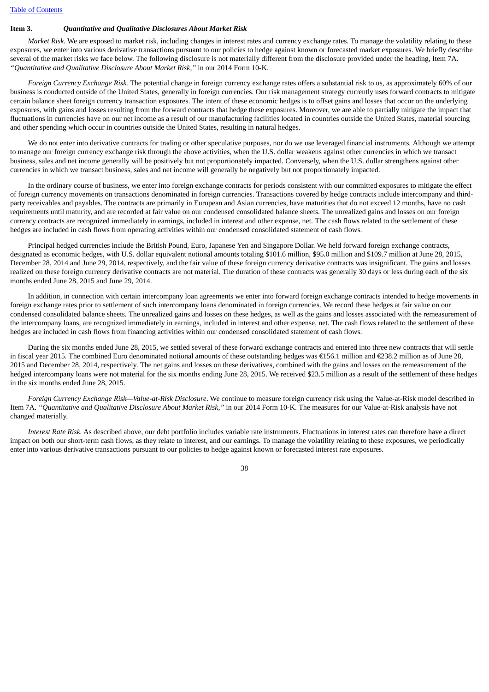# **Item 3.** *Quantitative and Qualitative Disclosures About Market Risk*

*Market Risk.* We are exposed to market risk, including changes in interest rates and currency exchange rates. To manage the volatility relating to these exposures, we enter into various derivative transactions pursuant to our policies to hedge against known or forecasted market exposures. We briefly describe several of the market risks we face below. The following disclosure is not materially different from the disclosure provided under the heading, Item 7A. *"Quantitative and Qualitative Disclosure About Market Risk,"* in our 2014 Form 10-K.

*Foreign Currency Exchange Risk.* The potential change in foreign currency exchange rates offers a substantial risk to us, as approximately 60% of our business is conducted outside of the United States, generally in foreign currencies. Our risk management strategy currently uses forward contracts to mitigate certain balance sheet foreign currency transaction exposures. The intent of these economic hedges is to offset gains and losses that occur on the underlying exposures, with gains and losses resulting from the forward contracts that hedge these exposures. Moreover, we are able to partially mitigate the impact that fluctuations in currencies have on our net income as a result of our manufacturing facilities located in countries outside the United States, material sourcing and other spending which occur in countries outside the United States, resulting in natural hedges.

We do not enter into derivative contracts for trading or other speculative purposes, nor do we use leveraged financial instruments. Although we attempt to manage our foreign currency exchange risk through the above activities, when the U.S. dollar weakens against other currencies in which we transact business, sales and net income generally will be positively but not proportionately impacted. Conversely, when the U.S. dollar strengthens against other currencies in which we transact business, sales and net income will generally be negatively but not proportionately impacted.

In the ordinary course of business, we enter into foreign exchange contracts for periods consistent with our committed exposures to mitigate the effect of foreign currency movements on transactions denominated in foreign currencies. Transactions covered by hedge contracts include intercompany and thirdparty receivables and payables. The contracts are primarily in European and Asian currencies, have maturities that do not exceed 12 months, have no cash requirements until maturity, and are recorded at fair value on our condensed consolidated balance sheets. The unrealized gains and losses on our foreign currency contracts are recognized immediately in earnings, included in interest and other expense, net. The cash flows related to the settlement of these hedges are included in cash flows from operating activities within our condensed consolidated statement of cash flows.

Principal hedged currencies include the British Pound, Euro, Japanese Yen and Singapore Dollar. We held forward foreign exchange contracts, designated as economic hedges, with U.S. dollar equivalent notional amounts totaling \$101.6 million, \$95.0 million and \$109.7 million at June 28, 2015, December 28, 2014 and June 29, 2014, respectively, and the fair value of these foreign currency derivative contracts was insignificant. The gains and losses realized on these foreign currency derivative contracts are not material. The duration of these contracts was generally 30 days or less during each of the six months ended June 28, 2015 and June 29, 2014.

In addition, in connection with certain intercompany loan agreements we enter into forward foreign exchange contracts intended to hedge movements in foreign exchange rates prior to settlement of such intercompany loans denominated in foreign currencies. We record these hedges at fair value on our condensed consolidated balance sheets. The unrealized gains and losses on these hedges, as well as the gains and losses associated with the remeasurement of the intercompany loans, are recognized immediately in earnings, included in interest and other expense, net. The cash flows related to the settlement of these hedges are included in cash flows from financing activities within our condensed consolidated statement of cash flows.

During the six months ended June 28, 2015, we settled several of these forward exchange contracts and entered into three new contracts that will settle in fiscal year 2015. The combined Euro denominated notional amounts of these outstanding hedges was €156.1 million and €238.2 million as of June 28, 2015 and December 28, 2014, respectively. The net gains and losses on these derivatives, combined with the gains and losses on the remeasurement of the hedged intercompany loans were not material for the six months ending June 28, 2015. We received \$23.5 million as a result of the settlement of these hedges in the six months ended June 28, 2015.

*Foreign Currency Exchange Risk—Value-at-Risk Disclosure*. We continue to measure foreign currency risk using the Value-at-Risk model described in Item 7A. *"Quantitative and Qualitative Disclosure About Market Risk,"* in our 2014 Form 10-K. The measures for our Value-at-Risk analysis have not changed materially.

*Interest Rate Risk.* As described above, our debt portfolio includes variable rate instruments. Fluctuations in interest rates can therefore have a direct impact on both our short-term cash flows, as they relate to interest, and our earnings. To manage the volatility relating to these exposures, we periodically enter into various derivative transactions pursuant to our policies to hedge against known or forecasted interest rate exposures.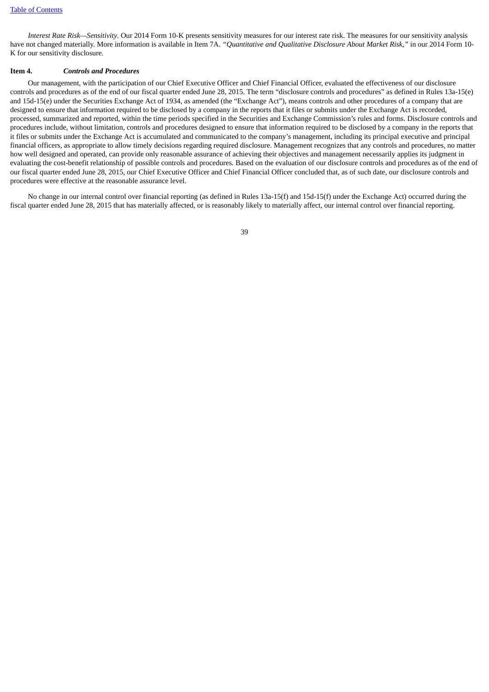*Interest Rate Risk—Sensitivity*. Our 2014 Form 10-K presents sensitivity measures for our interest rate risk. The measures for our sensitivity analysis have not changed materially. More information is available in Item 7A. *"Quantitative and Qualitative Disclosure About Market Risk,"* in our 2014 Form 10- K for our sensitivity disclosure.

#### <span id="page-38-0"></span>**Item 4.** *Controls and Procedures*

Our management, with the participation of our Chief Executive Officer and Chief Financial Officer, evaluated the effectiveness of our disclosure controls and procedures as of the end of our fiscal quarter ended June 28, 2015. The term "disclosure controls and procedures" as defined in Rules 13a-15(e) and 15d-15(e) under the Securities Exchange Act of 1934, as amended (the "Exchange Act"), means controls and other procedures of a company that are designed to ensure that information required to be disclosed by a company in the reports that it files or submits under the Exchange Act is recorded, processed, summarized and reported, within the time periods specified in the Securities and Exchange Commission's rules and forms. Disclosure controls and procedures include, without limitation, controls and procedures designed to ensure that information required to be disclosed by a company in the reports that it files or submits under the Exchange Act is accumulated and communicated to the company's management, including its principal executive and principal financial officers, as appropriate to allow timely decisions regarding required disclosure. Management recognizes that any controls and procedures, no matter how well designed and operated, can provide only reasonable assurance of achieving their objectives and management necessarily applies its judgment in evaluating the cost-benefit relationship of possible controls and procedures. Based on the evaluation of our disclosure controls and procedures as of the end of our fiscal quarter ended June 28, 2015, our Chief Executive Officer and Chief Financial Officer concluded that, as of such date, our disclosure controls and procedures were effective at the reasonable assurance level.

No change in our internal control over financial reporting (as defined in Rules 13a-15(f) and 15d-15(f) under the Exchange Act) occurred during the fiscal quarter ended June 28, 2015 that has materially affected, or is reasonably likely to materially affect, our internal control over financial reporting.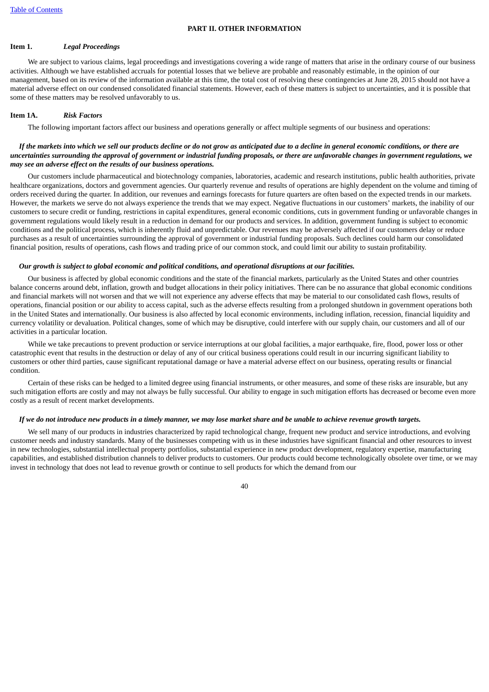#### **PART II. OTHER INFORMATION**

#### <span id="page-39-0"></span>**Item 1.** *Legal Proceedings*

We are subject to various claims, legal proceedings and investigations covering a wide range of matters that arise in the ordinary course of our business activities. Although we have established accruals for potential losses that we believe are probable and reasonably estimable, in the opinion of our management, based on its review of the information available at this time, the total cost of resolving these contingencies at June 28, 2015 should not have a material adverse effect on our condensed consolidated financial statements. However, each of these matters is subject to uncertainties, and it is possible that some of these matters may be resolved unfavorably to us.

#### <span id="page-39-1"></span>**Item 1A.** *Risk Factors*

The following important factors affect our business and operations generally or affect multiple segments of our business and operations:

### If the markets into which we sell our products decline or do not grow as anticipated due to a decline in general economic conditions, or there are uncertainties surrounding the approval of government or industrial funding proposals, or there are unfavorable changes in government regulations, we *may see an adverse effect on the results of our business operations.*

Our customers include pharmaceutical and biotechnology companies, laboratories, academic and research institutions, public health authorities, private healthcare organizations, doctors and government agencies. Our quarterly revenue and results of operations are highly dependent on the volume and timing of orders received during the quarter. In addition, our revenues and earnings forecasts for future quarters are often based on the expected trends in our markets. However, the markets we serve do not always experience the trends that we may expect. Negative fluctuations in our customers' markets, the inability of our customers to secure credit or funding, restrictions in capital expenditures, general economic conditions, cuts in government funding or unfavorable changes in government regulations would likely result in a reduction in demand for our products and services. In addition, government funding is subject to economic conditions and the political process, which is inherently fluid and unpredictable. Our revenues may be adversely affected if our customers delay or reduce purchases as a result of uncertainties surrounding the approval of government or industrial funding proposals. Such declines could harm our consolidated financial position, results of operations, cash flows and trading price of our common stock, and could limit our ability to sustain profitability.

#### Our growth is subject to alobal economic and political conditions, and operational disruptions at our facilities.

Our business is affected by global economic conditions and the state of the financial markets, particularly as the United States and other countries balance concerns around debt, inflation, growth and budget allocations in their policy initiatives. There can be no assurance that global economic conditions and financial markets will not worsen and that we will not experience any adverse effects that may be material to our consolidated cash flows, results of operations, financial position or our ability to access capital, such as the adverse effects resulting from a prolonged shutdown in government operations both in the United States and internationally. Our business is also affected by local economic environments, including inflation, recession, financial liquidity and currency volatility or devaluation. Political changes, some of which may be disruptive, could interfere with our supply chain, our customers and all of our activities in a particular location.

While we take precautions to prevent production or service interruptions at our global facilities, a major earthquake, fire, flood, power loss or other catastrophic event that results in the destruction or delay of any of our critical business operations could result in our incurring significant liability to customers or other third parties, cause significant reputational damage or have a material adverse effect on our business, operating results or financial condition.

Certain of these risks can be hedged to a limited degree using financial instruments, or other measures, and some of these risks are insurable, but any such mitigation efforts are costly and may not always be fully successful. Our ability to engage in such mitigation efforts has decreased or become even more costly as a result of recent market developments.

#### If we do not introduce new products in a timely manner, we may lose market share and be unable to achieve revenue growth targets.

We sell many of our products in industries characterized by rapid technological change, frequent new product and service introductions, and evolving customer needs and industry standards. Many of the businesses competing with us in these industries have significant financial and other resources to invest in new technologies, substantial intellectual property portfolios, substantial experience in new product development, regulatory expertise, manufacturing capabilities, and established distribution channels to deliver products to customers. Our products could become technologically obsolete over time, or we may invest in technology that does not lead to revenue growth or continue to sell products for which the demand from our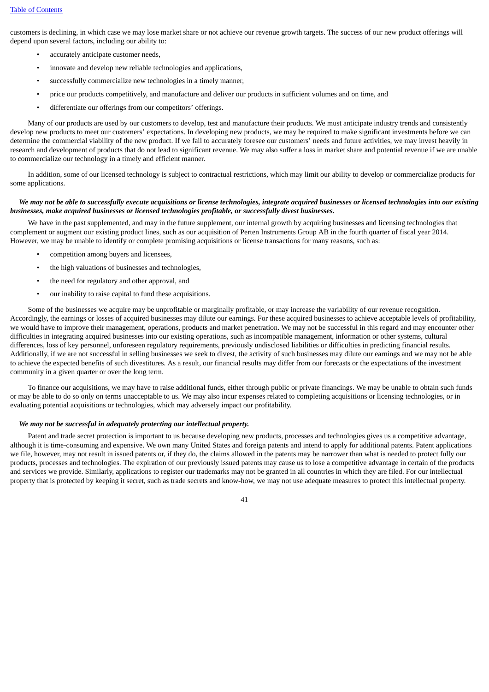customers is declining, in which case we may lose market share or not achieve our revenue growth targets. The success of our new product offerings will depend upon several factors, including our ability to:

- accurately anticipate customer needs,
- innovate and develop new reliable technologies and applications,
- successfully commercialize new technologies in a timely manner,
- price our products competitively, and manufacture and deliver our products in sufficient volumes and on time, and
- differentiate our offerings from our competitors' offerings.

Many of our products are used by our customers to develop, test and manufacture their products. We must anticipate industry trends and consistently develop new products to meet our customers' expectations. In developing new products, we may be required to make significant investments before we can determine the commercial viability of the new product. If we fail to accurately foresee our customers' needs and future activities, we may invest heavily in research and development of products that do not lead to significant revenue. We may also suffer a loss in market share and potential revenue if we are unable to commercialize our technology in a timely and efficient manner.

In addition, some of our licensed technology is subject to contractual restrictions, which may limit our ability to develop or commercialize products for some applications.

#### We may not be able to successfully execute acquisitions or license technologies, integrate acquired businesses or licensed technologies into our existing *businesses, make acquired businesses or licensed technologies profitable, or successfully divest businesses.*

We have in the past supplemented, and may in the future supplement, our internal growth by acquiring businesses and licensing technologies that complement or augment our existing product lines, such as our acquisition of Perten Instruments Group AB in the fourth quarter of fiscal year 2014. However, we may be unable to identify or complete promising acquisitions or license transactions for many reasons, such as:

- competition among buyers and licensees,
- the high valuations of businesses and technologies,
- the need for regulatory and other approval, and
- our inability to raise capital to fund these acquisitions.

Some of the businesses we acquire may be unprofitable or marginally profitable, or may increase the variability of our revenue recognition. Accordingly, the earnings or losses of acquired businesses may dilute our earnings. For these acquired businesses to achieve acceptable levels of profitability, we would have to improve their management, operations, products and market penetration. We may not be successful in this regard and may encounter other difficulties in integrating acquired businesses into our existing operations, such as incompatible management, information or other systems, cultural differences, loss of key personnel, unforeseen regulatory requirements, previously undisclosed liabilities or difficulties in predicting financial results. Additionally, if we are not successful in selling businesses we seek to divest, the activity of such businesses may dilute our earnings and we may not be able to achieve the expected benefits of such divestitures. As a result, our financial results may differ from our forecasts or the expectations of the investment community in a given quarter or over the long term.

To finance our acquisitions, we may have to raise additional funds, either through public or private financings. We may be unable to obtain such funds or may be able to do so only on terms unacceptable to us. We may also incur expenses related to completing acquisitions or licensing technologies, or in evaluating potential acquisitions or technologies, which may adversely impact our profitability.

#### *We may not be successful in adequately protecting our intellectual property.*

Patent and trade secret protection is important to us because developing new products, processes and technologies gives us a competitive advantage, although it is time-consuming and expensive. We own many United States and foreign patents and intend to apply for additional patents. Patent applications we file, however, may not result in issued patents or, if they do, the claims allowed in the patents may be narrower than what is needed to protect fully our products, processes and technologies. The expiration of our previously issued patents may cause us to lose a competitive advantage in certain of the products and services we provide. Similarly, applications to register our trademarks may not be granted in all countries in which they are filed. For our intellectual property that is protected by keeping it secret, such as trade secrets and know-how, we may not use adequate measures to protect this intellectual property.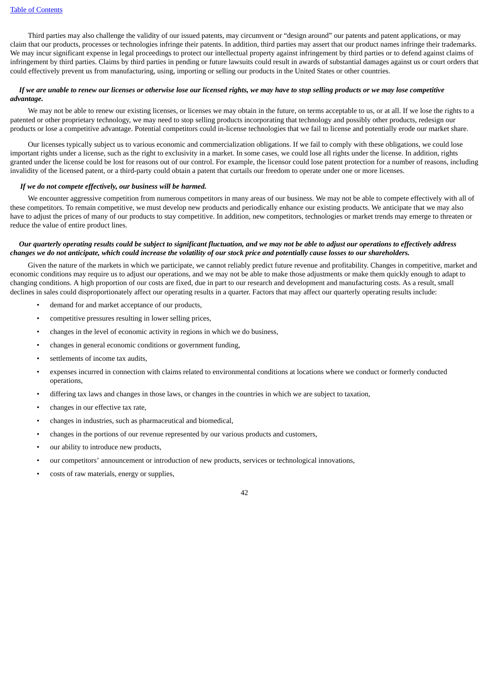Third parties may also challenge the validity of our issued patents, may circumvent or "design around" our patents and patent applications, or may claim that our products, processes or technologies infringe their patents. In addition, third parties may assert that our product names infringe their trademarks. We may incur significant expense in legal proceedings to protect our intellectual property against infringement by third parties or to defend against claims of infringement by third parties. Claims by third parties in pending or future lawsuits could result in awards of substantial damages against us or court orders that could effectively prevent us from manufacturing, using, importing or selling our products in the United States or other countries.

#### If we are unable to renew our licenses or otherwise lose our licensed rights, we may have to stop selling products or we may lose competitive *advantage.*

We may not be able to renew our existing licenses, or licenses we may obtain in the future, on terms acceptable to us, or at all. If we lose the rights to a patented or other proprietary technology, we may need to stop selling products incorporating that technology and possibly other products, redesign our products or lose a competitive advantage. Potential competitors could in-license technologies that we fail to license and potentially erode our market share.

Our licenses typically subject us to various economic and commercialization obligations. If we fail to comply with these obligations, we could lose important rights under a license, such as the right to exclusivity in a market. In some cases, we could lose all rights under the license. In addition, rights granted under the license could be lost for reasons out of our control. For example, the licensor could lose patent protection for a number of reasons, including invalidity of the licensed patent, or a third-party could obtain a patent that curtails our freedom to operate under one or more licenses.

#### *If we do not compete effectively, our business will be harmed.*

We encounter aggressive competition from numerous competitors in many areas of our business. We may not be able to compete effectively with all of these competitors. To remain competitive, we must develop new products and periodically enhance our existing products. We anticipate that we may also have to adjust the prices of many of our products to stay competitive. In addition, new competitors, technologies or market trends may emerge to threaten or reduce the value of entire product lines.

#### Our quarterly operating results could be subject to significant fluctuation, and we may not be able to adjust our operations to effectively address changes we do not anticipate, which could increase the volatility of our stock price and potentially cause losses to our shareholders.

Given the nature of the markets in which we participate, we cannot reliably predict future revenue and profitability. Changes in competitive, market and economic conditions may require us to adjust our operations, and we may not be able to make those adjustments or make them quickly enough to adapt to changing conditions. A high proportion of our costs are fixed, due in part to our research and development and manufacturing costs. As a result, small declines in sales could disproportionately affect our operating results in a quarter. Factors that may affect our quarterly operating results include:

- demand for and market acceptance of our products,
- competitive pressures resulting in lower selling prices,
- changes in the level of economic activity in regions in which we do business,
- changes in general economic conditions or government funding,
- settlements of income tax audits,
- expenses incurred in connection with claims related to environmental conditions at locations where we conduct or formerly conducted operations,
- differing tax laws and changes in those laws, or changes in the countries in which we are subject to taxation,
- changes in our effective tax rate,
- changes in industries, such as pharmaceutical and biomedical,
- changes in the portions of our revenue represented by our various products and customers,
- our ability to introduce new products,
- our competitors' announcement or introduction of new products, services or technological innovations,
- costs of raw materials, energy or supplies,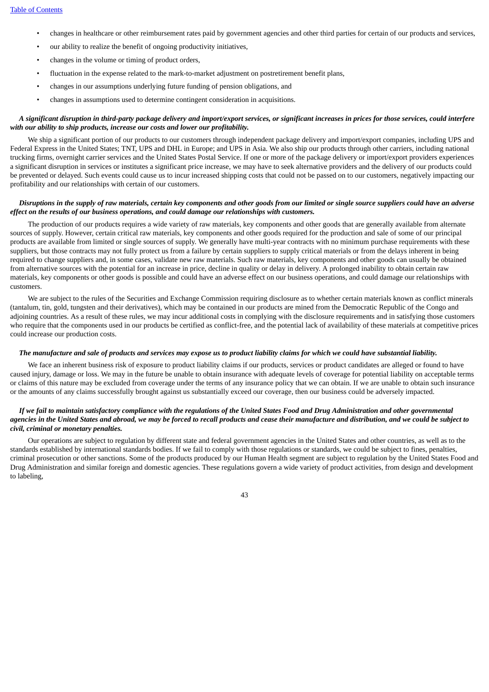- changes in healthcare or other reimbursement rates paid by government agencies and other third parties for certain of our products and services,
- our ability to realize the benefit of ongoing productivity initiatives,
- changes in the volume or timing of product orders,
- fluctuation in the expense related to the mark-to-market adjustment on postretirement benefit plans,
- changes in our assumptions underlying future funding of pension obligations, and
- changes in assumptions used to determine contingent consideration in acquisitions.

#### A significant disruption in third-party package delivery and import/export services, or significant increases in prices for those services, could interfere *with our ability to ship products, increase our costs and lower our profitability.*

We ship a significant portion of our products to our customers through independent package delivery and import/export companies, including UPS and Federal Express in the United States; TNT, UPS and DHL in Europe; and UPS in Asia. We also ship our products through other carriers, including national trucking firms, overnight carrier services and the United States Postal Service. If one or more of the package delivery or import/export providers experiences a significant disruption in services or institutes a significant price increase, we may have to seek alternative providers and the delivery of our products could be prevented or delayed. Such events could cause us to incur increased shipping costs that could not be passed on to our customers, negatively impacting our profitability and our relationships with certain of our customers.

#### Disruptions in the supply of raw materials, certain key components and other goods from our limited or single source suppliers could have an adverse *effect on the results of our business operations, and could damage our relationships with customers.*

The production of our products requires a wide variety of raw materials, key components and other goods that are generally available from alternate sources of supply. However, certain critical raw materials, key components and other goods required for the production and sale of some of our principal products are available from limited or single sources of supply. We generally have multi-year contracts with no minimum purchase requirements with these suppliers, but those contracts may not fully protect us from a failure by certain suppliers to supply critical materials or from the delays inherent in being required to change suppliers and, in some cases, validate new raw materials. Such raw materials, key components and other goods can usually be obtained from alternative sources with the potential for an increase in price, decline in quality or delay in delivery. A prolonged inability to obtain certain raw materials, key components or other goods is possible and could have an adverse effect on our business operations, and could damage our relationships with customers.

We are subject to the rules of the Securities and Exchange Commission requiring disclosure as to whether certain materials known as conflict minerals (tantalum, tin, gold, tungsten and their derivatives), which may be contained in our products are mined from the Democratic Republic of the Congo and adjoining countries. As a result of these rules, we may incur additional costs in complying with the disclosure requirements and in satisfying those customers who require that the components used in our products be certified as conflict-free, and the potential lack of availability of these materials at competitive prices could increase our production costs.

#### The manufacture and sale of products and services may expose us to product liability claims for which we could have substantial liability.

We face an inherent business risk of exposure to product liability claims if our products, services or product candidates are alleged or found to have caused injury, damage or loss. We may in the future be unable to obtain insurance with adequate levels of coverage for potential liability on acceptable terms or claims of this nature may be excluded from coverage under the terms of any insurance policy that we can obtain. If we are unable to obtain such insurance or the amounts of any claims successfully brought against us substantially exceed our coverage, then our business could be adversely impacted.

### If we fail to maintain satisfactory compliance with the reaulations of the United States Food and Drua Administration and other aovernmental agencies in the United States and abroad, we may be forced to recall products and cease their manufacture and distribution, and we could be subject to *civil, criminal or monetary penalties.*

Our operations are subject to regulation by different state and federal government agencies in the United States and other countries, as well as to the standards established by international standards bodies. If we fail to comply with those regulations or standards, we could be subject to fines, penalties, criminal prosecution or other sanctions. Some of the products produced by our Human Health segment are subject to regulation by the United States Food and Drug Administration and similar foreign and domestic agencies. These regulations govern a wide variety of product activities, from design and development to labeling,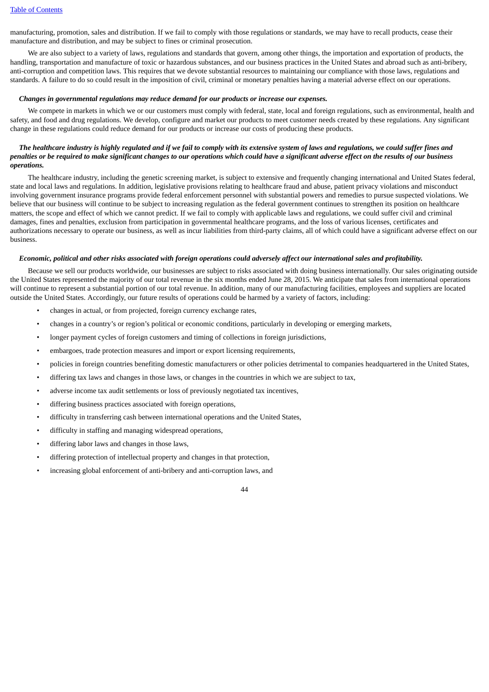manufacturing, promotion, sales and distribution. If we fail to comply with those regulations or standards, we may have to recall products, cease their manufacture and distribution, and may be subject to fines or criminal prosecution.

We are also subject to a variety of laws, regulations and standards that govern, among other things, the importation and exportation of products, the handling, transportation and manufacture of toxic or hazardous substances, and our business practices in the United States and abroad such as anti-bribery, anti-corruption and competition laws. This requires that we devote substantial resources to maintaining our compliance with those laws, regulations and standards. A failure to do so could result in the imposition of civil, criminal or monetary penalties having a material adverse effect on our operations.

#### *Changes in governmental regulations may reduce demand for our products or increase our expenses.*

We compete in markets in which we or our customers must comply with federal, state, local and foreign regulations, such as environmental, health and safety, and food and drug regulations. We develop, configure and market our products to meet customer needs created by these regulations. Any significant change in these regulations could reduce demand for our products or increase our costs of producing these products.

#### The healthcare industry is highly regulated and if we fail to comply with its extensive system of laws and regulations, we could suffer fines and penalties or be required to make significant changes to our operations which could have a significant adverse effect on the results of our business *operations.*

The healthcare industry, including the genetic screening market, is subject to extensive and frequently changing international and United States federal, state and local laws and regulations. In addition, legislative provisions relating to healthcare fraud and abuse, patient privacy violations and misconduct involving government insurance programs provide federal enforcement personnel with substantial powers and remedies to pursue suspected violations. We believe that our business will continue to be subject to increasing regulation as the federal government continues to strengthen its position on healthcare matters, the scope and effect of which we cannot predict. If we fail to comply with applicable laws and regulations, we could suffer civil and criminal damages, fines and penalties, exclusion from participation in governmental healthcare programs, and the loss of various licenses, certificates and authorizations necessary to operate our business, as well as incur liabilities from third-party claims, all of which could have a significant adverse effect on our business.

#### Economic, political and other risks associated with foreign operations could adversely affect our international sales and profitability.

Because we sell our products worldwide, our businesses are subject to risks associated with doing business internationally. Our sales originating outside the United States represented the majority of our total revenue in the six months ended June 28, 2015. We anticipate that sales from international operations will continue to represent a substantial portion of our total revenue. In addition, many of our manufacturing facilities, employees and suppliers are located outside the United States. Accordingly, our future results of operations could be harmed by a variety of factors, including:

- changes in actual, or from projected, foreign currency exchange rates,
- changes in a country's or region's political or economic conditions, particularly in developing or emerging markets,
- longer payment cycles of foreign customers and timing of collections in foreign jurisdictions,
- embargoes, trade protection measures and import or export licensing requirements,
- policies in foreign countries benefiting domestic manufacturers or other policies detrimental to companies headquartered in the United States,
- differing tax laws and changes in those laws, or changes in the countries in which we are subject to tax,
- adverse income tax audit settlements or loss of previously negotiated tax incentives,
- differing business practices associated with foreign operations,
- difficulty in transferring cash between international operations and the United States,
- difficulty in staffing and managing widespread operations,
- differing labor laws and changes in those laws,
- differing protection of intellectual property and changes in that protection,
- increasing global enforcement of anti-bribery and anti-corruption laws, and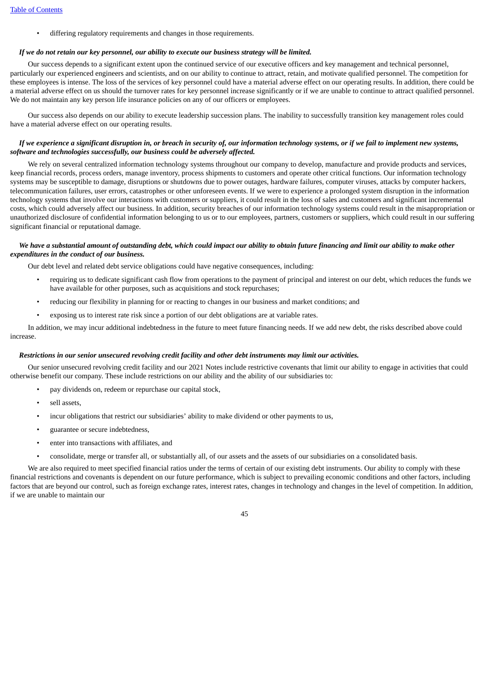• differing regulatory requirements and changes in those requirements.

#### If we do not retain our key personnel, our ability to execute our business strategy will be limited.

Our success depends to a significant extent upon the continued service of our executive officers and key management and technical personnel, particularly our experienced engineers and scientists, and on our ability to continue to attract, retain, and motivate qualified personnel. The competition for these employees is intense. The loss of the services of key personnel could have a material adverse effect on our operating results. In addition, there could be a material adverse effect on us should the turnover rates for key personnel increase significantly or if we are unable to continue to attract qualified personnel. We do not maintain any key person life insurance policies on any of our officers or employees.

Our success also depends on our ability to execute leadership succession plans. The inability to successfully transition key management roles could have a material adverse effect on our operating results.

### If we experience a significant disruption in, or breach in security of, our information technology systems, or if we fail to implement new systems, *software and technologies successfully, our business could be adversely affected.*

We rely on several centralized information technology systems throughout our company to develop, manufacture and provide products and services, keep financial records, process orders, manage inventory, process shipments to customers and operate other critical functions. Our information technology systems may be susceptible to damage, disruptions or shutdowns due to power outages, hardware failures, computer viruses, attacks by computer hackers, telecommunication failures, user errors, catastrophes or other unforeseen events. If we were to experience a prolonged system disruption in the information technology systems that involve our interactions with customers or suppliers, it could result in the loss of sales and customers and significant incremental costs, which could adversely affect our business. In addition, security breaches of our information technology systems could result in the misappropriation or unauthorized disclosure of confidential information belonging to us or to our employees, partners, customers or suppliers, which could result in our suffering significant financial or reputational damage.

#### We have a substantial amount of outstanding debt, which could impact our ability to obtain future financing and limit our ability to make other *expenditures in the conduct of our business.*

Our debt level and related debt service obligations could have negative consequences, including:

- requiring us to dedicate significant cash flow from operations to the payment of principal and interest on our debt, which reduces the funds we have available for other purposes, such as acquisitions and stock repurchases:
- reducing our flexibility in planning for or reacting to changes in our business and market conditions; and
- exposing us to interest rate risk since a portion of our debt obligations are at variable rates.

In addition, we may incur additional indebtedness in the future to meet future financing needs. If we add new debt, the risks described above could increase.

#### Restrictions in our senior unsecured revolving credit facility and other debt instruments may limit our activities.

Our senior unsecured revolving credit facility and our 2021 Notes include restrictive covenants that limit our ability to engage in activities that could otherwise benefit our company. These include restrictions on our ability and the ability of our subsidiaries to:

- pay dividends on, redeem or repurchase our capital stock,
- sell assets,
- incur obligations that restrict our subsidiaries' ability to make dividend or other payments to us,
- guarantee or secure indebtedness,
- enter into transactions with affiliates, and
- consolidate, merge or transfer all, or substantially all, of our assets and the assets of our subsidiaries on a consolidated basis.

We are also required to meet specified financial ratios under the terms of certain of our existing debt instruments. Our ability to comply with these financial restrictions and covenants is dependent on our future performance, which is subject to prevailing economic conditions and other factors, including factors that are beyond our control, such as foreign exchange rates, interest rates, changes in technology and changes in the level of competition. In addition, if we are unable to maintain our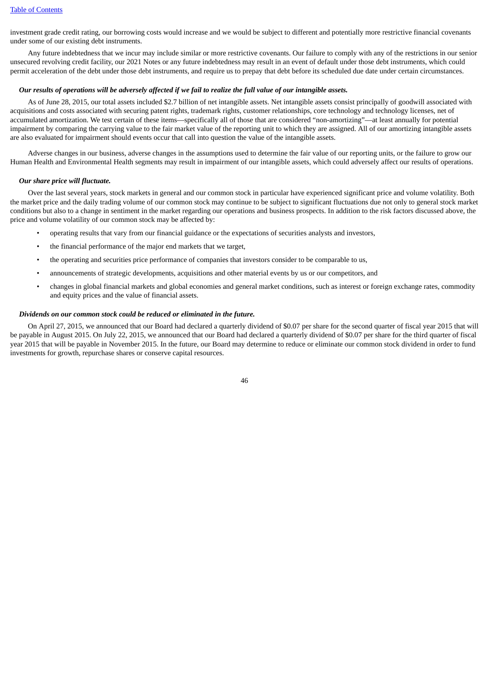investment grade credit rating, our borrowing costs would increase and we would be subject to different and potentially more restrictive financial covenants under some of our existing debt instruments.

Any future indebtedness that we incur may include similar or more restrictive covenants. Our failure to comply with any of the restrictions in our senior unsecured revolving credit facility, our 2021 Notes or any future indebtedness may result in an event of default under those debt instruments, which could permit acceleration of the debt under those debt instruments, and require us to prepay that debt before its scheduled due date under certain circumstances.

#### Our results of operations will be adversely affected if we fail to realize the full value of our intangible assets.

As of June 28, 2015, our total assets included \$2.7 billion of net intangible assets. Net intangible assets consist principally of goodwill associated with acquisitions and costs associated with securing patent rights, trademark rights, customer relationships, core technology and technology licenses, net of accumulated amortization. We test certain of these items—specifically all of those that are considered "non-amortizing"—at least annually for potential impairment by comparing the carrying value to the fair market value of the reporting unit to which they are assigned. All of our amortizing intangible assets are also evaluated for impairment should events occur that call into question the value of the intangible assets.

Adverse changes in our business, adverse changes in the assumptions used to determine the fair value of our reporting units, or the failure to grow our Human Health and Environmental Health segments may result in impairment of our intangible assets, which could adversely affect our results of operations.

#### *Our share price will fluctuate.*

Over the last several years, stock markets in general and our common stock in particular have experienced significant price and volume volatility. Both the market price and the daily trading volume of our common stock may continue to be subject to significant fluctuations due not only to general stock market conditions but also to a change in sentiment in the market regarding our operations and business prospects. In addition to the risk factors discussed above, the price and volume volatility of our common stock may be affected by:

- operating results that vary from our financial guidance or the expectations of securities analysts and investors,
- the financial performance of the major end markets that we target,
- the operating and securities price performance of companies that investors consider to be comparable to us,
- announcements of strategic developments, acquisitions and other material events by us or our competitors, and
- changes in global financial markets and global economies and general market conditions, such as interest or foreign exchange rates, commodity and equity prices and the value of financial assets.

#### *Dividends on our common stock could be reduced or eliminated in the future.*

<span id="page-45-0"></span>On April 27, 2015, we announced that our Board had declared a quarterly dividend of \$0.07 per share for the second quarter of fiscal year 2015 that will be payable in August 2015. On July 22, 2015, we announced that our Board had declared a quarterly dividend of \$0.07 per share for the third quarter of fiscal year 2015 that will be payable in November 2015. In the future, our Board may determine to reduce or eliminate our common stock dividend in order to fund investments for growth, repurchase shares or conserve capital resources.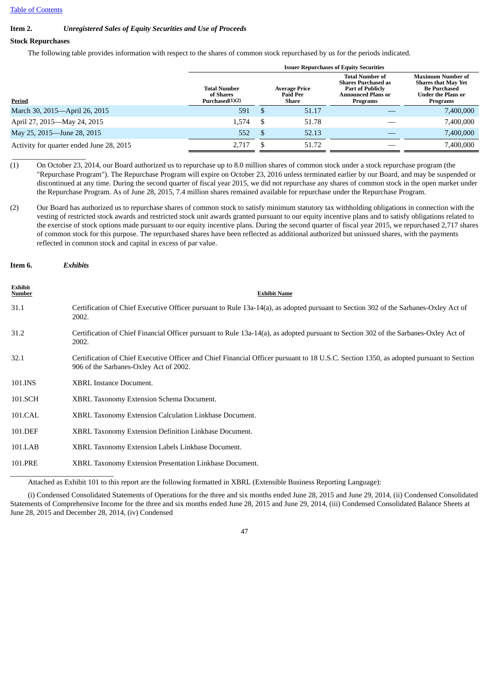### **Item 2.** *Unregistered Sales of Equity Securities and Use of Proceeds*

#### **Stock Repurchases**

The following table provides information with respect to the shares of common stock repurchased by us for the periods indicated.

|                                          | <b>Issuer Repurchases of Equity Securities</b>      |      |                                           |                                                                                                                   |                                                                                                                 |  |  |  |  |  |
|------------------------------------------|-----------------------------------------------------|------|-------------------------------------------|-------------------------------------------------------------------------------------------------------------------|-----------------------------------------------------------------------------------------------------------------|--|--|--|--|--|
| Period                                   | <b>Total Number</b><br>of Shares<br>Purchased(1)(2) |      | <b>Average Price</b><br>Paid Per<br>Share | <b>Total Number of</b><br><b>Shares Purchased as</b><br><b>Part of Publicly</b><br>Announced Plans or<br>Programs | <b>Maximum Number of</b><br><b>Shares that May Yet</b><br><b>Be Purchased</b><br>Under the Plans or<br>Programs |  |  |  |  |  |
| March 30, 2015—April 26, 2015            | 591                                                 | -S   | 51.17                                     |                                                                                                                   | 7,400,000                                                                                                       |  |  |  |  |  |
| April 27, 2015-May 24, 2015              | 1,574                                               | -S   | 51.78                                     |                                                                                                                   | 7,400,000                                                                                                       |  |  |  |  |  |
| May 25, 2015-June 28, 2015               | 552                                                 | - \$ | 52.13                                     |                                                                                                                   | 7,400,000                                                                                                       |  |  |  |  |  |
| Activity for quarter ended June 28, 2015 | 2.717                                               | \$.  | 51.72                                     |                                                                                                                   | 7,400,000                                                                                                       |  |  |  |  |  |

(1) On October 23, 2014, our Board authorized us to repurchase up to 8.0 million shares of common stock under a stock repurchase program (the "Repurchase Program"). The Repurchase Program will expire on October 23, 2016 unless terminated earlier by our Board, and may be suspended or discontinued at any time. During the second quarter of fiscal year 2015, we did not repurchase any shares of common stock in the open market under the Repurchase Program. As of June 28, 2015, 7.4 million shares remained available for repurchase under the Repurchase Program.

(2) Our Board has authorized us to repurchase shares of common stock to satisfy minimum statutory tax withholding obligations in connection with the vesting of restricted stock awards and restricted stock unit awards granted pursuant to our equity incentive plans and to satisfy obligations related to the exercise of stock options made pursuant to our equity incentive plans. During the second quarter of fiscal year 2015, we repurchased 2,717 shares of common stock for this purpose. The repurchased shares have been reflected as additional authorized but unissued shares, with the payments reflected in common stock and capital in excess of par value.

<span id="page-46-0"></span>**Item 6.** *Exhibits*

\_\_\_\_\_\_\_\_\_\_\_\_\_\_\_\_\_\_\_\_

| Exhibit<br><b>Number</b> | <b>Exhibit Name</b>                                                                                                                                                               |
|--------------------------|-----------------------------------------------------------------------------------------------------------------------------------------------------------------------------------|
| 31.1                     | Certification of Chief Executive Officer pursuant to Rule 13a-14(a), as adopted pursuant to Section 302 of the Sarbanes-Oxley Act of<br>2002.                                     |
| 31.2                     | Certification of Chief Financial Officer pursuant to Rule 13a-14(a), as adopted pursuant to Section 302 of the Sarbanes-Oxley Act of<br>2002.                                     |
| 32.1                     | Certification of Chief Executive Officer and Chief Financial Officer pursuant to 18 U.S.C. Section 1350, as adopted pursuant to Section<br>906 of the Sarbanes-Oxley Act of 2002. |
| 101.INS                  | <b>XBRL Instance Document.</b>                                                                                                                                                    |
| 101.SCH                  | XBRL Taxonomy Extension Schema Document.                                                                                                                                          |
| 101.CAL                  | XBRL Taxonomy Extension Calculation Linkbase Document.                                                                                                                            |
| 101.DEF                  | XBRL Taxonomy Extension Definition Linkbase Document.                                                                                                                             |
| 101.LAB                  | XBRL Taxonomy Extension Labels Linkbase Document.                                                                                                                                 |
| 101.PRE                  | XBRL Taxonomy Extension Presentation Linkbase Document.                                                                                                                           |

Attached as Exhibit 101 to this report are the following formatted in XBRL (Extensible Business Reporting Language):

(i) Condensed Consolidated Statements of Operations for the three and six months ended June 28, 2015 and June 29, 2014, (ii) Condensed Consolidated Statements of Comprehensive Income for the three and six months ended June 28, 2015 and June 29, 2014, (iii) Condensed Consolidated Balance Sheets at June 28, 2015 and December 28, 2014, (iv) Condensed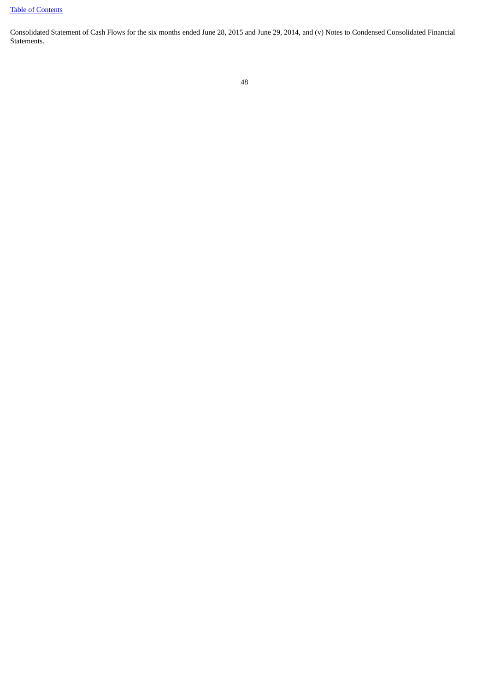# Table of [Contents](#page-0-0)

<span id="page-47-0"></span>Consolidated Statement of Cash Flows for the six months ended June 28, 2015 and June 29, 2014, and (v) Notes to Condensed Consolidated Financial Statements.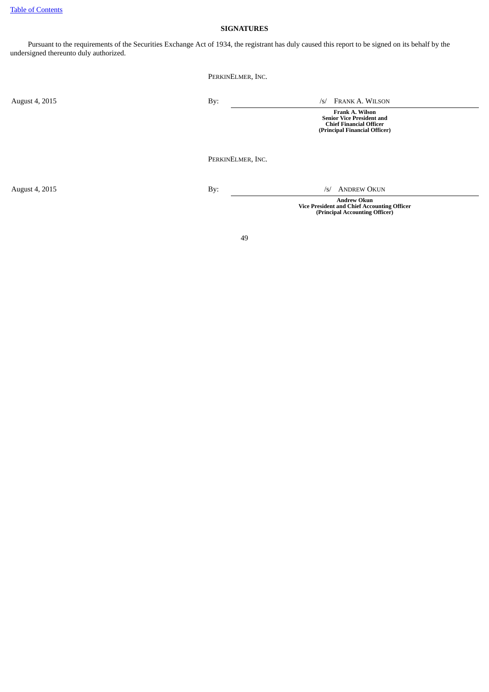### **SIGNATURES**

Pursuant to the requirements of the Securities Exchange Act of 1934, the registrant has duly caused this report to be signed on its behalf by the undersigned thereunto duly authorized.

PERKINELMER, INC.

August 4, 2015 **By:** *By: By: By: By: August 4, 2015* 

**Frank A. Wilson Senior Vice President and Chief Financial Officer (Principal Financial Officer)**

PERKINELMER, INC.

49

<span id="page-48-0"></span>August 4, 2015 **By:** *By*: */s/ ANDREW OKUN* 

**Andrew Okun Vice President and Chief Accounting Officer (Principal Accounting Officer)**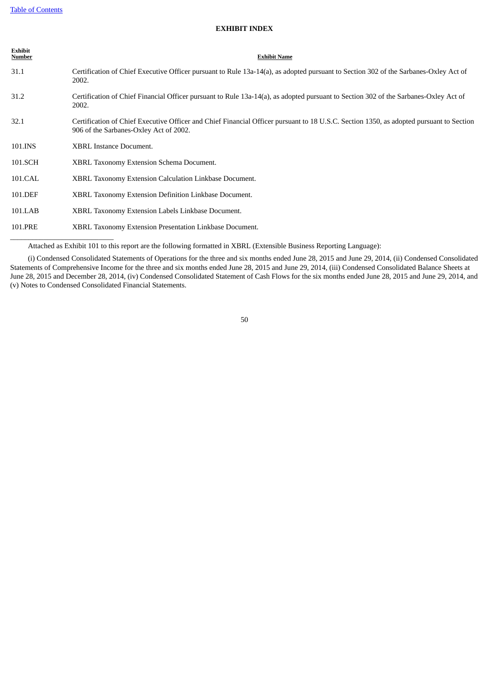# **EXHIBIT INDEX**

| Exhibit<br><b>Number</b> | <b>Exhibit Name</b>                                                                                                                                                               |
|--------------------------|-----------------------------------------------------------------------------------------------------------------------------------------------------------------------------------|
| 31.1                     | Certification of Chief Executive Officer pursuant to Rule 13a-14(a), as adopted pursuant to Section 302 of the Sarbanes-Oxley Act of<br>2002.                                     |
| 31.2                     | Certification of Chief Financial Officer pursuant to Rule 13a-14(a), as adopted pursuant to Section 302 of the Sarbanes-Oxley Act of<br>2002.                                     |
| 32.1                     | Certification of Chief Executive Officer and Chief Financial Officer pursuant to 18 U.S.C. Section 1350, as adopted pursuant to Section<br>906 of the Sarbanes-Oxley Act of 2002. |
| 101.INS                  | <b>XBRL Instance Document.</b>                                                                                                                                                    |
| 101.SCH                  | XBRL Taxonomy Extension Schema Document.                                                                                                                                          |
| 101.CAL                  | XBRL Taxonomy Extension Calculation Linkbase Document.                                                                                                                            |
| 101.DEF                  | XBRL Taxonomy Extension Definition Linkbase Document.                                                                                                                             |
| 101.LAB                  | XBRL Taxonomy Extension Labels Linkbase Document.                                                                                                                                 |
| 101.PRE                  | XBRL Taxonomy Extension Presentation Linkbase Document.                                                                                                                           |

Attached as Exhibit 101 to this report are the following formatted in XBRL (Extensible Business Reporting Language):

(i) Condensed Consolidated Statements of Operations for the three and six months ended June 28, 2015 and June 29, 2014, (ii) Condensed Consolidated Statements of Comprehensive Income for the three and six months ended June 28, 2015 and June 29, 2014, (iii) Condensed Consolidated Balance Sheets at June 28, 2015 and December 28, 2014, (iv) Condensed Consolidated Statement of Cash Flows for the six months ended June 28, 2015 and June 29, 2014, and (v) Notes to Condensed Consolidated Financial Statements.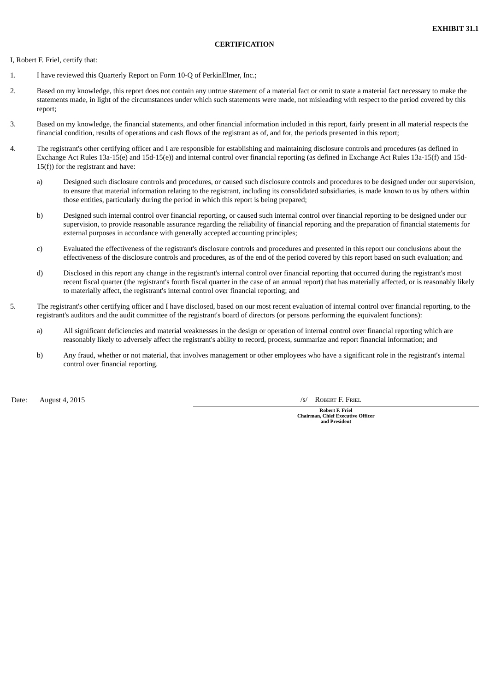#### **CERTIFICATION**

I, Robert F. Friel, certify that:

- 1. I have reviewed this Quarterly Report on Form 10-Q of PerkinElmer, Inc.;
- 2. Based on my knowledge, this report does not contain any untrue statement of a material fact or omit to state a material fact necessary to make the statements made, in light of the circumstances under which such statements were made, not misleading with respect to the period covered by this report;
- 3. Based on my knowledge, the financial statements, and other financial information included in this report, fairly present in all material respects the financial condition, results of operations and cash flows of the registrant as of, and for, the periods presented in this report;
- 4. The registrant's other certifying officer and I are responsible for establishing and maintaining disclosure controls and procedures (as defined in Exchange Act Rules 13a-15(e) and 15d-15(e)) and internal control over financial reporting (as defined in Exchange Act Rules 13a-15(f) and 15d-15(f)) for the registrant and have:
	- a) Designed such disclosure controls and procedures, or caused such disclosure controls and procedures to be designed under our supervision, to ensure that material information relating to the registrant, including its consolidated subsidiaries, is made known to us by others within those entities, particularly during the period in which this report is being prepared;
	- b) Designed such internal control over financial reporting, or caused such internal control over financial reporting to be designed under our supervision, to provide reasonable assurance regarding the reliability of financial reporting and the preparation of financial statements for external purposes in accordance with generally accepted accounting principles;
	- c) Evaluated the effectiveness of the registrant's disclosure controls and procedures and presented in this report our conclusions about the effectiveness of the disclosure controls and procedures, as of the end of the period covered by this report based on such evaluation; and
	- d) Disclosed in this report any change in the registrant's internal control over financial reporting that occurred during the registrant's most recent fiscal quarter (the registrant's fourth fiscal quarter in the case of an annual report) that has materially affected, or is reasonably likely to materially affect, the registrant's internal control over financial reporting; and
- 5. The registrant's other certifying officer and I have disclosed, based on our most recent evaluation of internal control over financial reporting, to the registrant's auditors and the audit committee of the registrant's board of directors (or persons performing the equivalent functions):
	- a) All significant deficiencies and material weaknesses in the design or operation of internal control over financial reporting which are reasonably likely to adversely affect the registrant's ability to record, process, summarize and report financial information; and
	- b) Any fraud, whether or not material, that involves management or other employees who have a significant role in the registrant's internal control over financial reporting.

Date: August 4, 2015 /s/ ROBERT F. FRIEL

**Robert F. Friel Chairman, Chief Executive Officer and President**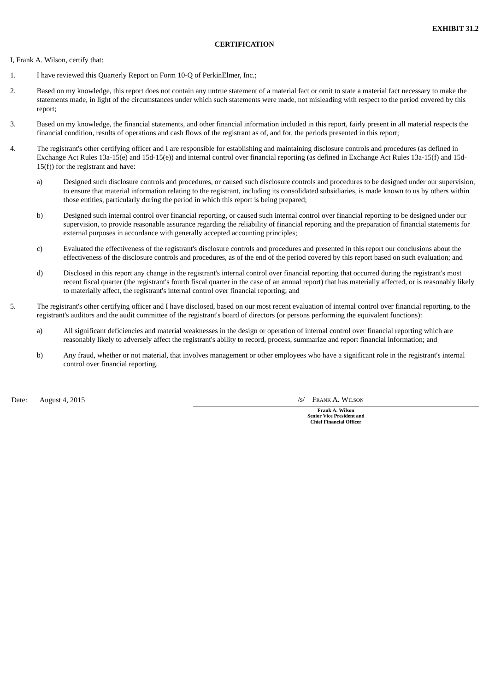#### **CERTIFICATION**

I, Frank A. Wilson, certify that:

- 1. I have reviewed this Quarterly Report on Form 10-Q of PerkinElmer, Inc.;
- 2. Based on my knowledge, this report does not contain any untrue statement of a material fact or omit to state a material fact necessary to make the statements made, in light of the circumstances under which such statements were made, not misleading with respect to the period covered by this report;
- 3. Based on my knowledge, the financial statements, and other financial information included in this report, fairly present in all material respects the financial condition, results of operations and cash flows of the registrant as of, and for, the periods presented in this report;
- 4. The registrant's other certifying officer and I are responsible for establishing and maintaining disclosure controls and procedures (as defined in Exchange Act Rules 13a-15(e) and 15d-15(e)) and internal control over financial reporting (as defined in Exchange Act Rules 13a-15(f) and 15d-15(f)) for the registrant and have:
	- a) Designed such disclosure controls and procedures, or caused such disclosure controls and procedures to be designed under our supervision, to ensure that material information relating to the registrant, including its consolidated subsidiaries, is made known to us by others within those entities, particularly during the period in which this report is being prepared;
	- b) Designed such internal control over financial reporting, or caused such internal control over financial reporting to be designed under our supervision, to provide reasonable assurance regarding the reliability of financial reporting and the preparation of financial statements for external purposes in accordance with generally accepted accounting principles;
	- c) Evaluated the effectiveness of the registrant's disclosure controls and procedures and presented in this report our conclusions about the effectiveness of the disclosure controls and procedures, as of the end of the period covered by this report based on such evaluation; and
	- d) Disclosed in this report any change in the registrant's internal control over financial reporting that occurred during the registrant's most recent fiscal quarter (the registrant's fourth fiscal quarter in the case of an annual report) that has materially affected, or is reasonably likely to materially affect, the registrant's internal control over financial reporting; and
- 5. The registrant's other certifying officer and I have disclosed, based on our most recent evaluation of internal control over financial reporting, to the registrant's auditors and the audit committee of the registrant's board of directors (or persons performing the equivalent functions):
	- a) All significant deficiencies and material weaknesses in the design or operation of internal control over financial reporting which are reasonably likely to adversely affect the registrant's ability to record, process, summarize and report financial information; and
	- b) Any fraud, whether or not material, that involves management or other employees who have a significant role in the registrant's internal control over financial reporting.

Date: August 4, 2015 /s/ FRANK A. WILSON

**Frank A. Wilson Senior Vice President and Chief Financial Officer**